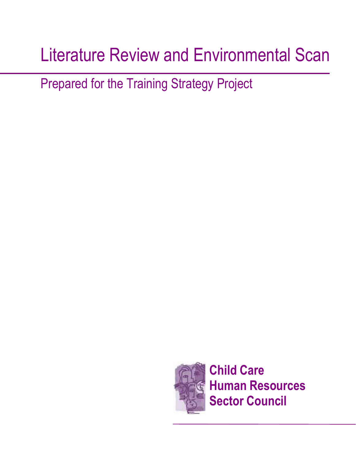# Literature Review and Environmental Scan

Prepared for the Training Strategy Project

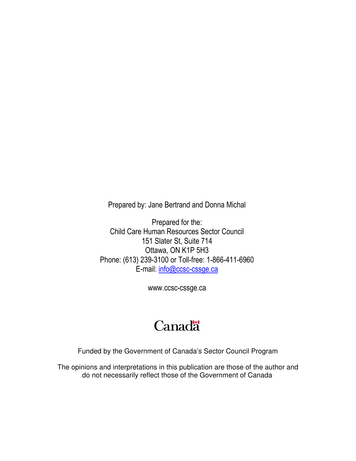Prepared by: Jane Bertrand and Donna Michal

Prepared for the: Child Care Human Resources Sector Council 151 Slater St, Suite 714 Ottawa, ON K1P 5H3 Phone: (613) 239-3100 or Toll-free: 1-866-411-6960 E-mail: info@ccsc-cssge.ca

www.ccsc-cssge.ca

## **Canadä**

Funded by the Government of Canada's Sector Council Program

The opinions and interpretations in this publication are those of the author and do not necessarily reflect those of the Government of Canada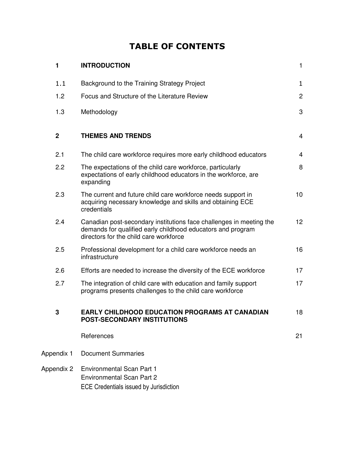### TABLE OF CONTENTS

| 1              | <b>INTRODUCTION</b>                                                                                                                                                          | $\mathbf{1}$    |
|----------------|------------------------------------------------------------------------------------------------------------------------------------------------------------------------------|-----------------|
| 1.1            | Background to the Training Strategy Project                                                                                                                                  | $\mathbf{1}$    |
| 1.2            | Focus and Structure of the Literature Review                                                                                                                                 | $\overline{2}$  |
| 1.3            | Methodology                                                                                                                                                                  | 3               |
| $\overline{2}$ | <b>THEMES AND TRENDS</b>                                                                                                                                                     | $\overline{4}$  |
| 2.1            | The child care workforce requires more early childhood educators                                                                                                             | $\overline{4}$  |
| 2.2            | The expectations of the child care workforce, particularly<br>expectations of early childhood educators in the workforce, are<br>expanding                                   | 8               |
| 2.3            | The current and future child care workforce needs support in<br>acquiring necessary knowledge and skills and obtaining ECE<br>credentials                                    | 10              |
| 2.4            | Canadian post-secondary institutions face challenges in meeting the<br>demands for qualified early childhood educators and program<br>directors for the child care workforce | 12 <sup>2</sup> |
| 2.5            | Professional development for a child care workforce needs an<br>infrastructure                                                                                               | 16              |
| 2.6            | Efforts are needed to increase the diversity of the ECE workforce                                                                                                            | 17              |
| 2.7            | The integration of child care with education and family support<br>programs presents challenges to the child care workforce                                                  | 17              |
| 3              | <b>EARLY CHILDHOOD EDUCATION PROGRAMS AT CANADIAN</b><br><b>POST-SECONDARY INSTITUTIONS</b>                                                                                  | 18              |
|                | References                                                                                                                                                                   | 21              |
| Appendix 1     | <b>Document Summaries</b>                                                                                                                                                    |                 |
| Appendix 2     | <b>Environmental Scan Part 1</b><br><b>Environmental Scan Part 2</b><br><b>ECE Credentials issued by Jurisdiction</b>                                                        |                 |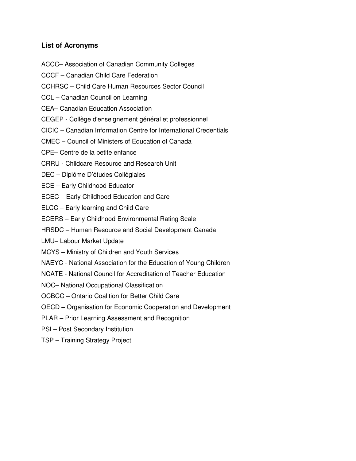#### **List of Acronyms**

- ACCC– Association of Canadian Community Colleges
- CCCF Canadian Child Care Federation
- CCHRSC Child Care Human Resources Sector Council
- CCL Canadian Council on Learning
- CEA– Canadian Education Association
- CEGEP Collège d'enseignement général et professionnel
- CICIC Canadian Information Centre for International Credentials
- CMEC Council of Ministers of Education of Canada
- CPE– Centre de la petite enfance
- CRRU Childcare Resource and Research Unit
- DEC Diplôme D'études Collégiales
- ECE Early Childhood Educator
- ECEC Early Childhood Education and Care
- ELCC Early learning and Child Care
- ECERS Early Childhood Environmental Rating Scale
- HRSDC Human Resource and Social Development Canada
- LMU– Labour Market Update
- MCYS Ministry of Children and Youth Services
- NAEYC National Association for the Education of Young Children
- NCATE National Council for Accreditation of Teacher Education
- NOC– National Occupational Classification
- OCBCC Ontario Coalition for Better Child Care
- OECD Organisation for Economic Cooperation and Development
- PLAR Prior Learning Assessment and Recognition
- PSI Post Secondary Institution
- TSP Training Strategy Project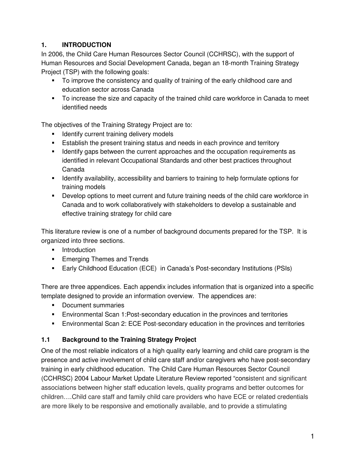#### **1. INTRODUCTION**

In 2006, the Child Care Human Resources Sector Council (CCHRSC), with the support of Human Resources and Social Development Canada, began an 18-month Training Strategy Project (TSP) with the following goals:

- To improve the consistency and quality of training of the early childhood care and education sector across Canada
- To increase the size and capacity of the trained child care workforce in Canada to meet identified needs

The objectives of the Training Strategy Project are to:

- **If Identify current training delivery models**
- Establish the present training status and needs in each province and territory
- Identify gaps between the current approaches and the occupation requirements as identified in relevant Occupational Standards and other best practices throughout Canada
- Identify availability, accessibility and barriers to training to help formulate options for training models
- Develop options to meet current and future training needs of the child care workforce in Canada and to work collaboratively with stakeholders to develop a sustainable and effective training strategy for child care

This literature review is one of a number of background documents prepared for the TSP. It is organized into three sections.

- **Introduction**
- **Emerging Themes and Trends**
- Early Childhood Education (ECE) in Canada's Post-secondary Institutions (PSIs)

There are three appendices. Each appendix includes information that is organized into a specific template designed to provide an information overview. The appendices are:

- **Document summaries**
- Environmental Scan 1:Post-secondary education in the provinces and territories
- Environmental Scan 2: ECE Post-secondary education in the provinces and territories

#### **1.1 Background to the Training Strategy Project**

One of the most reliable indicators of a high quality early learning and child care program is the presence and active involvement of child care staff and/or caregivers who have post-secondary training in early childhood education. The Child Care Human Resources Sector Council (CCHRSC) 2004 Labour Market Update Literature Review reported "consistent and significant associations between higher staff education levels, quality programs and better outcomes for children….Child care staff and family child care providers who have ECE or related credentials are more likely to be responsive and emotionally available, and to provide a stimulating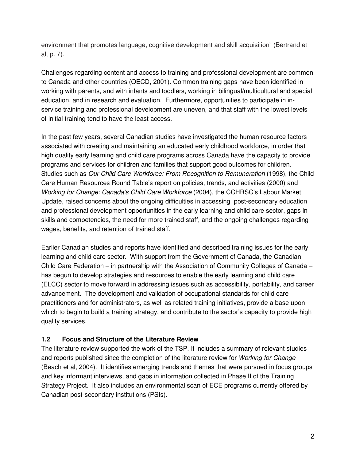environment that promotes language, cognitive development and skill acquisition" (Bertrand et al, p. 7).

Challenges regarding content and access to training and professional development are common to Canada and other countries (OECD, 2001). Common training gaps have been identified in working with parents, and with infants and toddlers, working in bilingual/multicultural and special education, and in research and evaluation. Furthermore, opportunities to participate in inservice training and professional development are uneven, and that staff with the lowest levels of initial training tend to have the least access.

In the past few years, several Canadian studies have investigated the human resource factors associated with creating and maintaining an educated early childhood workforce, in order that high quality early learning and child care programs across Canada have the capacity to provide programs and services for children and families that support good outcomes for children. Studies such as Our Child Care Workforce: From Recognition to Remuneration (1998), the Child Care Human Resources Round Table's report on policies, trends, and activities (2000) and Working for Change: Canada's Child Care Workforce (2004), the CCHRSC's Labour Market Update, raised concerns about the ongoing difficulties in accessing post-secondary education and professional development opportunities in the early learning and child care sector, gaps in skills and competencies, the need for more trained staff, and the ongoing challenges regarding wages, benefits, and retention of trained staff.

Earlier Canadian studies and reports have identified and described training issues for the early learning and child care sector. With support from the Government of Canada, the Canadian Child Care Federation – in partnership with the Association of Community Colleges of Canada – has begun to develop strategies and resources to enable the early learning and child care (ELCC) sector to move forward in addressing issues such as accessibility, portability, and career advancement. The development and validation of occupational standards for child care practitioners and for administrators, as well as related training initiatives, provide a base upon which to begin to build a training strategy, and contribute to the sector's capacity to provide high quality services.

#### **1.2 Focus and Structure of the Literature Review**

The literature review supported the work of the TSP. It includes a summary of relevant studies and reports published since the completion of the literature review for *Working for Change* (Beach et al, 2004). It identifies emerging trends and themes that were pursued in focus groups and key informant interviews, and gaps in information collected in Phase II of the Training Strategy Project. It also includes an environmental scan of ECE programs currently offered by Canadian post-secondary institutions (PSIs).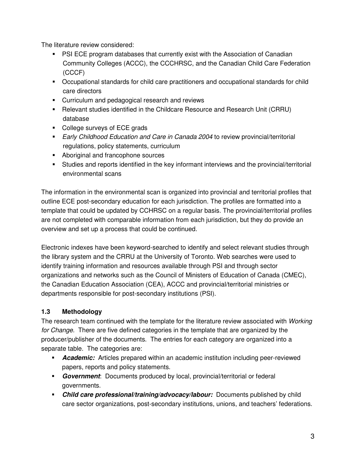The literature review considered:

- PSI ECE program databases that currently exist with the Association of Canadian Community Colleges (ACCC), the CCCHRSC, and the Canadian Child Care Federation (CCCF)
- Occupational standards for child care practitioners and occupational standards for child care directors
- **Curriculum and pedagogical research and reviews**
- Relevant studies identified in the Childcare Resource and Research Unit (CRRU) database
- College surveys of ECE grads
- **Early Childhood Education and Care in Canada 2004 to review provincial/territorial** regulations, policy statements, curriculum
- **Aboriginal and francophone sources**
- Studies and reports identified in the key informant interviews and the provincial/territorial environmental scans

The information in the environmental scan is organized into provincial and territorial profiles that outline ECE post-secondary education for each jurisdiction. The profiles are formatted into a template that could be updated by CCHRSC on a regular basis. The provincial/territorial profiles are not completed with comparable information from each jurisdiction, but they do provide an overview and set up a process that could be continued.

Electronic indexes have been keyword-searched to identify and select relevant studies through the library system and the CRRU at the University of Toronto. Web searches were used to identify training information and resources available through PSI and through sector organizations and networks such as the Council of Ministers of Education of Canada (CMEC), the Canadian Education Association (CEA), ACCC and provincial/territorial ministries or departments responsible for post-secondary institutions (PSI).

#### **1.3 Methodology**

The research team continued with the template for the literature review associated with Working for Change. There are five defined categories in the template that are organized by the producer/publisher of the documents. The entries for each category are organized into a separate table. The categories are:

- **Academic:** Articles prepared within an academic institution including peer-reviewed papers, reports and policy statements.
- **Government**: Documents produced by local, provincial/territorial or federal governments.
- **Child care professional/training/advocacy/labour:** Documents published by child care sector organizations, post-secondary institutions, unions, and teachers' federations.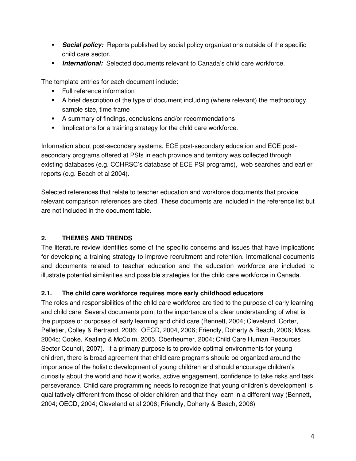- **Social policy:** Reports published by social policy organizations outside of the specific child care sector.
- **International:** Selected documents relevant to Canada's child care workforce.

The template entries for each document include:

- **Full reference information**
- A brief description of the type of document including (where relevant) the methodology, sample size, time frame
- A summary of findings, conclusions and/or recommendations
- **IMPLE 11.5 Implications for a training strategy for the child care workforce.**

Information about post-secondary systems, ECE post-secondary education and ECE postsecondary programs offered at PSIs in each province and territory was collected through existing databases (e.g. CCHRSC's database of ECE PSI programs), web searches and earlier reports (e.g. Beach et al 2004).

Selected references that relate to teacher education and workforce documents that provide relevant comparison references are cited. These documents are included in the reference list but are not included in the document table.

#### **2. THEMES AND TRENDS**

The literature review identifies some of the specific concerns and issues that have implications for developing a training strategy to improve recruitment and retention. International documents and documents related to teacher education and the education workforce are included to illustrate potential similarities and possible strategies for the child care workforce in Canada.

#### **2.1. The child care workforce requires more early childhood educators**

The roles and responsibilities of the child care workforce are tied to the purpose of early learning and child care. Several documents point to the importance of a clear understanding of what is the purpose or purposes of early learning and child care (Bennett, 2004; Cleveland, Corter, Pelletier, Colley & Bertrand, 2006; OECD, 2004, 2006; Friendly, Doherty & Beach, 2006; Moss, 2004c; Cooke, Keating & McColm, 2005, Oberheumer, 2004; Child Care Human Resources Sector Council, 2007). If a primary purpose is to provide optimal environments for young children, there is broad agreement that child care programs should be organized around the importance of the holistic development of young children and should encourage children's curiosity about the world and how it works, active engagement, confidence to take risks and task perseverance. Child care programming needs to recognize that young children's development is qualitatively different from those of older children and that they learn in a different way (Bennett, 2004; OECD, 2004; Cleveland et al 2006; Friendly, Doherty & Beach, 2006)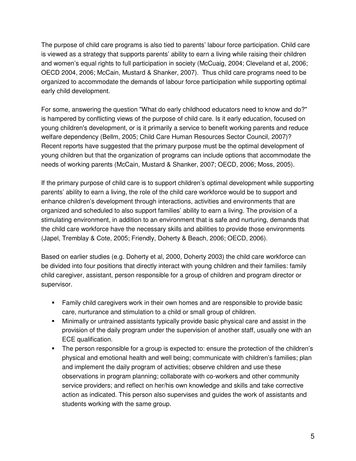The purpose of child care programs is also tied to parents' labour force participation. Child care is viewed as a strategy that supports parents' ability to earn a living while raising their children and women's equal rights to full participation in society (McCuaig, 2004; Cleveland et al, 2006; OECD 2004, 2006; McCain, Mustard & Shanker, 2007). Thus child care programs need to be organized to accommodate the demands of labour force participation while supporting optimal early child development.

For some, answering the question "What do early childhood educators need to know and do?" is hampered by conflicting views of the purpose of child care. Is it early education, focused on young children's development, or is it primarily a service to benefit working parents and reduce welfare dependency (Bellm, 2005; Child Care Human Resources Sector Council, 2007)? Recent reports have suggested that the primary purpose must be the optimal development of young children but that the organization of programs can include options that accommodate the needs of working parents (McCain, Mustard & Shanker, 2007; OECD, 2006; Moss, 2005).

If the primary purpose of child care is to support children's optimal development while supporting parents' ability to earn a living, the role of the child care workforce would be to support and enhance children's development through interactions, activities and environments that are organized and scheduled to also support families' ability to earn a living. The provision of a stimulating environment, in addition to an environment that is safe and nurturing, demands that the child care workforce have the necessary skills and abilities to provide those environments (Japel, Tremblay & Cote, 2005; Friendly, Doherty & Beach, 2006; OECD, 2006).

Based on earlier studies (e.g. Doherty et al, 2000, Doherty 2003) the child care workforce can be divided into four positions that directly interact with young children and their families: family child caregiver, assistant, person responsible for a group of children and program director or supervisor.

- Family child caregivers work in their own homes and are responsible to provide basic care, nurturance and stimulation to a child or small group of children.
- Minimally or untrained assistants typically provide basic physical care and assist in the provision of the daily program under the supervision of another staff, usually one with an ECE qualification.
- The person responsible for a group is expected to: ensure the protection of the children's physical and emotional health and well being; communicate with children's families; plan and implement the daily program of activities; observe children and use these observations in program planning; collaborate with co-workers and other community service providers; and reflect on her/his own knowledge and skills and take corrective action as indicated. This person also supervises and guides the work of assistants and students working with the same group.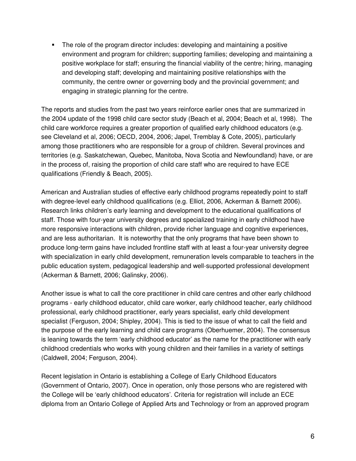• The role of the program director includes: developing and maintaining a positive environment and program for children; supporting families; developing and maintaining a positive workplace for staff; ensuring the financial viability of the centre; hiring, managing and developing staff; developing and maintaining positive relationships with the community, the centre owner or governing body and the provincial government; and engaging in strategic planning for the centre.

The reports and studies from the past two years reinforce earlier ones that are summarized in the 2004 update of the 1998 child care sector study (Beach et al, 2004; Beach et al, 1998). The child care workforce requires a greater proportion of qualified early childhood educators (e.g. see Cleveland et al, 2006; OECD, 2004, 2006; Japel, Tremblay & Cote, 2005), particularly among those practitioners who are responsible for a group of children. Several provinces and territories (e.g. Saskatchewan, Quebec, Manitoba, Nova Scotia and Newfoundland) have, or are in the process of, raising the proportion of child care staff who are required to have ECE qualifications (Friendly & Beach, 2005).

American and Australian studies of effective early childhood programs repeatedly point to staff with degree-level early childhood qualifications (e.g. Elliot, 2006, Ackerman & Barnett 2006). Research links children's early learning and development to the educational qualifications of staff. Those with four-year university degrees and specialized training in early childhood have more responsive interactions with children, provide richer language and cognitive experiences, and are less authoritarian. It is noteworthy that the only programs that have been shown to produce long-term gains have included frontline staff with at least a four-year university degree with specialization in early child development, remuneration levels comparable to teachers in the public education system, pedagogical leadership and well-supported professional development (Ackerman & Barnett, 2006; Galinsky, 2006).

Another issue is what to call the core practitioner in child care centres and other early childhood programs - early childhood educator, child care worker, early childhood teacher, early childhood professional, early childhood practitioner, early years specialist, early child development specialist (Ferguson, 2004; Shipley, 2004). This is tied to the issue of what to call the field and the purpose of the early learning and child care programs (Oberhuemer, 2004). The consensus is leaning towards the term 'early childhood educator' as the name for the practitioner with early childhood credentials who works with young children and their families in a variety of settings (Caldwell, 2004; Ferguson, 2004).

Recent legislation in Ontario is establishing a College of Early Childhood Educators (Government of Ontario, 2007). Once in operation, only those persons who are registered with the College will be 'early childhood educators'. Criteria for registration will include an ECE diploma from an Ontario College of Applied Arts and Technology or from an approved program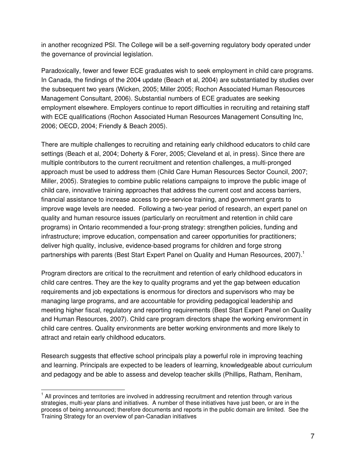in another recognized PSI. The College will be a self-governing regulatory body operated under the governance of provincial legislation.

Paradoxically, fewer and fewer ECE graduates wish to seek employment in child care programs. In Canada, the findings of the 2004 update (Beach et al, 2004) are substantiated by studies over the subsequent two years (Wicken, 2005; Miller 2005; Rochon Associated Human Resources Management Consultant, 2006). Substantial numbers of ECE graduates are seeking employment elsewhere. Employers continue to report difficulties in recruiting and retaining staff with ECE qualifications (Rochon Associated Human Resources Management Consulting Inc, 2006; OECD, 2004; Friendly & Beach 2005).

There are multiple challenges to recruiting and retaining early childhood educators to child care settings (Beach et al, 2004; Doherty & Forer, 2005; Cleveland et al, in press). Since there are multiple contributors to the current recruitment and retention challenges, a multi-pronged approach must be used to address them (Child Care Human Resources Sector Council, 2007; Miller, 2005). Strategies to combine public relations campaigns to improve the public image of child care, innovative training approaches that address the current cost and access barriers, financial assistance to increase access to pre-service training, and government grants to improve wage levels are needed. Following a two-year period of research, an expert panel on quality and human resource issues (particularly on recruitment and retention in child care programs) in Ontario recommended a four-prong strategy: strengthen policies, funding and infrastructure; improve education, compensation and career opportunities for practitioners; deliver high quality, inclusive, evidence-based programs for children and forge strong partnerships with parents (Best Start Expert Panel on Quality and Human Resources, 2007).<sup>1</sup>

Program directors are critical to the recruitment and retention of early childhood educators in child care centres. They are the key to quality programs and yet the gap between education requirements and job expectations is enormous for directors and supervisors who may be managing large programs, and are accountable for providing pedagogical leadership and meeting higher fiscal, regulatory and reporting requirements (Best Start Expert Panel on Quality and Human Resources, 2007). Child care program directors shape the working environment in child care centres. Quality environments are better working environments and more likely to attract and retain early childhood educators.

Research suggests that effective school principals play a powerful role in improving teaching and learning. Principals are expected to be leaders of learning, knowledgeable about curriculum and pedagogy and be able to assess and develop teacher skills (Phillips, Ratham, Reniham,

 $\overline{\phantom{a}}$ <sup>1</sup> All provinces and territories are involved in addressing recruitment and retention through various strategies, multi-year plans and initiatives. A number of these initiatives have just been, or are in the process of being announced; therefore documents and reports in the public domain are limited. See the Training Strategy for an overview of pan-Canadian initiatives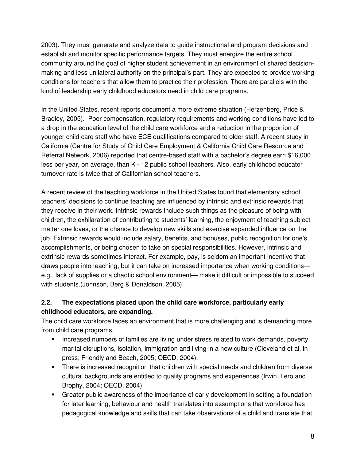2003). They must generate and analyze data to guide instructional and program decisions and establish and monitor specific performance targets. They must energize the entire school community around the goal of higher student achievement in an environment of shared decisionmaking and less unilateral authority on the principal's part. They are expected to provide working conditions for teachers that allow them to practice their profession. There are parallels with the kind of leadership early childhood educators need in child care programs.

In the United States, recent reports document a more extreme situation (Herzenberg, Price & Bradley, 2005). Poor compensation, regulatory requirements and working conditions have led to a drop in the education level of the child care workforce and a reduction in the proportion of younger child care staff who have ECE qualifications compared to older staff. A recent study in California (Centre for Study of Child Care Employment & California Child Care Resource and Referral Network, 2006) reported that centre-based staff with a bachelor's degree earn \$16,000 less per year, on average, than K - 12 public school teachers. Also, early childhood educator turnover rate is twice that of Californian school teachers.

A recent review of the teaching workforce in the United States found that elementary school teachers' decisions to continue teaching are influenced by intrinsic and extrinsic rewards that they receive in their work. Intrinsic rewards include such things as the pleasure of being with children, the exhilaration of contributing to students' learning, the enjoyment of teaching subject matter one loves, or the chance to develop new skills and exercise expanded influence on the job. Extrinsic rewards would include salary, benefits, and bonuses, public recognition for one's accomplishments, or being chosen to take on special responsibilities. However, intrinsic and extrinsic rewards sometimes interact. For example, pay, is seldom an important incentive that draws people into teaching, but it can take on increased importance when working conditions e.g., lack of supplies or a chaotic school environment— make it difficult or impossible to succeed with students.(Johnson, Berg & Donaldson, 2005).

#### **2.2. The expectations placed upon the child care workforce, particularly early childhood educators, are expanding.**

The child care workforce faces an environment that is more challenging and is demanding more from child care programs.

- **Increased numbers of families are living under stress related to work demands, poverty,** marital disruptions, isolation, immigration and living in a new culture (Cleveland et al, in press; Friendly and Beach, 2005; OECD, 2004).
- There is increased recognition that children with special needs and children from diverse cultural backgrounds are entitled to quality programs and experiences (Irwin, Lero and Brophy, 2004; OECD, 2004).
- Greater public awareness of the importance of early development in setting a foundation for later learning, behaviour and health translates into assumptions that workforce has pedagogical knowledge and skills that can take observations of a child and translate that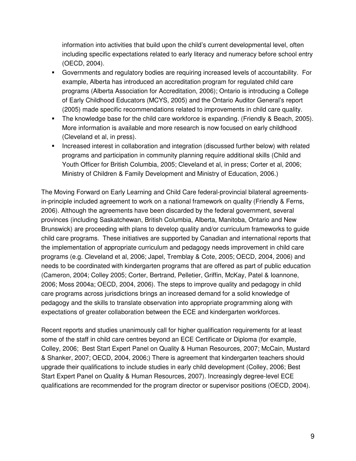information into activities that build upon the child's current developmental level, often including specific expectations related to early literacy and numeracy before school entry (OECD, 2004).

- Governments and regulatory bodies are requiring increased levels of accountability. For example, Alberta has introduced an accreditation program for regulated child care programs (Alberta Association for Accreditation, 2006); Ontario is introducing a College of Early Childhood Educators (MCYS, 2005) and the Ontario Auditor General's report (2005) made specific recommendations related to improvements in child care quality.
- The knowledge base for the child care workforce is expanding. (Friendly & Beach, 2005). More information is available and more research is now focused on early childhood (Cleveland et al, in press).
- Increased interest in collaboration and integration (discussed further below) with related programs and participation in community planning require additional skills (Child and Youth Officer for British Columbia, 2005; Cleveland et al, in press; Corter et al, 2006; Ministry of Children & Family Development and Ministry of Education, 2006.)

The Moving Forward on Early Learning and Child Care federal-provincial bilateral agreementsin-principle included agreement to work on a national framework on quality (Friendly & Ferns, 2006). Although the agreements have been discarded by the federal government, several provinces (including Saskatchewan, British Columbia, Alberta, Manitoba, Ontario and New Brunswick) are proceeding with plans to develop quality and/or curriculum frameworks to guide child care programs. These initiatives are supported by Canadian and international reports that the implementation of appropriate curriculum and pedagogy needs improvement in child care programs (e.g. Cleveland et al, 2006; Japel, Tremblay & Cote, 2005; OECD, 2004, 2006) and needs to be coordinated with kindergarten programs that are offered as part of public education (Cameron, 2004; Colley 2005; Corter, Bertrand, Pelletier, Griffin, McKay, Patel & Ioannone, 2006; Moss 2004a; OECD, 2004, 2006). The steps to improve quality and pedagogy in child care programs across jurisdictions brings an increased demand for a solid knowledge of pedagogy and the skills to translate observation into appropriate programming along with expectations of greater collaboration between the ECE and kindergarten workforces.

Recent reports and studies unanimously call for higher qualification requirements for at least some of the staff in child care centres beyond an ECE Certificate or Diploma (for example, Colley, 2006; Best Start Expert Panel on Quality & Human Resources, 2007; McCain, Mustard & Shanker, 2007; OECD, 2004, 2006;) There is agreement that kindergarten teachers should upgrade their qualifications to include studies in early child development (Colley, 2006; Best Start Expert Panel on Quality & Human Resources, 2007). Increasingly degree-level ECE qualifications are recommended for the program director or supervisor positions (OECD, 2004).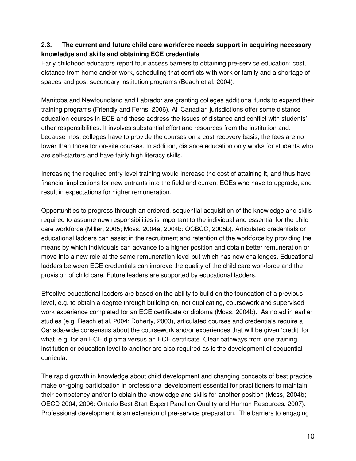#### **2.3. The current and future child care workforce needs support in acquiring necessary knowledge and skills and obtaining ECE credentials**

Early childhood educators report four access barriers to obtaining pre-service education: cost, distance from home and/or work, scheduling that conflicts with work or family and a shortage of spaces and post-secondary institution programs (Beach et al, 2004).

Manitoba and Newfoundland and Labrador are granting colleges additional funds to expand their training programs (Friendly and Ferns, 2006). All Canadian jurisdictions offer some distance education courses in ECE and these address the issues of distance and conflict with students' other responsibilities. It involves substantial effort and resources from the institution and, because most colleges have to provide the courses on a cost-recovery basis, the fees are no lower than those for on-site courses. In addition, distance education only works for students who are self-starters and have fairly high literacy skills.

Increasing the required entry level training would increase the cost of attaining it, and thus have financial implications for new entrants into the field and current ECEs who have to upgrade, and result in expectations for higher remuneration.

Opportunities to progress through an ordered, sequential acquisition of the knowledge and skills required to assume new responsibilities is important to the individual and essential for the child care workforce (Miller, 2005; Moss, 2004a, 2004b; OCBCC, 2005b). Articulated credentials or educational ladders can assist in the recruitment and retention of the workforce by providing the means by which individuals can advance to a higher position and obtain better remuneration or move into a new role at the same remuneration level but which has new challenges. Educational ladders between ECE credentials can improve the quality of the child care workforce and the provision of child care. Future leaders are supported by educational ladders.

Effective educational ladders are based on the ability to build on the foundation of a previous level, e.g. to obtain a degree through building on, not duplicating, coursework and supervised work experience completed for an ECE certificate or diploma (Moss, 2004b). As noted in earlier studies (e.g. Beach et al, 2004; Doherty, 2003), articulated courses and credentials require a Canada-wide consensus about the coursework and/or experiences that will be given 'credit' for what, e.g. for an ECE diploma versus an ECE certificate. Clear pathways from one training institution or education level to another are also required as is the development of sequential curricula.

The rapid growth in knowledge about child development and changing concepts of best practice make on-going participation in professional development essential for practitioners to maintain their competency and/or to obtain the knowledge and skills for another position (Moss, 2004b; OECD 2004, 2006; Ontario Best Start Expert Panel on Quality and Human Resources, 2007). Professional development is an extension of pre-service preparation. The barriers to engaging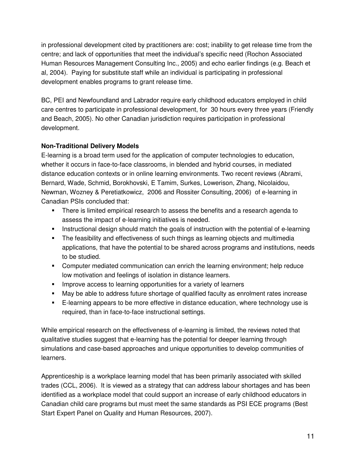in professional development cited by practitioners are: cost; inability to get release time from the centre; and lack of opportunities that meet the individual's specific need (Rochon Associated Human Resources Management Consulting Inc., 2005) and echo earlier findings (e.g. Beach et al, 2004). Paying for substitute staff while an individual is participating in professional development enables programs to grant release time.

BC, PEI and Newfoundland and Labrador require early childhood educators employed in child care centres to participate in professional development, for 30 hours every three years (Friendly and Beach, 2005). No other Canadian jurisdiction requires participation in professional development.

#### **Non-Traditional Delivery Models**

E-learning is a broad term used for the application of computer technologies to education, whether it occurs in face-to-face classrooms, in blended and hybrid courses, in mediated distance education contexts or in online learning environments. Two recent reviews (Abrami, Bernard, Wade, Schmid, Borokhovski, E Tamim, Surkes, Lowerison, Zhang, Nicolaidou, Newman, Wozney & Peretiatkowicz, 2006 and Rossiter Consulting, 2006) of e-learning in Canadian PSIs concluded that:

- There is limited empirical research to assess the benefits and a research agenda to assess the impact of e-learning initiatives is needed.
- Instructional design should match the goals of instruction with the potential of e-learning
- The feasibility and effectiveness of such things as learning objects and multimedia applications, that have the potential to be shared across programs and institutions, needs to be studied.
- Computer mediated communication can enrich the learning environment; help reduce low motivation and feelings of isolation in distance learners.
- **IMPROVE ACCESS to learning opportunities for a variety of learners**
- May be able to address future shortage of qualified faculty as enrolment rates increase
- E-learning appears to be more effective in distance education, where technology use is required, than in face-to-face instructional settings.

While empirical research on the effectiveness of e-learning is limited, the reviews noted that qualitative studies suggest that e-learning has the potential for deeper learning through simulations and case-based approaches and unique opportunities to develop communities of learners.

Apprenticeship is a workplace learning model that has been primarily associated with skilled trades (CCL, 2006). It is viewed as a strategy that can address labour shortages and has been identified as a workplace model that could support an increase of early childhood educators in Canadian child care programs but must meet the same standards as PSI ECE programs (Best Start Expert Panel on Quality and Human Resources, 2007).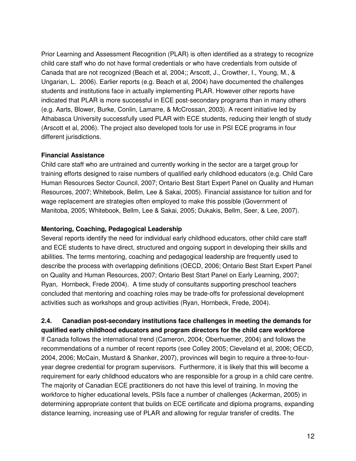Prior Learning and Assessment Recognition (PLAR) is often identified as a strategy to recognize child care staff who do not have formal credentials or who have credentials from outside of Canada that are not recognized (Beach et al, 2004;; Arscott, J., Crowther, I., Young, M., & Ungarian, L. 2006). Earlier reports (e.g. Beach et al, 2004) have documented the challenges students and institutions face in actually implementing PLAR. However other reports have indicated that PLAR is more successful in ECE post-secondary programs than in many others (e.g. Aarts, Blower, Burke, Conlin, Lamarre, & McCrossan, 2003). A recent initiative led by Athabasca University successfully used PLAR with ECE students, reducing their length of study (Arscott et al, 2006). The project also developed tools for use in PSI ECE programs in four different jurisdictions.

#### **Financial Assistance**

Child care staff who are untrained and currently working in the sector are a target group for training efforts designed to raise numbers of qualified early childhood educators (e.g. Child Care Human Resources Sector Council, 2007; Ontario Best Start Expert Panel on Quality and Human Resources, 2007; Whitebook, Bellm, Lee & Sakai, 2005). Financial assistance for tuition and for wage replacement are strategies often employed to make this possible (Government of Manitoba, 2005; Whitebook, Bellm, Lee & Sakai, 2005; Dukakis, Bellm, Seer, & Lee, 2007).

#### **Mentoring, Coaching, Pedagogical Leadership**

Several reports identify the need for individual early childhood educators, other child care staff and ECE students to have direct, structured and ongoing support in developing their skills and abilities. The terms mentoring, coaching and pedagogical leadership are frequently used to describe the process with overlapping definitions (OECD, 2006; Ontario Best Start Expert Panel on Quality and Human Resources, 2007; Ontario Best Start Panel on Early Learning, 2007; Ryan, Hornbeck, Frede 2004). A time study of consultants supporting preschool teachers concluded that mentoring and coaching roles may be trade-offs for professional development activities such as workshops and group activities (Ryan, Hornbeck, Frede, 2004).

#### **2.4. Canadian post-secondary institutions face challenges in meeting the demands for qualified early childhood educators and program directors for the child care workforce**

If Canada follows the international trend (Cameron, 2004; Oberhuemer, 2004) and follows the recommendations of a number of recent reports (see Colley 2005; Cleveland et al, 2006; OECD, 2004, 2006; McCain, Mustard & Shanker, 2007), provinces will begin to require a three-to-fouryear degree credential for program supervisors. Furthermore, it is likely that this will become a requirement for early childhood educators who are responsible for a group in a child care centre. The majority of Canadian ECE practitioners do not have this level of training. In moving the workforce to higher educational levels, PSIs face a number of challenges (Ackerman, 2005) in determining appropriate content that builds on ECE certificate and diploma programs, expanding distance learning, increasing use of PLAR and allowing for regular transfer of credits. The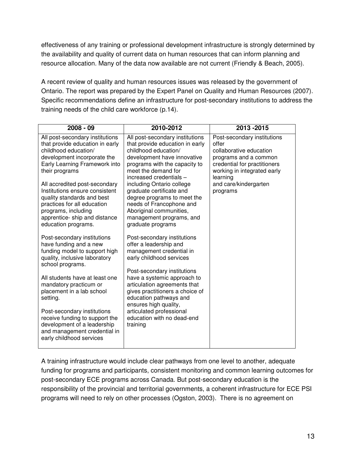effectiveness of any training or professional development infrastructure is strongly determined by the availability and quality of current data on human resources that can inform planning and resource allocation. Many of the data now available are not current (Friendly & Beach, 2005).

A recent review of quality and human resources issues was released by the government of Ontario. The report was prepared by the Expert Panel on Quality and Human Resources (2007). Specific recommendations define an infrastructure for post-secondary institutions to address the training needs of the child care workforce (p.14).

| $2008 - 09$                                                                                                                                                                                                                                                                                                                                                                                 | 2010-2012                                                                                                                                                                                                                                                                                                                                                                                                    | 2013-2015                                                                                                                                                                                                |
|---------------------------------------------------------------------------------------------------------------------------------------------------------------------------------------------------------------------------------------------------------------------------------------------------------------------------------------------------------------------------------------------|--------------------------------------------------------------------------------------------------------------------------------------------------------------------------------------------------------------------------------------------------------------------------------------------------------------------------------------------------------------------------------------------------------------|----------------------------------------------------------------------------------------------------------------------------------------------------------------------------------------------------------|
| All post-secondary institutions<br>that provide education in early<br>childhood education/<br>development incorporate the<br>Early Learning Framework into<br>their programs<br>All accredited post-secondary<br>Institutions ensure consistent<br>quality standards and best<br>practices for all education<br>programs, including<br>apprentice- ship and distance<br>education programs. | All post-secondary institutions<br>that provide education in early<br>childhood education/<br>development have innovative<br>programs with the capacity to<br>meet the demand for<br>increased credentials -<br>including Ontario college<br>graduate certificate and<br>degree programs to meet the<br>needs of Francophone and<br>Aboriginal communities,<br>management programs, and<br>graduate programs | Post-secondary institutions<br>offer<br>collaborative education<br>programs and a common<br>credential for practitioners<br>working in integrated early<br>learning<br>and care/kindergarten<br>programs |
| Post-secondary institutions<br>have funding and a new<br>funding model to support high<br>quality, inclusive laboratory<br>school programs.<br>All students have at least one<br>mandatory practicum or<br>placement in a lab school<br>setting.                                                                                                                                            | Post-secondary institutions<br>offer a leadership and<br>management credential in<br>early childhood services<br>Post-secondary institutions<br>have a systemic approach to<br>articulation agreements that<br>gives practitioners a choice of<br>education pathways and<br>ensures high quality,                                                                                                            |                                                                                                                                                                                                          |
| Post-secondary institutions<br>receive funding to support the<br>development of a leadership<br>and management credential in<br>early childhood services                                                                                                                                                                                                                                    | articulated professional<br>education with no dead-end<br>training                                                                                                                                                                                                                                                                                                                                           |                                                                                                                                                                                                          |

A training infrastructure would include clear pathways from one level to another, adequate funding for programs and participants, consistent monitoring and common learning outcomes for post-secondary ECE programs across Canada. But post-secondary education is the responsibility of the provincial and territorial governments, a coherent infrastructure for ECE PSI programs will need to rely on other processes (Ogston, 2003). There is no agreement on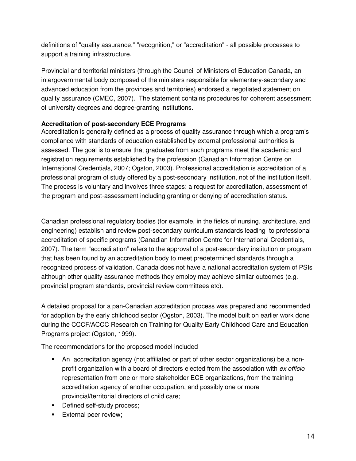definitions of "quality assurance," "recognition," or "accreditation" - all possible processes to support a training infrastructure.

Provincial and territorial ministers (through the Council of Ministers of Education Canada, an intergovernmental body composed of the ministers responsible for elementary-secondary and advanced education from the provinces and territories) endorsed a negotiated statement on quality assurance (CMEC, 2007). The statement contains procedures for coherent assessment of university degrees and degree-granting institutions.

#### **Accreditation of post-secondary ECE Programs**

Accreditation is generally defined as a process of quality assurance through which a program's compliance with standards of education established by external professional authorities is assessed. The goal is to ensure that graduates from such programs meet the academic and registration requirements established by the profession (Canadian Information Centre on International Credentials, 2007; Ogston, 2003). Professional accreditation is accreditation of a professional program of study offered by a post-secondary institution, not of the institution itself. The process is voluntary and involves three stages: a request for accreditation, assessment of the program and post-assessment including granting or denying of accreditation status.

Canadian professional regulatory bodies (for example, in the fields of nursing, architecture, and engineering) establish and review post-secondary curriculum standards leading to professional accreditation of specific programs (Canadian Information Centre for International Credentials, 2007). The term "accreditation" refers to the approval of a post-secondary institution or program that has been found by an accreditation body to meet predetermined standards through a recognized process of validation. Canada does not have a national accreditation system of PSIs although other quality assurance methods they employ may achieve similar outcomes (e.g. provincial program standards, provincial review committees etc).

A detailed proposal for a pan-Canadian accreditation process was prepared and recommended for adoption by the early childhood sector (Ogston, 2003). The model built on earlier work done during the CCCF/ACCC Research on Training for Quality Early Childhood Care and Education Programs project (Ogston, 1999).

The recommendations for the proposed model included

- An accreditation agency (not affiliated or part of other sector organizations) be a nonprofit organization with a board of directors elected from the association with ex officio representation from one or more stakeholder ECE organizations, from the training accreditation agency of another occupation, and possibly one or more provincial/territorial directors of child care;
- Defined self-study process;
- **External peer review;**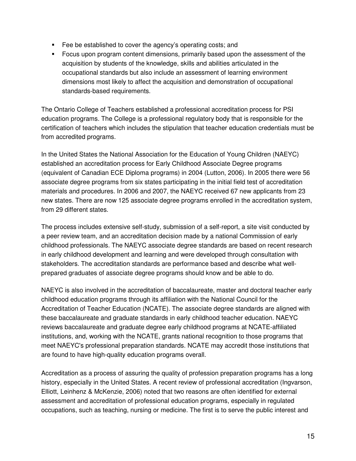- **Fee be established to cover the agency's operating costs; and**
- Focus upon program content dimensions, primarily based upon the assessment of the acquisition by students of the knowledge, skills and abilities articulated in the occupational standards but also include an assessment of learning environment dimensions most likely to affect the acquisition and demonstration of occupational standards-based requirements.

The Ontario College of Teachers established a professional accreditation process for PSI education programs. The College is a professional regulatory body that is responsible for the certification of teachers which includes the stipulation that teacher education credentials must be from accredited programs.

In the United States the National Association for the Education of Young Children (NAEYC) established an accreditation process for Early Childhood Associate Degree programs (equivalent of Canadian ECE Diploma programs) in 2004 (Lutton, 2006). In 2005 there were 56 associate degree programs from six states participating in the initial field test of accreditation materials and procedures. In 2006 and 2007, the NAEYC received 67 new applicants from 23 new states. There are now 125 associate degree programs enrolled in the accreditation system, from 29 different states.

The process includes extensive self-study, submission of a self-report, a site visit conducted by a peer review team, and an accreditation decision made by a national Commission of early childhood professionals. The NAEYC associate degree standards are based on recent research in early childhood development and learning and were developed through consultation with stakeholders. The accreditation standards are performance based and describe what wellprepared graduates of associate degree programs should know and be able to do.

NAEYC is also involved in the accreditation of baccalaureate, master and doctoral teacher early childhood education programs through its affiliation with the National Council for the Accreditation of Teacher Education (NCATE). The associate degree standards are aligned with these baccalaureate and graduate standards in early childhood teacher education. NAEYC reviews baccalaureate and graduate degree early childhood programs at NCATE-affiliated institutions, and, working with the NCATE, grants national recognition to those programs that meet NAEYC's professional preparation standards. NCATE may accredit those institutions that are found to have high-quality education programs overall.

Accreditation as a process of assuring the quality of profession preparation programs has a long history, especially in the United States. A recent review of professional accreditation (Ingvarson, Elliott, Leinhenz & McKenzie, 2006) noted that two reasons are often identified for external assessment and accreditation of professional education programs, especially in regulated occupations, such as teaching, nursing or medicine. The first is to serve the public interest and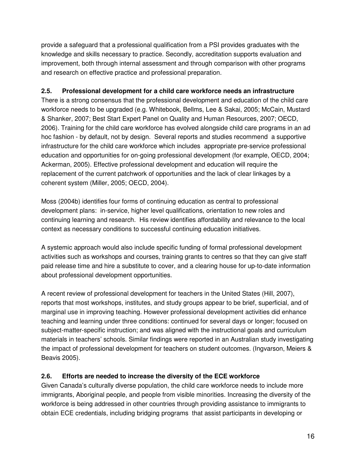provide a safeguard that a professional qualification from a PSI provides graduates with the knowledge and skills necessary to practice. Secondly, accreditation supports evaluation and improvement, both through internal assessment and through comparison with other programs and research on effective practice and professional preparation.

#### **2.5. Professional development for a child care workforce needs an infrastructure**

There is a strong consensus that the professional development and education of the child care workforce needs to be upgraded (e.g. Whitebook, Bellms, Lee & Sakai, 2005; McCain, Mustard & Shanker, 2007; Best Start Expert Panel on Quality and Human Resources, 2007; OECD, 2006). Training for the child care workforce has evolved alongside child care programs in an ad hoc fashion - by default, not by design. Several reports and studies recommend a supportive infrastructure for the child care workforce which includes appropriate pre-service professional education and opportunities for on-going professional development (for example, OECD, 2004; Ackerman, 2005). Effective professional development and education will require the replacement of the current patchwork of opportunities and the lack of clear linkages by a coherent system (Miller, 2005; OECD, 2004).

Moss (2004b) identifies four forms of continuing education as central to professional development plans: in-service, higher level qualifications, orientation to new roles and continuing learning and research. His review identifies affordability and relevance to the local context as necessary conditions to successful continuing education initiatives.

A systemic approach would also include specific funding of formal professional development activities such as workshops and courses, training grants to centres so that they can give staff paid release time and hire a substitute to cover, and a clearing house for up-to-date information about professional development opportunities.

A recent review of professional development for teachers in the United States (Hill, 2007), reports that most workshops, institutes, and study groups appear to be brief, superficial, and of marginal use in improving teaching. However professional development activities did enhance teaching and learning under three conditions: continued for several days or longer; focused on subject-matter-specific instruction; and was aligned with the instructional goals and curriculum materials in teachers' schools. Similar findings were reported in an Australian study investigating the impact of professional development for teachers on student outcomes. (Ingvarson, Meiers & Beavis 2005).

#### **2.6. Efforts are needed to increase the diversity of the ECE workforce**

Given Canada's culturally diverse population, the child care workforce needs to include more immigrants, Aboriginal people, and people from visible minorities. Increasing the diversity of the workforce is being addressed in other countries through providing assistance to immigrants to obtain ECE credentials, including bridging programs that assist participants in developing or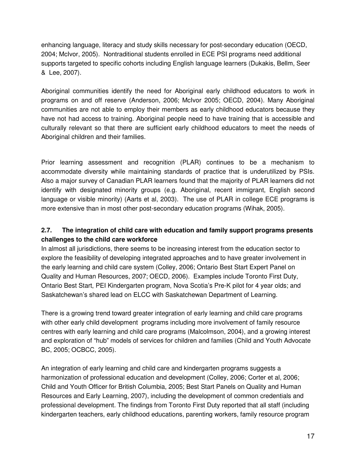enhancing language, literacy and study skills necessary for post-secondary education (OECD, 2004; McIvor, 2005). Nontraditional students enrolled in ECE PSI programs need additional supports targeted to specific cohorts including English language learners (Dukakis, Bellm, Seer & Lee, 2007).

Aboriginal communities identify the need for Aboriginal early childhood educators to work in programs on and off reserve (Anderson, 2006; McIvor 2005; OECD, 2004). Many Aboriginal communities are not able to employ their members as early childhood educators because they have not had access to training. Aboriginal people need to have training that is accessible and culturally relevant so that there are sufficient early childhood educators to meet the needs of Aboriginal children and their families.

Prior learning assessment and recognition (PLAR) continues to be a mechanism to accommodate diversity while maintaining standards of practice that is underutilized by PSIs. Also a major survey of Canadian PLAR learners found that the majority of PLAR learners did not identify with designated minority groups (e.g. Aboriginal, recent immigrant, English second language or visible minority) (Aarts et al, 2003). The use of PLAR in college ECE programs is more extensive than in most other post-secondary education programs (Wihak, 2005).

#### **2.7. The integration of child care with education and family support programs presents challenges to the child care workforce**

In almost all jurisdictions, there seems to be increasing interest from the education sector to explore the feasibility of developing integrated approaches and to have greater involvement in the early learning and child care system (Colley, 2006; Ontario Best Start Expert Panel on Quality and Human Resources, 2007; OECD, 2006). Examples include Toronto First Duty, Ontario Best Start, PEI Kindergarten program, Nova Scotia's Pre-K pilot for 4 year olds; and Saskatchewan's shared lead on ELCC with Saskatchewan Department of Learning.

There is a growing trend toward greater integration of early learning and child care programs with other early child development programs including more involvement of family resource centres with early learning and child care programs (Malcolmson, 2004), and a growing interest and exploration of "hub" models of services for children and families (Child and Youth Advocate BC, 2005; OCBCC, 2005).

An integration of early learning and child care and kindergarten programs suggests a harmonization of professional education and development (Colley, 2006; Corter et al, 2006; Child and Youth Officer for British Columbia, 2005; Best Start Panels on Quality and Human Resources and Early Learning, 2007), including the development of common credentials and professional development. The findings from Toronto First Duty reported that all staff (including kindergarten teachers, early childhood educations, parenting workers, family resource program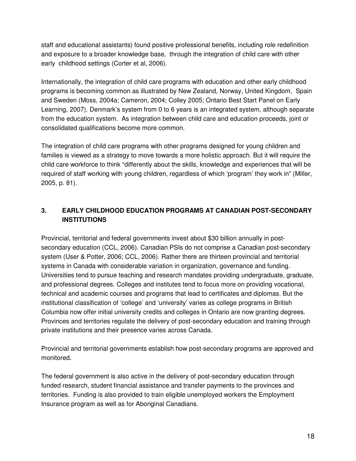staff and educational assistants) found positive professional benefits, including role redefinition and exposure to a broader knowledge base, through the integration of child care with other early childhood settings (Corter et al, 2006).

Internationally, the integration of child care programs with education and other early childhood programs is becoming common as illustrated by New Zealand, Norway, United Kingdom, Spain and Sweden (Moss, 2004a; Cameron, 2004; Colley 2005; Ontario Best Start Panel on Early Learning, 2007). Denmark's system from 0 to 6 years is an integrated system, although separate from the education system. As integration between child care and education proceeds, joint or consolidated qualifications become more common.

The integration of child care programs with other programs designed for young children and families is viewed as a strategy to move towards a more holistic approach. But it will require the child care workforce to think "differently about the skills, knowledge and experiences that will be required of staff working with young children, regardless of which 'program' they work in" (Miller, 2005, p. 81).

#### **3. EARLY CHILDHOOD EDUCATION PROGRAMS AT CANADIAN POST-SECONDARY INSTITUTIONS**

Provincial, territorial and federal governments invest about \$30 billion annually in postsecondary education (CCL, 2006). Canadian PSIs do not comprise a Canadian post-secondary system (User & Potter, 2006; CCL, 2006). Rather there are thirteen provincial and territorial systems in Canada with considerable variation in organization, governance and funding. Universities tend to pursue teaching and research mandates providing undergraduate, graduate, and professional degrees. Colleges and institutes tend to focus more on providing vocational, technical and academic courses and programs that lead to certificates and diplomas. But the institutional classification of 'college' and 'university' varies as college programs in British Columbia now offer initial university credits and colleges in Ontario are now granting degrees. Provinces and territories regulate the delivery of post-secondary education and training through private institutions and their presence varies across Canada.

Provincial and territorial governments establish how post-secondary programs are approved and monitored.

The federal government is also active in the delivery of post-secondary education through funded research, student financial assistance and transfer payments to the provinces and territories. Funding is also provided to train eligible unemployed workers the Employment Insurance program as well as for Aboriginal Canadians.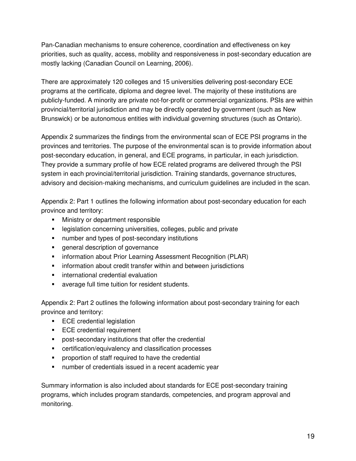Pan-Canadian mechanisms to ensure coherence, coordination and effectiveness on key priorities, such as quality, access, mobility and responsiveness in post-secondary education are mostly lacking (Canadian Council on Learning, 2006).

There are approximately 120 colleges and 15 universities delivering post-secondary ECE programs at the certificate, diploma and degree level. The majority of these institutions are publicly-funded. A minority are private not-for-profit or commercial organizations. PSIs are within provincial/territorial jurisdiction and may be directly operated by government (such as New Brunswick) or be autonomous entities with individual governing structures (such as Ontario).

Appendix 2 summarizes the findings from the environmental scan of ECE PSI programs in the provinces and territories. The purpose of the environmental scan is to provide information about post-secondary education, in general, and ECE programs, in particular, in each jurisdiction. They provide a summary profile of how ECE related programs are delivered through the PSI system in each provincial/territorial jurisdiction. Training standards, governance structures, advisory and decision-making mechanisms, and curriculum guidelines are included in the scan.

Appendix 2: Part 1 outlines the following information about post-secondary education for each province and territory:

- Ministry or department responsible
- **EXECTE:** legislation concerning universities, colleges, public and private
- number and types of post-secondary institutions
- general description of governance
- **EXECT** information about Prior Learning Assessment Recognition (PLAR)
- **EXEDENT** information about credit transfer within and between jurisdictions
- **EXECUTE:** international credential evaluation
- average full time tuition for resident students.

Appendix 2: Part 2 outlines the following information about post-secondary training for each province and territory:

- **ECE** credential legislation
- **ECE** credential requirement
- post-secondary institutions that offer the credential
- **EXEC** certification/equivalency and classification processes
- **•** proportion of staff required to have the credential
- number of credentials issued in a recent academic year

Summary information is also included about standards for ECE post-secondary training programs, which includes program standards, competencies, and program approval and monitoring.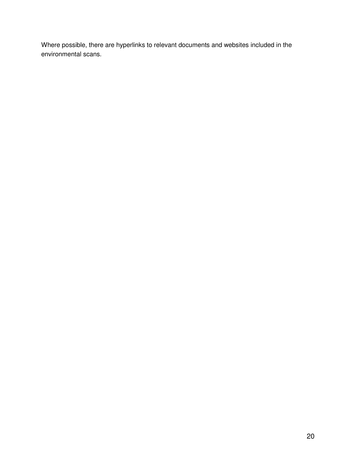Where possible, there are hyperlinks to relevant documents and websites included in the environmental scans.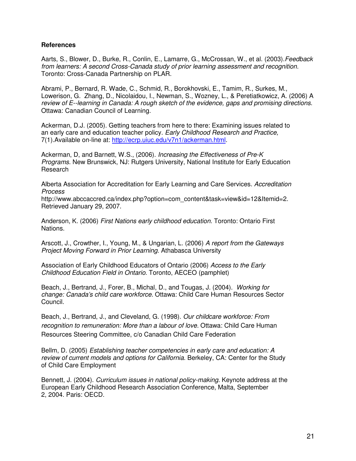#### **References**

Aarts, S., Blower, D., Burke, R., Conlin, E., Lamarre, G., McCrossan, W., et al. (2003). Feedback from learners: A second Cross-Canada study of prior learning assessment and recognition. Toronto: Cross-Canada Partnership on PLAR.

Abrami, P., Bernard, R. Wade, C., Schmid, R., Borokhovski, E., Tamim, R., Surkes, M., Lowerison, G. Zhang, D., Nicolaidou, I., Newman, S., Wozney, L., & Peretiatkowicz, A. (2006) A review of E--learning in Canada: A rough sketch of the evidence, gaps and promising directions. Ottawa: Canadian Council of Learning.

Ackerman, D.J. (2005). Getting teachers from here to there: Examining issues related to an early care and education teacher policy. Early Childhood Research and Practice, 7(1).Available on-line at: http://ecrp.uiuc.edu/v7n1/ackerman.html.

Ackerman, D, and Barnett, W.S., (2006). Increasing the Effectiveness of Pre-K Programs. New Brunswick, NJ: Rutgers University, National Institute for Early Education Research

Alberta Association for Accreditation for Early Learning and Care Services. Accreditation Process

http://www.abccaccred.ca/index.php?option=com\_content&task=view&id=12&Itemid=2. Retrieved January 29, 2007.

Anderson, K. (2006) First Nations early childhood education. Toronto: Ontario First Nations.

Arscott, J., Crowther, I., Young, M., & Ungarian, L. (2006) A report from the Gateways Project Moving Forward in Prior Learning. Athabasca University

Association of Early Childhood Educators of Ontario (2006) Access to the Early Childhood Education Field in Ontario. Toronto, AECEO (pamphlet)

Beach, J., Bertrand, J., Forer, B., Michal, D., and Tougas, J. (2004). Working for change: Canada's child care workforce. Ottawa: Child Care Human Resources Sector Council.

Beach, J., Bertrand, J., and Cleveland, G. (1998). Our childcare workforce: From recognition to remuneration: More than a labour of love. Ottawa: Child Care Human Resources Steering Committee, c/o Canadian Child Care Federation

Bellm, D. (2005) Establishing teacher competencies in early care and education: A review of current models and options for California. Berkeley, CA: Center for the Study of Child Care Employment

Bennett, J. (2004). Curriculum issues in national policy-making. Keynote address at the European Early Childhood Research Association Conference, Malta, September 2, 2004. Paris: OECD.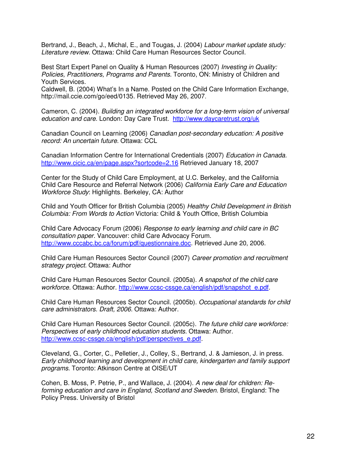Bertrand, J., Beach, J., Michal, E., and Tougas, J. (2004) Labour market update study: Literature review. Ottawa: Child Care Human Resources Sector Council.

Best Start Expert Panel on Quality & Human Resources (2007) Investing in Quality: Policies, Practitioners, Programs and Parents. Toronto, ON: Ministry of Children and Youth Services.

Caldwell, B. (2004) What's In a Name. Posted on the Child Care Information Exchange, http://mail.ccie.com/go/eed/0135. Retrieved May 26, 2007.

Cameron, C. (2004). Building an integrated workforce for a long-term vision of universal education and care. London: Day Care Trust. http://www.daycaretrust.org/uk

Canadian Council on Learning (2006) Canadian post-secondary education: A positive record: An uncertain future. Ottawa: CCL

Canadian Information Centre for International Credentials (2007) Education in Canada. http://www.cicic.ca/en/page.aspx?sortcode=2.16 Retrieved January 18, 2007

Center for the Study of Child Care Employment, at U.C. Berkeley, and the California Child Care Resource and Referral Network (2006) California Early Care and Education Workforce Study: Highlights. Berkeley, CA: Author

Child and Youth Officer for British Columbia (2005) Healthy Child Development in British Columbia: From Words to Action Victoria: Child & Youth Office, British Columbia

Child Care Advocacy Forum (2006) Response to early learning and child care in BC consultation paper. Vancouver: child Care Advocacy Forum. http://www.cccabc.bc.ca/forum/pdf/questionnaire.doc. Retrieved June 20, 2006.

Child Care Human Resources Sector Council (2007) Career promotion and recruitment strategy project. Ottawa: Author

Child Care Human Resources Sector Council. (2005a). A snapshot of the child care workforce. Ottawa: Author. http://www.ccsc-cssge.ca/english/pdf/snapshot\_e.pdf.

Child Care Human Resources Sector Council. (2005b). Occupational standards for child care administrators. Draft, 2006. Ottawa: Author.

Child Care Human Resources Sector Council. (2005c). The future child care workforce: Perspectives of early childhood education students. Ottawa: Author. http://www.ccsc-cssge.ca/english/pdf/perspectives\_e.pdf.

Cleveland, G., Corter, C., Pelletier, J., Colley, S., Bertrand, J. & Jamieson, J. in press. Early childhood learning and development in child care, kindergarten and family support programs. Toronto: Atkinson Centre at OISE/UT

Cohen, B. Moss, P. Petrie, P., and Wallace, J. (2004). A new deal for children: Reforming education and care in England, Scotland and Sweden. Bristol, England: The Policy Press. University of Bristol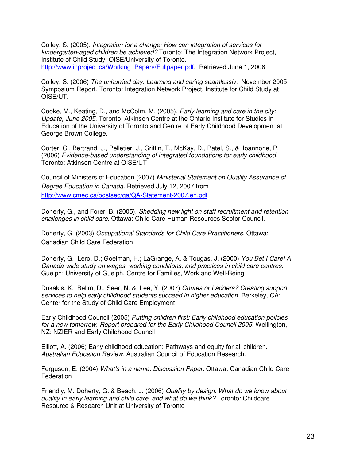Colley, S. (2005). Integration for a change: How can integration of services for kindergarten-aged children be achieved? Toronto: The Integration Network Project, Institute of Child Study, OISE/University of Toronto. http://www.inproject.ca/Working\_Papers/Fullpaper.pdf. Retrieved June 1, 2006

Colley, S. (2006) The unhurried day: Learning and caring seamlessly. November 2005 Symposium Report. Toronto: Integration Network Project, Institute for Child Study at OISE/UT.

Cooke, M., Keating, D., and McColm, M. (2005). Early learning and care in the city: Update, June 2005. Toronto: Atkinson Centre at the Ontario Institute for Studies in Education of the University of Toronto and Centre of Early Childhood Development at George Brown College.

Corter, C., Bertrand, J., Pelletier, J., Griffin, T., McKay, D., Patel, S., & Ioannone, P. (2006) Evidence-based understanding of integrated foundations for early childhood. Toronto: Atkinson Centre at OISE/UT

Council of Ministers of Education (2007) Ministerial Statement on Quality Assurance of Degree Education in Canada. Retrieved July 12, 2007 from http://www.cmec.ca/postsec/qa/QA-Statement-2007.en.pdf

Doherty, G., and Forer, B. (2005). Shedding new light on staff recruitment and retention challenges in child care. Ottawa: Child Care Human Resources Sector Council.

Doherty, G. (2003) Occupational Standards for Child Care Practitioners. Ottawa: Canadian Child Care Federation

Doherty, G.; Lero, D.; Goelman, H.; LaGrange, A. & Tougas, J. (2000) You Bet I Care! A Canada-wide study on wages, working conditions, and practices in child care centres. Guelph: University of Guelph, Centre for Families, Work and Well-Being

Dukakis, K. Bellm, D., Seer, N. & Lee, Y. (2007) Chutes or Ladders? Creating support services to help early childhood students succeed in higher education. Berkeley, CA: Center for the Study of Child Care Employment

Early Childhood Council (2005) Putting children first: Early childhood education policies for a new tomorrow. Report prepared for the Early Childhood Council 2005. Wellington, NZ: NZIER and Early Childhood Council

Elliott, A. (2006) Early childhood education: Pathways and equity for all children. Australian Education Review. Australian Council of Education Research.

Ferguson, E. (2004) What's in a name: Discussion Paper. Ottawa: Canadian Child Care **Federation** 

Friendly, M. Doherty, G. & Beach, J. (2006) Quality by design. What do we know about quality in early learning and child care, and what do we think? Toronto: Childcare Resource & Research Unit at University of Toronto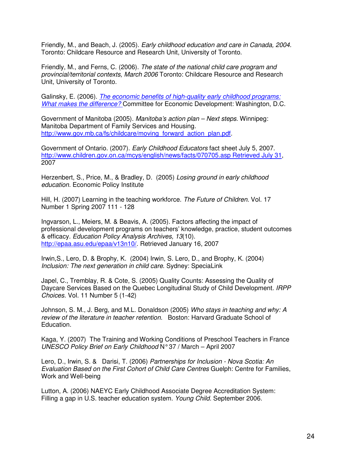Friendly, M., and Beach, J. (2005). Early childhood education and care in Canada, 2004. Toronto: Childcare Resource and Research Unit, University of Toronto.

Friendly, M., and Ferns, C. (2006). The state of the national child care program and provincial/territorial contexts, March 2006 Toronto: Childcare Resource and Research Unit, University of Toronto.

Galinsky, E. (2006). The economic benefits of high-quality early childhood programs: What makes the difference? Committee for Economic Development: Washington, D.C.

Government of Manitoba (2005). Manitoba's action plan – Next steps. Winnipeg: Manitoba Department of Family Services and Housing. http://www.gov.mb.ca/fs/childcare/moving\_forward\_action\_plan.pdf.

Government of Ontario. (2007). Early Childhood Educators fact sheet July 5, 2007. http://www.children.gov.on.ca/mcys/english/news/facts/070705.asp Retrieved July 31, 2007

Herzenbert, S., Price, M., & Bradley, D. (2005) Losing ground in early childhood education. Economic Policy Institute

Hill, H. (2007) Learning in the teaching workforce. The Future of Children. Vol. 17 Number 1 Spring 2007 111 - 128

Ingvarson, L., Meiers, M. & Beavis, A. (2005). Factors affecting the impact of professional development programs on teachers' knowledge, practice, student outcomes & efficacy. Education Policy Analysis Archives, 13(10). http://epaa.asu.edu/epaa/v13n10/. Retrieved January 16, 2007

Irwin,S., Lero, D. & Brophy, K. (2004) Irwin, S. Lero, D., and Brophy, K. (2004) Inclusion: The next generation in child care. Sydney: SpeciaLink

Japel, C., Tremblay, R. & Cote, S. (2005) Quality Counts: Assessing the Quality of Daycare Services Based on the Quebec Longitudinal Study of Child Development. IRPP Choices. Vol. 11 Number 5 (1-42)

Johnson, S. M., J. Berg, and M.L. Donaldson (2005) Who stays in teaching and why: A review of the literature in teacher retention. Boston: Harvard Graduate School of Education.

Kaga, Y. (2007) The Training and Working Conditions of Preschool Teachers in France UNESCO Policy Brief on Early Childhood N° 37 / March – April 2007

Lero, D., Irwin, S. & Darisi, T. (2006) Partnerships for Inclusion - Nova Scotia: An Evaluation Based on the First Cohort of Child Care Centres Guelph: Centre for Families, Work and Well-being

Lutton, A. (2006) NAEYC Early Childhood Associate Degree Accreditation System: Filling a gap in U.S. teacher education system. Young Child. September 2006.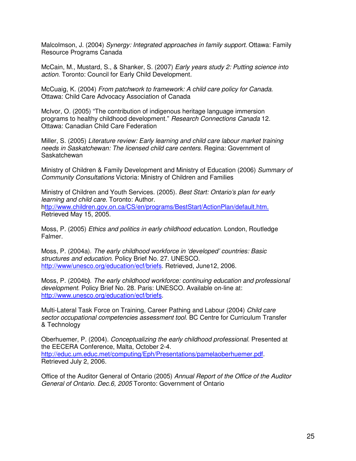Malcolmson, J. (2004) Synergy: Integrated approaches in family support. Ottawa: Family Resource Programs Canada

McCain, M., Mustard, S., & Shanker, S. (2007) Early years study 2: Putting science into action. Toronto: Council for Early Child Development.

McCuaig, K. (2004) From patchwork to framework: A child care policy for Canada. Ottawa: Child Care Advocacy Association of Canada

McIvor, O. (2005) "The contribution of indigenous heritage language immersion programs to healthy childhood development." Research Connections Canada 12. Ottawa: Canadian Child Care Federation

Miller, S. (2005) Literature review: Early learning and child care labour market training needs in Saskatchewan: The licensed child care centers. Regina: Government of Saskatchewan

Ministry of Children & Family Development and Ministry of Education (2006) Summary of Community Consultations Victoria: Ministry of Children and Families

Ministry of Children and Youth Services. (2005). Best Start: Ontario's plan for early learning and child care. Toronto: Author. http://www.children.gov.on.ca/CS/en/programs/BestStart/ActionPlan/default.htm. Retrieved May 15, 2005.

Moss, P. (2005) Ethics and politics in early childhood education. London, Routledge Falmer.

Moss, P. (2004a). The early childhood workforce in 'developed' countries: Basic structures and education. Policy Brief No. 27. UNESCO. http://www/unesco.org/education/ecf/briefs. Retrieved, June12, 2006.

Moss, P. (2004b**)**. The early childhood workforce: continuing education and professional development. Policy Brief No. 28. Paris: UNESCO. Available on-line at: http://www.unesco.org/education/ecf/briefs.

Multi-Lateral Task Force on Training, Career Pathing and Labour (2004) Child care sector occupational competencies assessment tool. BC Centre for Curriculum Transfer & Technology

Oberhuemer, P. (2004). Conceptualizing the early childhood professional. Presented at the EECERA Conference, Malta, October 2-4. http://educ.um.educ.met/computing/Eph/Presentations/pamelaoberhuemer.pdf. Retrieved July 2, 2006.

Office of the Auditor General of Ontario (2005) Annual Report of the Office of the Auditor General of Ontario. Dec.6, 2005 Toronto: Government of Ontario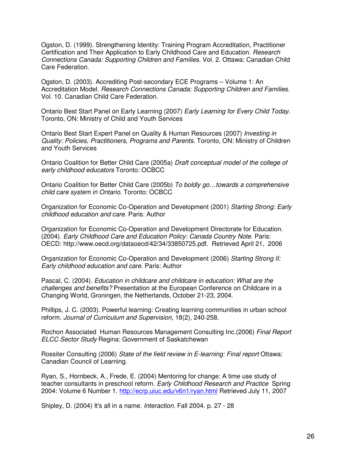Ogston, D. (1999). Strengthening Identity: Training Program Accreditation, Practitioner Certification and Their Application to Early Childhood Care and Education. Research Connections Canada: Supporting Children and Families. Vol. 2. Ottawa: Canadian Child Care Federation.

Ogston, D. (2003). Accrediting Post-secondary ECE Programs – Volume 1: An Accreditation Model. Research Connections Canada: Supporting Children and Families. Vol. 10. Canadian Child Care Federation.

Ontario Best Start Panel on Early Learning (2007) Early Learning for Every Child Today. Toronto, ON: Ministry of Child and Youth Services

Ontario Best Start Expert Panel on Quality & Human Resources (2007) Investing in Quality: Policies, Practitioners, Programs and Parents. Toronto, ON: Ministry of Children and Youth Services

Ontario Coalition for Better Child Care (2005a) Draft conceptual model of the college of early childhood educators Toronto: OCBCC

Ontario Coalition for Better Child Care (2005b) To boldly go...towards a comprehensive child care system in Ontario. Toronto: OCBCC

Organization for Economic Co-Operation and Development (2001) Starting Strong: Early childhood education and care. Paris: Author

Organization for Economic Co-Operation and Development Directorate for Education. (2004). Early Childhood Care and Education Policy: Canada Country Note. Paris: OECD: http://www.oecd.org/dataoecd/42/34/33850725.pdf. Retrieved April 21, 2006

Organization for Economic Co-Operation and Development (2006) Starting Strong II: Early childhood education and care. Paris: Author

Pascal, C. (2004). Education in childcare and childcare in education: What are the challenges and benefits? Presentation at the European Conference on Childcare in a Changing World, Groningen, the Netherlands, October 21-23, 2004.

Phillips, J. C. (2003). Powerful learning: Creating learning communities in urban school reform. Journal of Curriculum and Supervision, 18(2), 240-258.

Rochon Associated Human Resources Management Consulting Inc.(2006) Final Report ELCC Sector Study Regina: Government of Saskatchewan

Rossiter Consulting (2006) State of the field review in E-learning: Final report Ottawa: Canadian Council of Learning.

Ryan, S., Hornbeck, A., Frede, E. (2004) Mentoring for change: A time use study of teacher consultants in preschool reform. Early Childhood Research and Practice Spring 2004: Volume 6 Number 1. http://ecrp.uiuc.edu/v6n1/ryan.html Retrieved July 11, 2007

Shipley, D. (2004) It's all in a name. Interaction. Fall 2004. p. 27 - 28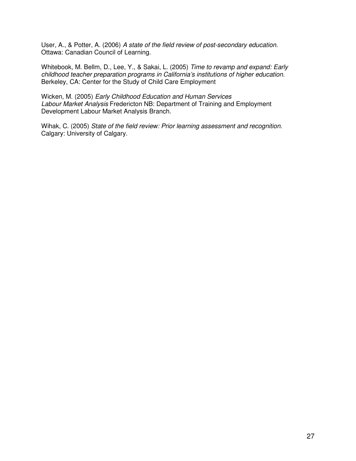User, A., & Potter, A. (2006) A state of the field review of post-secondary education. Ottawa: Canadian Council of Learning.

Whitebook, M. Bellm, D., Lee, Y., & Sakai, L. (2005) Time to revamp and expand: Early childhood teacher preparation programs in California's institutions of higher education. Berkeley, CA: Center for the Study of Child Care Employment

Wicken, M. (2005) Early Childhood Education and Human Services Labour Market Analysis Fredericton NB: Department of Training and Employment Development Labour Market Analysis Branch.

Wihak, C. (2005) State of the field review: Prior learning assessment and recognition. Calgary: University of Calgary.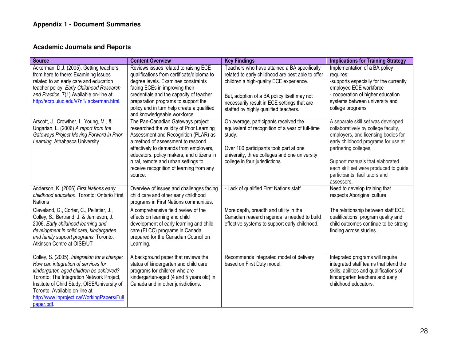#### **Academic Journals and Reports**

| <b>Source</b>                                                                                                                                                                                                                                                                                                             | <b>Content Overview</b>                                                                                                                                                                                                                                                                                                                          | <b>Key Findings</b>                                                                                                                                                                                                                                                                 | <b>Implications for Training Strategy</b>                                                                                                                                                                                                                                                                   |
|---------------------------------------------------------------------------------------------------------------------------------------------------------------------------------------------------------------------------------------------------------------------------------------------------------------------------|--------------------------------------------------------------------------------------------------------------------------------------------------------------------------------------------------------------------------------------------------------------------------------------------------------------------------------------------------|-------------------------------------------------------------------------------------------------------------------------------------------------------------------------------------------------------------------------------------------------------------------------------------|-------------------------------------------------------------------------------------------------------------------------------------------------------------------------------------------------------------------------------------------------------------------------------------------------------------|
| Ackerman, D.J. (2005). Getting teachers<br>from here to there: Examining issues<br>related to an early care and education<br>teacher policy. Early Childhood Research<br>and Practice, 7(1). Available on-line at:<br>http://ecrp.uiuc.edu/v7n1/ackerman.html.                                                            | Reviews issues related to raising ECE<br>qualifications from certificate/diploma to<br>degree levels. Examines constraints<br>facing ECEs in improving their<br>credentials and the capacity of teacher<br>preparation programs to support the<br>policy and in turn help create a qualified<br>and knowledgeable workforce                      | Teachers who have attained a BA specifically<br>related to early childhood are best able to offer<br>children a high-quality ECE experience.<br>But, adoption of a BA policy itself may not<br>necessarily result in ECE settings that are<br>staffed by highly qualified teachers. | Implementation of a BA policy<br>requires:<br>-supports especially for the currently<br>employed ECE workforce<br>- cooperation of higher education<br>systems between university and<br>college programs                                                                                                   |
| Arscott, J., Crowther, I., Young, M., &<br>Ungarian, L. (2006) A report from the<br>Gateways Project Moving Forward in Prior<br>Learning. Athabasca University                                                                                                                                                            | The Pan-Canadian Gateways project<br>researched the validity of Prior Learning<br>Assessment and Recognition (PLAR) as<br>a method of assessment to respond<br>effectively to demands from employers,<br>educators, policy makers, and citizens in<br>rural, remote and urban settings to<br>receive recognition of learning from any<br>source. | On average, participants received the<br>equivalent of recognition of a year of full-time<br>study.<br>Over 100 participants took part at one<br>university, three colleges and one university<br>college in four jurisdictions                                                     | A separate skill set was developed<br>collaboratively by college faculty,<br>employers, and licensing bodies for<br>early childhood programs for use at<br>partnering colleges.<br>Support manuals that elaborated<br>each skill set were produced to guide<br>participants, facilitators and<br>assessors. |
| Anderson, K. (2006) First Nations early<br>childhood education. Toronto: Ontario First<br><b>Nations</b>                                                                                                                                                                                                                  | Overview of issues and challenges facing<br>child care and other early childhood<br>programs in First Nations communities.                                                                                                                                                                                                                       | - Lack of qualified First Nations staff                                                                                                                                                                                                                                             | Need to develop training that<br>respects Aboriginal culture                                                                                                                                                                                                                                                |
| Cleveland, G., Corter, C., Pelletier, J.,<br>Colley, S., Bertrand, J. & Jamieson, J.<br>2006. Early childhood learning and<br>development in child care, kindergarten<br>and family support programs. Toronto:<br>Atkinson Centre at OISE/UT                                                                              | A comprehensive field review of the<br>effects on learning and child<br>development of early learning and child<br>care (ELCC) programs in Canada<br>prepared for the Canadian Council on<br>Learning.                                                                                                                                           | More depth, breadth and utility in the<br>Canadian research agenda is needed to build<br>effective systems to support early childhood.                                                                                                                                              | The relationship between staff ECE<br>qualifications, program quality and<br>child outcomes continue to be strong<br>finding across studies.                                                                                                                                                                |
| Colley, S. (2005). Integration for a change:<br>How can integration of services for<br>kindergarten-aged children be achieved?<br>Toronto: The Integration Network Project,<br>Institute of Child Study, OISE/University of<br>Toronto. Available on-line at:<br>http://www.inproject.ca/WorkingPapers/Full<br>paper.pdf. | A background paper that reviews the<br>status of kindergarten and child care<br>programs for children who are<br>kindergarten-aged (4 and 5 years old) in<br>Canada and in other jurisdictions.                                                                                                                                                  | Recommends integrated model of delivery<br>based on First Duty model.                                                                                                                                                                                                               | Integrated programs will require<br>integrated staff teams that blend the<br>skills, abilities and qualifications of<br>kindergarten teachers and early<br>childhood educators.                                                                                                                             |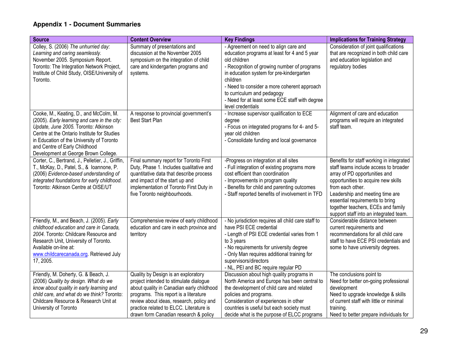| <b>Source</b>                                                                                                                                                                                                                                                                                       | <b>Content Overview</b>                                                                                                                                                                                                                                                                             | <b>Key Findings</b>                                                                                                                                                                                                                                                                                                                                              | <b>Implications for Training Strategy</b>                                                                                                                                                                                                                                                                                           |
|-----------------------------------------------------------------------------------------------------------------------------------------------------------------------------------------------------------------------------------------------------------------------------------------------------|-----------------------------------------------------------------------------------------------------------------------------------------------------------------------------------------------------------------------------------------------------------------------------------------------------|------------------------------------------------------------------------------------------------------------------------------------------------------------------------------------------------------------------------------------------------------------------------------------------------------------------------------------------------------------------|-------------------------------------------------------------------------------------------------------------------------------------------------------------------------------------------------------------------------------------------------------------------------------------------------------------------------------------|
| Colley, S. (2006) The unhurried day:<br>Learning and caring seamlessly.<br>November 2005. Symposium Report.<br>Toronto: The Integration Network Project,<br>Institute of Child Study, OISE/University of<br>Toronto.                                                                                | Summary of presentations and<br>discussion at the November 2005<br>symposium on the integration of child<br>care and kindergarten programs and<br>systems.                                                                                                                                          | - Agreement on need to align care and<br>education programs at least for 4 and 5 year<br>old children<br>- Recognition of growing number of programs<br>in education system for pre-kindergarten<br>children<br>- Need to consider a more coherent approach<br>to curriculum and pedagogy<br>- Need for at least some ECE staff with degree<br>level credentials | Consideration of joint qualifications<br>that are recognized in both child care<br>and education legislation and<br>regulatory bodies                                                                                                                                                                                               |
| Cooke, M., Keating, D., and McColm, M.<br>(2005). Early learning and care in the city:<br>Update, June 2005. Toronto: Atkinson<br>Centre at the Ontario Institute for Studies<br>in Education of the University of Toronto<br>and Centre of Early Childhood<br>Development at George Brown College. | A response to provincial government's<br><b>Best Start Plan</b>                                                                                                                                                                                                                                     | - Increase supervisor qualification to ECE<br>degree<br>- Focus on integrated programs for 4- and 5-<br>year old children<br>- Consolidate funding and local governance                                                                                                                                                                                          | Alignment of care and education<br>programs will require an integrated<br>staff team.                                                                                                                                                                                                                                               |
| Corter, C., Bertrand, J., Pelletier, J., Griffin,<br>T., McKay, D., Patel, S., & Ioannone, P.<br>(2006) Evidence-based understanding of<br>integrated foundations for early childhood.<br>Toronto: Atkinson Centre at OISE/UT                                                                       | Final summary report for Toronto First<br>Duty, Phase 1. Includes qualitative and<br>quantitative data that describe process<br>and impact of the start up and<br>implementation of Toronto First Duty in<br>five Toronto neighbourhoods.                                                           | -Progress on integration at all sites<br>- Full integration of existing programs more<br>cost efficient than coordination<br>- Improvements in program quality<br>- Benefits for child and parenting outcomes<br>- Staff reported benefits of involvement in TFD                                                                                                 | Benefits for staff working in integrated<br>staff teams include access to broader<br>array of PD opportunities and<br>opportunities to acquire new skills<br>from each other.<br>Leadership and meeting time are<br>essential requirements to bring<br>together teachers, ECEs and family<br>support staff into an integrated team. |
| Friendly, M., and Beach, J. (2005). Early<br>childhood education and care in Canada,<br>2004. Toronto: Childcare Resource and<br>Research Unit, University of Toronto.<br>Available on-line at:<br>www.childcarecanada.org. Retrieved July<br>17, 2005.                                             | Comprehensive review of early childhood<br>education and care in each province and<br>territory                                                                                                                                                                                                     | - No jurisdiction requires all child care staff to<br>have PSI ECE credential<br>- Length of PSI ECE credential varies from 1<br>to 3 years<br>- No requirements for university degree<br>- Only Man requires additional training for<br>supervisors/directors<br>- NL, PEI and BC require regular PD                                                            | Considerable distance between<br>current requirements and<br>recommendations for all child care<br>staff to have ECE PSI credentials and<br>some to have university degrees.                                                                                                                                                        |
| Friendly, M. Doherty, G. & Beach, J.<br>(2006) Quality by design. What do we<br>know about quality in early learning and<br>child care, and what do we think? Toronto:<br>Childcare Resource & Research Unit at<br>University of Toronto                                                            | Quality by Design is an exploratory<br>project intended to stimulate dialogue<br>about quality in Canadian early childhood<br>programs. This report is a literature<br>review about ideas, research, policy and<br>practice related to ELCC. Literature is<br>drawn form Canadian research & policy | Discussion about high quality programs in<br>North America and Europe has been central to<br>the development of child care and related<br>policies and programs.<br>Consideration of experiences in other<br>countries is useful but each society must<br>decide what is the purpose of ELCC programs                                                            | The conclusions point to<br>Need for better on-going professional<br>development<br>Need to upgrade knowledge & skills<br>of current staff with little or minimal<br>training.<br>Need to better prepare individuals for                                                                                                            |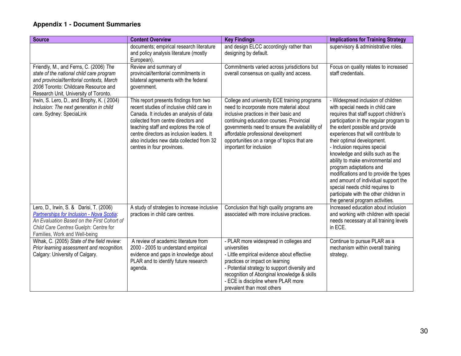| <b>Source</b>                                                                                                                                                                                                     | <b>Content Overview</b>                                                                                                                                                                                                                                                                                                                 | <b>Key Findings</b>                                                                                                                                                                                                                                                                                                                              | <b>Implications for Training Strategy</b>                                                                                                                                                                                                                                                                                                                                                                                                                                                                                                                                                                 |
|-------------------------------------------------------------------------------------------------------------------------------------------------------------------------------------------------------------------|-----------------------------------------------------------------------------------------------------------------------------------------------------------------------------------------------------------------------------------------------------------------------------------------------------------------------------------------|--------------------------------------------------------------------------------------------------------------------------------------------------------------------------------------------------------------------------------------------------------------------------------------------------------------------------------------------------|-----------------------------------------------------------------------------------------------------------------------------------------------------------------------------------------------------------------------------------------------------------------------------------------------------------------------------------------------------------------------------------------------------------------------------------------------------------------------------------------------------------------------------------------------------------------------------------------------------------|
|                                                                                                                                                                                                                   | documents; empirical research literature<br>and policy analysis literature (mostly<br>European).                                                                                                                                                                                                                                        | and design ELCC accordingly rather than<br>designing by default.                                                                                                                                                                                                                                                                                 | supervisory & administrative roles.                                                                                                                                                                                                                                                                                                                                                                                                                                                                                                                                                                       |
| Friendly, M., and Ferns, C. (2006) The<br>state of the national child care program<br>and provincial/territorial contexts, March<br>2006 Toronto: Childcare Resource and<br>Research Unit, University of Toronto. | Review and summary of<br>provincial/territorial commitments in<br>bilateral agreements with the federal<br>government.                                                                                                                                                                                                                  | Commitments varied across jurisdictions but<br>overall consensus on quality and access.                                                                                                                                                                                                                                                          | Focus on quality relates to increased<br>staff credentials.                                                                                                                                                                                                                                                                                                                                                                                                                                                                                                                                               |
| Irwin, S. Lero, D., and Brophy, K. (2004)<br>Inclusion: The next generation in child<br>care. Sydney: SpeciaLink                                                                                                  | This report presents findings from two<br>recent studies of inclusive child care in<br>Canada. It includes an analysis of data<br>collected from centre directors and<br>teaching staff and explores the role of<br>centre directors as inclusion leaders. It<br>also includes new data collected from 32<br>centres in four provinces. | College and university ECE training programs<br>need to incorporate more material about<br>inclusive practices in their basic and<br>continuing education courses. Provincial<br>governments need to ensure the availability of<br>affordable professional development<br>opportunities on a range of topics that are<br>important for inclusion | - Widespread inclusion of children<br>with special needs in child care<br>requires that staff support children's<br>participation in the regular program to<br>the extent possible and provide<br>experiences that will contribute to<br>their optimal development.<br>- Inclusion requires special<br>knowledge and skills such as the<br>ability to make environmental and<br>program adaptations and<br>modifications and to provide the types<br>and amount of individual support the<br>special needs child requires to<br>participate with the other children in<br>the general program activities. |
| Lero, D., Irwin, S. & Darisi, T. (2006)<br>Partnerships for Inclusion - Nova Scotia:<br>An Evaluation Based on the First Cohort of<br>Child Care Centres Guelph: Centre for<br>Families, Work and Well-being      | A study of strategies to increase inclusive<br>practices in child care centres.                                                                                                                                                                                                                                                         | Conclusion that high quality programs are<br>associated with more inclusive practices.                                                                                                                                                                                                                                                           | Increased education about inclusion<br>and working with children with special<br>needs necessary at all training levels<br>in ECE.                                                                                                                                                                                                                                                                                                                                                                                                                                                                        |
| Wihak, C. (2005) State of the field review:<br>Prior learning assessment and recognition.<br>Calgary: University of Calgary.                                                                                      | A review of academic literature from<br>2000 - 2005 to understand empirical<br>evidence and gaps in knowledge about<br>PLAR and to identify future research<br>agenda.                                                                                                                                                                  | - PLAR more widespread in colleges and<br>universities<br>- Little empirical evidence about effective<br>practices or impact on learning<br>- Potential strategy to support diversity and<br>recognition of Aboriginal knowledge & skills<br>- ECE is discipline where PLAR more<br>prevalent than most others                                   | Continue to pursue PLAR as a<br>mechanism within overall training<br>strategy.                                                                                                                                                                                                                                                                                                                                                                                                                                                                                                                            |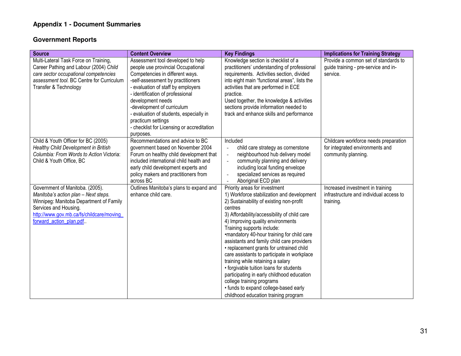#### **Government Reports**

| <b>Source</b>                                                                                                                                                                                                      | <b>Content Overview</b>                                                                                                                                                                                                                                                                                                                                                                                  | <b>Key Findings</b>                                                                                                                                                                                                                                                                                                                                                                                                                                                                                                                                                                                                                                                                      | <b>Implications for Training Strategy</b>                                                       |
|--------------------------------------------------------------------------------------------------------------------------------------------------------------------------------------------------------------------|----------------------------------------------------------------------------------------------------------------------------------------------------------------------------------------------------------------------------------------------------------------------------------------------------------------------------------------------------------------------------------------------------------|------------------------------------------------------------------------------------------------------------------------------------------------------------------------------------------------------------------------------------------------------------------------------------------------------------------------------------------------------------------------------------------------------------------------------------------------------------------------------------------------------------------------------------------------------------------------------------------------------------------------------------------------------------------------------------------|-------------------------------------------------------------------------------------------------|
| Multi-Lateral Task Force on Training,<br>Career Pathing and Labour (2004) Child<br>care sector occupational competencies<br>assessment tool. BC Centre for Curriculum<br>Transfer & Technology                     | Assessment tool developed to help<br>people use provincial Occupational<br>Competencies in different ways.<br>-self-assessment by practitioners<br>- evaluation of staff by employers<br>- identification of professional<br>development needs<br>-development of curriculum<br>- evaluation of students, especially in<br>practicum settings<br>- checklist for Licensing or accreditation<br>purposes. | Knowledge section is checklist of a<br>practitioners' understanding of professional<br>requirements. Activities section, divided<br>into eight main "functional areas", lists the<br>activities that are performed in ECE<br>practice.<br>Used together, the knowledge & activities<br>sections provide information needed to<br>track and enhance skills and performance                                                                                                                                                                                                                                                                                                                | Provide a common set of standards to<br>guide training - pre-service and in-<br>service.        |
| Child & Youth Officer for BC (2005)<br>Healthy Child Development in British<br>Columbia: From Words to Action Victoria:<br>Child & Youth Office, BC                                                                | Recommendations and advice to BC<br>government based on November 2004<br>Forum on healthy child development that<br>included international child health and<br>early child development experts and<br>policy makers and practitioners from<br>across BC                                                                                                                                                  | Included<br>child care strategy as cornerstone<br>$\blacksquare$<br>neighbourhood hub delivery model<br>$\bar{\phantom{a}}$<br>community planning and delivery<br>$\sim$<br>including local funding envelope<br>specialized services as required<br>$\sim$<br>Aboriginal ECD plan<br>$\sim$                                                                                                                                                                                                                                                                                                                                                                                              | Childcare workforce needs preparation<br>for integrated environments and<br>community planning. |
| Government of Manitoba. (2005).<br>Manitoba's action plan - Next steps.<br>Winnipeg: Manitoba Department of Family<br>Services and Housing.<br>http://www.gov.mb.ca/fs/childcare/moving<br>forward action plan.pdf | Outlines Manitoba's plans to expand and<br>enhance child care.                                                                                                                                                                                                                                                                                                                                           | Priority areas for investment<br>1) Workforce stabilization and development<br>2) Sustainability of existing non-profit<br>centres<br>3) Affordability/accessibility of child care<br>4) Improving quality environments<br>Training supports include:<br>•mandatory 40-hour training for child care<br>assistants and family child care providers<br>• replacement grants for untrained child<br>care assistants to participate in workplace<br>training while retaining a salary<br>• forgivable tuition loans for students<br>participating in early childhood education<br>college training programs<br>• funds to expand college-based early<br>childhood education training program | Increased investment in training<br>infrastructure and individual access to<br>training.        |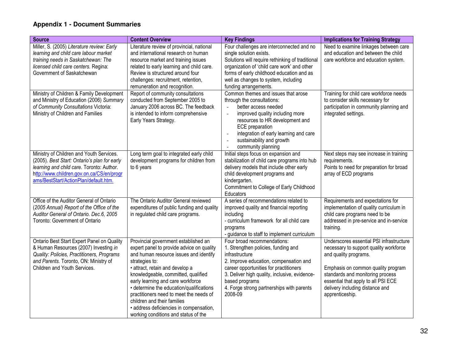| <b>Source</b>                                                             | <b>Content Overview</b>                    | <b>Key Findings</b>                                     | <b>Implications for Training Strategy</b>                                 |
|---------------------------------------------------------------------------|--------------------------------------------|---------------------------------------------------------|---------------------------------------------------------------------------|
| Miller, S. (2005) Literature review: Early                                | Literature review of provincial, national  | Four challenges are interconnected and no               | Need to examine linkages between care                                     |
| learning and child care labour market                                     | and international research on human        | single solution exists.                                 | and education and between the child                                       |
| training needs in Saskatchewan: The                                       | resource market and training issues        | Solutions will require rethinking of traditional        | care workforce and education system.                                      |
| licensed child care centers. Regina:                                      | related to early learning and child care.  | organization of 'child care work' and other             |                                                                           |
| Government of Saskatchewan                                                | Review is structured around four           | forms of early childhood education and as               |                                                                           |
|                                                                           | challenges: recruitment, retention,        | well as changes to system, including                    |                                                                           |
|                                                                           | remuneration and recognition.              | funding arrangements.                                   |                                                                           |
| Ministry of Children & Family Development                                 | Report of community consultations          | Common themes and issues that arose                     | Training for child care workforce needs                                   |
| and Ministry of Education (2006) Summary                                  | conducted from September 2005 to           | through the consultations:                              | to consider skills necessary for                                          |
| of Community Consultations Victoria:                                      | January 2006 across BC. The feedback       | better access needed                                    | participation in community planning and                                   |
| Ministry of Children and Families                                         | is intended to inform comprehensive        | improved quality including more<br>$\overline{a}$       | integrated settings.                                                      |
|                                                                           | Early Years Strategy.                      | resources to HR development and                         |                                                                           |
|                                                                           |                                            | <b>ECE</b> preparation                                  |                                                                           |
|                                                                           |                                            | integration of early learning and care                  |                                                                           |
|                                                                           |                                            | sustainability and growth<br>$\overline{a}$             |                                                                           |
|                                                                           |                                            | community planning                                      |                                                                           |
| Ministry of Children and Youth Services.                                  | Long term goal to integrated early child   | Initial steps focus on expansion and                    | Next steps may see increase in training                                   |
| (2005). Best Start: Ontario's plan for early                              | development programs for children from     | stabilization of child care programs into hub           | requirements.                                                             |
| learning and child care. Toronto: Author.                                 | to 6 years                                 | delivery models that include other early                | Points to need for preparation for broad                                  |
| http://www.children.gov.on.ca/CS/en/progr                                 |                                            | child development programs and                          | array of ECD programs                                                     |
| ams/BestStart/ActionPlan/default.htm.                                     |                                            | kindergarten.                                           |                                                                           |
|                                                                           |                                            | Commitment to College of Early Childhood                |                                                                           |
| Office of the Auditor General of Ontario                                  | The Ontario Auditor General reviewed       | Educators<br>A series of recommendations related to     |                                                                           |
|                                                                           |                                            |                                                         | Requirements and expectations for                                         |
| (2005 Annual) Report of the Office of the                                 | expenditures of public funding and quality | improved quality and financial reporting                | implementation of quality curriculum in                                   |
| Auditor General of Ontario. Dec.6, 2005<br>Toronto: Government of Ontario | in regulated child care programs.          | including<br>- curriculum framework for all child care  | child care programs need to be<br>addressed in pre-service and in-service |
|                                                                           |                                            |                                                         | training.                                                                 |
|                                                                           |                                            | programs<br>- guidance to staff to implement curriculum |                                                                           |
| Ontario Best Start Expert Panel on Quality                                | Provincial government established an       | Four broad recommendations:                             | Underscores essential PSI infrastructure                                  |
| & Human Resources (2007) Investing in                                     | expert panel to provide advice on quality  | 1. Strengthen policies, funding and                     | necessary to support quality workforce                                    |
| Quality: Policies, Practitioners, Programs                                | and human resource issues and identify     | infrastructure                                          | and quality programs.                                                     |
| and Parents. Toronto, ON: Ministry of                                     | strategies to:                             | 2. Improve education, compensation and                  |                                                                           |
| Children and Youth Services.                                              | · attract, retain and develop a            | career opportunities for practitioners                  | Emphasis on common quality program                                        |
|                                                                           | knowledgeable, committed, qualified        | 3. Deliver high quality, inclusive, evidence-           | standards and monitoring process                                          |
|                                                                           | early learning and care workforce          | based programs                                          | essential that apply to all PSI ECE                                       |
|                                                                           | • determine the education/qualifications   | 4. Forge strong partnerships with parents               | delivery including distance and                                           |
|                                                                           | practitioners need to meet the needs of    | 2008-09                                                 | apprenticeship.                                                           |
|                                                                           | children and their families                |                                                         |                                                                           |
|                                                                           | · address deficiencies in compensation,    |                                                         |                                                                           |
|                                                                           | working conditions and status of the       |                                                         |                                                                           |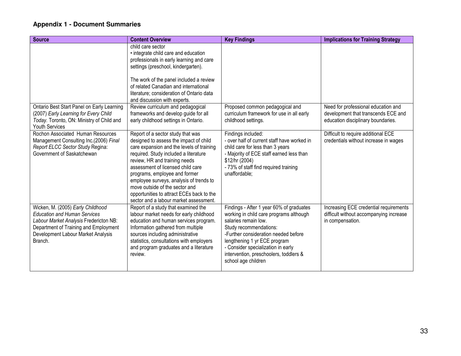| <b>Source</b>                                                                                                                                                                                                | <b>Content Overview</b>                                                                                                                                                                                                                                                                                                                                                                                                                      | <b>Key Findings</b>                                                                                                                                                                                                                                                                                                  | <b>Implications for Training Strategy</b>                                                                        |
|--------------------------------------------------------------------------------------------------------------------------------------------------------------------------------------------------------------|----------------------------------------------------------------------------------------------------------------------------------------------------------------------------------------------------------------------------------------------------------------------------------------------------------------------------------------------------------------------------------------------------------------------------------------------|----------------------------------------------------------------------------------------------------------------------------------------------------------------------------------------------------------------------------------------------------------------------------------------------------------------------|------------------------------------------------------------------------------------------------------------------|
|                                                                                                                                                                                                              | child care sector<br>• integrate child care and education<br>professionals in early learning and care<br>settings (preschool, kindergarten).<br>The work of the panel included a review<br>of related Canadian and international<br>literature; consideration of Ontario data<br>and discussion with experts.                                                                                                                                |                                                                                                                                                                                                                                                                                                                      |                                                                                                                  |
| Ontario Best Start Panel on Early Learning<br>(2007) Early Learning for Every Child<br>Today. Toronto, ON: Ministry of Child and<br>Youth Services                                                           | Review curriculum and pedagogical<br>frameworks and develop guide for all<br>early childhood settings in Ontario.                                                                                                                                                                                                                                                                                                                            | Proposed common pedagogical and<br>curriculum framework for use in all early<br>childhood settings.                                                                                                                                                                                                                  | Need for professional education and<br>development that transcends ECE and<br>education disciplinary boundaries. |
| Rochon Associated Human Resources<br>Management Consulting Inc.(2006) Final<br>Report ELCC Sector Study Regina:<br>Government of Saskatchewan                                                                | Report of a sector study that was<br>designed to assess the impact of child<br>care expansion and the levels of training<br>required. Study included a literature<br>review, HR and training needs<br>assessment of licensed child care<br>programs, employee and former<br>employee surveys, analysis of trends to<br>move outside of the sector and<br>opportunities to attract ECEs back to the<br>sector and a labour market assessment. | Findings included:<br>- over half of current staff have worked in<br>child care for less than 3 years<br>- Majority of ECE staff earned less than<br>\$12/hr (2004)<br>- 73% of staff find required training<br>unaffordable;                                                                                        | Difficult to require additional ECE<br>credentials without increase in wages                                     |
| Wicken, M. (2005) Early Childhood<br><b>Education and Human Services</b><br>Labour Market Analysis Fredericton NB:<br>Department of Training and Employment<br>Development Labour Market Analysis<br>Branch. | Report of a study that examined the<br>labour market needs for early childhood<br>education and human services program.<br>Information gathered from multiple<br>sources including administrative<br>statistics, consultations with employers<br>and program graduates and a literature<br>review.                                                                                                                                           | Findings - After 1 year 60% of graduates<br>working in child care programs although<br>salaries remain low.<br>Study recommendations:<br>-Further consideration needed before<br>lengthening 1 yr ECE program<br>- Consider specialization in early<br>intervention, preschoolers, toddlers &<br>school age children | Increasing ECE credential requirements<br>difficult without accompanying increase<br>in compensation.            |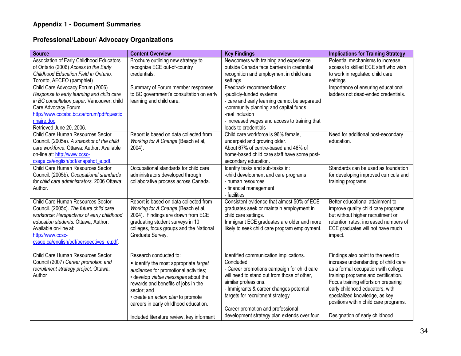#### **Professional/Labour/ Advocacy Organizations**

| <b>Source</b>                                                                                                                                                                                                                                              | <b>Content Overview</b>                                                                                                                                                                                                                                                                                                            | <b>Key Findings</b>                                                                                                                                                                                                                                                                                                                           | <b>Implications for Training Strategy</b>                                                                                                                                                                                                                                                                                                       |
|------------------------------------------------------------------------------------------------------------------------------------------------------------------------------------------------------------------------------------------------------------|------------------------------------------------------------------------------------------------------------------------------------------------------------------------------------------------------------------------------------------------------------------------------------------------------------------------------------|-----------------------------------------------------------------------------------------------------------------------------------------------------------------------------------------------------------------------------------------------------------------------------------------------------------------------------------------------|-------------------------------------------------------------------------------------------------------------------------------------------------------------------------------------------------------------------------------------------------------------------------------------------------------------------------------------------------|
| Association of Early Childhood Educators<br>of Ontario (2006) Access to the Early<br>Childhood Education Field in Ontario.<br>Toronto, AECEO (pamphlet)                                                                                                    | Brochure outlining new strategy to<br>recognize ECE out-of-country<br>credentials.                                                                                                                                                                                                                                                 | Newcomers with training and experience<br>outside Canada face barriers in credential<br>recognition and employment in child care<br>settings.                                                                                                                                                                                                 | Potential mechanisms to increase<br>access to skilled ECE staff who wish<br>to work in regulated child care<br>settings.                                                                                                                                                                                                                        |
| Child Care Advocacy Forum (2006)<br>Response to early learning and child care<br>in BC consultation paper. Vancouver: child<br>Care Advocacy Forum.<br>http://www.cccabc.bc.ca/forum/pdf/questio<br>nnaire.doc.<br>Retrieved June 20, 2006.                | Summary of Forum member responses<br>to BC government's consultation on early<br>learning and child care.                                                                                                                                                                                                                          | Feedback recommendations:<br>-publicly-funded systems<br>- care and early learning cannot be separated<br>-community planning and capital funds<br>-real inclusion<br>- increased wages and access to training that<br>leads to credentials                                                                                                   | Importance of ensuring educational<br>ladders not dead-ended credentials.                                                                                                                                                                                                                                                                       |
| Child Care Human Resources Sector<br>Council. (2005a). A snapshot of the child<br>care workforce. Ottawa: Author. Available<br>on-line at: http://www.ccsc-<br>cssge.ca/english/pdf/snapshot_e.pdf.                                                        | Report is based on data collected from<br>Working for A Change (Beach et al,<br>2004).                                                                                                                                                                                                                                             | Child care workforce is 96% female.<br>underpaid and growing older.<br>About 67% of centre-based and 46% of<br>home-based child care staff have some post-<br>secondary education.                                                                                                                                                            | Need for additional post-secondary<br>education.                                                                                                                                                                                                                                                                                                |
| Child Care Human Resources Sector<br>Council. (2005b). Occupational standards<br>for child care administrators. 2006 Ottawa:<br>Author.                                                                                                                    | Occupational standards for child care<br>administrators developed through<br>collaborative process across Canada.                                                                                                                                                                                                                  | Identify tasks and sub-tasks in:<br>-child development and care programs<br>- human resources<br>- financial management<br>- facilities                                                                                                                                                                                                       | Standards can be used as foundation<br>for developing improved curricula and<br>training programs.                                                                                                                                                                                                                                              |
| Child Care Human Resources Sector<br>Council. (2005c). The future child care<br>workforce: Perspectives of early childhood<br>education students. Ottawa, Author:<br>Available on-line at:<br>http://www.ccsc-<br>cssge.ca/english/pdf/perspectives_e.pdf. | Report is based on data collected from<br>Working for A Change (Beach et al,<br>2004). Findings are drawn from ECE<br>graduating student surveys in 10<br>colleges, focus groups and the National<br>Graduate Survey.                                                                                                              | Consistent evidence that almost 50% of ECE<br>graduates seek or maintain employment in<br>child care settings.<br>Immigrant ECE graduates are older and more<br>likely to seek child care program employment.                                                                                                                                 | Better educational attainment to<br>improve quality child care programs<br>but without higher recruitment or<br>retention rates, increased numbers of<br>ECE graduates will not have much<br>impact.                                                                                                                                            |
| Child Care Human Resources Sector<br>Council (2007) Career promotion and<br>recruitment strategy project. Ottawa:<br>Author                                                                                                                                | Research conducted to:<br>• identify the most appropriate target<br>audiences for promotional activities;<br>· develop viable messages about the<br>rewards and benefits of jobs in the<br>sector; and<br>· create an action plan to promote<br>careers in early childhood education.<br>Included literature review, key informant | Identified communication implications.<br>Concluded:<br>- Career promotions campaign for child care<br>will need to stand out from those of other,<br>similar professions.<br>- Immigrants & career changes potential<br>targets for recruitment strategy<br>Career promotion and professional<br>development strategy plan extends over four | Findings also point to the need to<br>increase understanding of child care<br>as a formal occupation with college<br>training programs and certification.<br>Focus training efforts on preparing<br>early childhood educators, with<br>specialized knowledge, as key<br>positions within child care programs.<br>Designation of early childhood |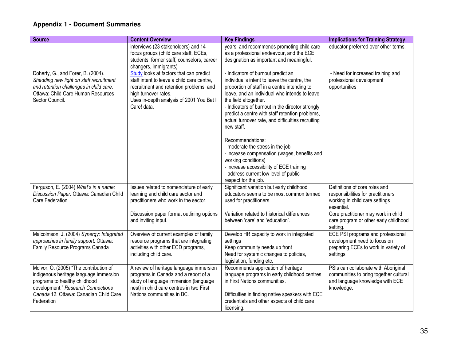| <b>Source</b>                                                                     | <b>Content Overview</b>                                                       | <b>Key Findings</b>                                                                   | <b>Implications for Training Strategy</b>                            |
|-----------------------------------------------------------------------------------|-------------------------------------------------------------------------------|---------------------------------------------------------------------------------------|----------------------------------------------------------------------|
|                                                                                   | interviews (23 stakeholders) and 14                                           | years, and recommends promoting child care                                            | educator preferred over other terms.                                 |
|                                                                                   | focus groups (child care staff, ECEs,                                         | as a professional endeavour, and the ECE                                              |                                                                      |
|                                                                                   | students, former staff, counselors, career<br>changers, immigrants)           | designation as important and meaningful.                                              |                                                                      |
| Doherty, G., and Forer, B. (2004).                                                | Study looks at factors that can predict                                       | - Indicators of burnout predict an                                                    | - Need for increased training and                                    |
| Shedding new light on staff recruitment                                           | staff intent to leave a child care centre,                                    | individual's intent to leave the centre, the                                          | professional development                                             |
| and retention challenges in child care.                                           | recruitment and retention problems, and                                       | proportion of staff in a centre intending to                                          | opportunities                                                        |
| Ottawa: Child Care Human Resources                                                | high turnover rates.                                                          | leave, and an individual who intends to leave                                         |                                                                      |
| Sector Council.                                                                   | Uses in-depth analysis of 2001 You Bet I                                      | the field altogether.                                                                 |                                                                      |
|                                                                                   | Care! data.                                                                   | - Indicators of burnout in the director strongly                                      |                                                                      |
|                                                                                   |                                                                               | predict a centre with staff retention problems,                                       |                                                                      |
|                                                                                   |                                                                               | actual turnover rate, and difficulties recruiting                                     |                                                                      |
|                                                                                   |                                                                               | new staff.                                                                            |                                                                      |
|                                                                                   |                                                                               | Recommendations:                                                                      |                                                                      |
|                                                                                   |                                                                               | - moderate the stress in the job                                                      |                                                                      |
|                                                                                   |                                                                               | - increase compensation (wages, benefits and                                          |                                                                      |
|                                                                                   |                                                                               | working conditions)                                                                   |                                                                      |
|                                                                                   |                                                                               | - increase accessibility of ECE training                                              |                                                                      |
|                                                                                   |                                                                               | - address current low level of public                                                 |                                                                      |
|                                                                                   |                                                                               | respect for the job.                                                                  |                                                                      |
| Ferguson, E. (2004) What's in a name:<br>Discussion Paper. Ottawa: Canadian Child | Issues related to nomenclature of early                                       | Significant variation but early childhood<br>educators seems to be most common termed | Definitions of core roles and                                        |
| Care Federation                                                                   | learning and child care sector and<br>practitioners who work in the sector.   | used for practitioners.                                                               | responsibilities for practitioners<br>working in child care settings |
|                                                                                   |                                                                               |                                                                                       | essential.                                                           |
|                                                                                   | Discussion paper format outlining options                                     | Variation related to historical differences                                           | Core practitioner may work in child                                  |
|                                                                                   | and inviting input.                                                           | between 'care' and 'education'.                                                       | care program or other early childhood                                |
|                                                                                   |                                                                               |                                                                                       | setting                                                              |
| Malcolmson, J. (2004) Synergy: Integrated                                         | Overview of current examples of family                                        | Develop HR capacity to work in integrated                                             | ECE PSI programs and professional                                    |
| approaches in family support. Ottawa:<br>Family Resource Programs Canada          | resource programs that are integrating<br>activities with other ECD programs, | settings<br>Keep community needs up front                                             | development need to focus on<br>preparing ECEs to work in variety of |
|                                                                                   | including child care.                                                         | Need for systemic changes to policies,                                                | settings                                                             |
|                                                                                   |                                                                               | legislation, funding etc.                                                             |                                                                      |
| McIvor, O. (2005) "The contribution of                                            | A review of heritage language immersion                                       | Recommends application of heritage                                                    | PSIs can collaborate with Aboriginal                                 |
| indigenous heritage language immersion                                            | programs in Canada and a report of a                                          | language programs in early childhood centres                                          | communities to bring together cultural                               |
| programs to healthy childhood                                                     | study of language immersion (language                                         | in First Nations communities.                                                         | and language knowledge with ECE                                      |
| development." Research Connections                                                | nest) in child care centres in two First                                      |                                                                                       | knowledge.                                                           |
| Canada 12. Ottawa: Canadian Child Care                                            | Nations communities in BC.                                                    | Difficulties in finding native speakers with ECE                                      |                                                                      |
| Federation                                                                        |                                                                               | credentials and other aspects of child care<br>licensing.                             |                                                                      |
|                                                                                   |                                                                               |                                                                                       |                                                                      |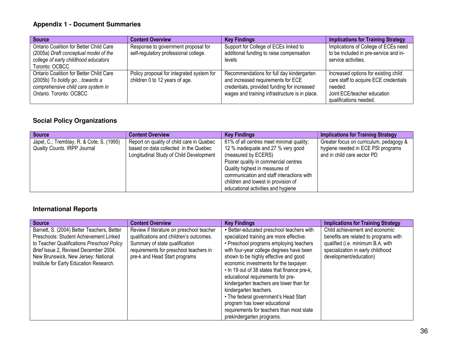| <b>Source</b>                                                                                                                              | <b>Content Overview</b>                                                      | <b>Key Findings</b>                                                                                                                                                              | <b>Implications for Training Strategy</b>                                                                                                         |
|--------------------------------------------------------------------------------------------------------------------------------------------|------------------------------------------------------------------------------|----------------------------------------------------------------------------------------------------------------------------------------------------------------------------------|---------------------------------------------------------------------------------------------------------------------------------------------------|
| Ontario Coalition for Better Child Care<br>(2005a) Draft conceptual model of the<br>college of early childhood educators<br>Toronto: OCBCC | Response to government proposal for<br>self-regulatory professional college. | Support for College of ECEs linked to<br>additional funding to raise compensation<br>levels                                                                                      | Implications of College of ECEs need<br>to be included in pre-service and in-<br>service activities.                                              |
| Ontario Coalition for Better Child Care<br>(2005b) To boldly gotowards a<br>comprehensive child care system in<br>Ontario. Toronto: OCBCC  | Policy proposal for integrated system for<br>children 0 to 12 years of age.  | Recommendations for full day kindergarten<br>and increased requirements for ECE<br>credentials, provided funding for increased<br>wages and training infrastructure is in place. | Increased options for existing child<br>care staff to acquire ECE credentials<br>needed.<br>Joint ECE/teacher education<br>qualifications needed. |

### **Social Policy Organizations**

| <b>Source</b>                             | <b>Content Overview</b>                   | <b>Key Findings</b>                       | <b>Implications for Training Strategy</b> |
|-------------------------------------------|-------------------------------------------|-------------------------------------------|-------------------------------------------|
| Japel, C.; Tremblay, R. & Cote, S. (1995) | Report on quality of child care in Quebec | 61% of all centres meet minimal quality;  | Greater focus on curriculum, pedagogy &   |
| Quality Counts. IRPP Journal              | based on data collected in the Quebec     | 12 % inadequate and 27 % very good        | hygiene needed in ECE PSI programs        |
|                                           | Longitudinal Study of Child Development   | (measured by ECERS)                       | and in child care sector PD               |
|                                           |                                           | Poorer quality in commercial centres      |                                           |
|                                           |                                           | Quality highest in measures of            |                                           |
|                                           |                                           | communication and staff interactions with |                                           |
|                                           |                                           | children and lowest in provision of       |                                           |
|                                           |                                           | educational activities and hygiene        |                                           |

#### **International Reports**

| <b>Source</b>                              | <b>Content Overview</b>                   | <b>Key Findings</b>                          | <b>Implications for Training Strategy</b> |
|--------------------------------------------|-------------------------------------------|----------------------------------------------|-------------------------------------------|
| Barnett, S. (2004) Better Teachers, Better | Review if literature on preschool teacher | • Better-educated preschool teachers with    | Child achievement and economic            |
| Preschools: Student Achievement Linked     | qualifications and children's outcomes.   | specialized training are more effective.     | benefits are related to programs with     |
| to Teacher Qualifications Preschool Policy | Summary of state qualification            | • Preschool programs employing teachers      | qualified (i.e. minimum B.A. with         |
| Brief Issue 2, Revised December 2004.      | requirements for preschool teachers in    | with four-year college degrees have been     | specialization in early childhood         |
| New Brunswick, New Jersey: National        | pre-k and Head Start programs             | shown to be highly effective and good        | development/education)                    |
| Institute for Early Education Research.    |                                           | economic investments for the taxpayer.       |                                           |
|                                            |                                           | • In 19 out of 38 states that finance pre-k, |                                           |
|                                            |                                           | educational requirements for pre-            |                                           |
|                                            |                                           | kindergarten teachers are lower than for     |                                           |
|                                            |                                           | kindergarten teachers.                       |                                           |
|                                            |                                           | • The federal government's Head Start        |                                           |
|                                            |                                           | program has lower educational                |                                           |
|                                            |                                           | requirements for teachers than most state    |                                           |
|                                            |                                           | prekindergarten programs.                    |                                           |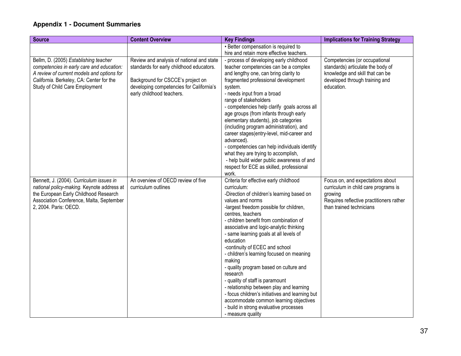| <b>Source</b>                                                                                                                                                                                                  | <b>Content Overview</b>                                                                                                                                                                             | <b>Key Findings</b>                                                                                                                                                                                                                                                                                                                                                                                                                                                                                                                                                                                                                                                                                                          | <b>Implications for Training Strategy</b>                                                                                                                   |
|----------------------------------------------------------------------------------------------------------------------------------------------------------------------------------------------------------------|-----------------------------------------------------------------------------------------------------------------------------------------------------------------------------------------------------|------------------------------------------------------------------------------------------------------------------------------------------------------------------------------------------------------------------------------------------------------------------------------------------------------------------------------------------------------------------------------------------------------------------------------------------------------------------------------------------------------------------------------------------------------------------------------------------------------------------------------------------------------------------------------------------------------------------------------|-------------------------------------------------------------------------------------------------------------------------------------------------------------|
|                                                                                                                                                                                                                |                                                                                                                                                                                                     | • Better compensation is required to                                                                                                                                                                                                                                                                                                                                                                                                                                                                                                                                                                                                                                                                                         |                                                                                                                                                             |
|                                                                                                                                                                                                                |                                                                                                                                                                                                     | hire and retain more effective teachers.                                                                                                                                                                                                                                                                                                                                                                                                                                                                                                                                                                                                                                                                                     |                                                                                                                                                             |
| Bellm, D. (2005) Establishing teacher<br>competencies in early care and education:<br>A review of current models and options for<br>California. Berkeley, CA: Center for the<br>Study of Child Care Employment | Review and analysis of national and state<br>standards for early childhood educators.<br>Background for CSCCE's project on<br>developing competencies for California's<br>early childhood teachers. | - process of developing early childhood<br>teacher competencies can be a complex<br>and lengthy one, can bring clarity to<br>fragmented professional development<br>system.<br>- needs input from a broad<br>range of stakeholders<br>- competencies help clarify goals across all<br>age groups (from infants through early<br>elementary students), job categories<br>(including program administration), and<br>career stages(entry-level, mid-career and<br>advanced).<br>- competencies can help individuals identify<br>what they are trying to accomplish,<br>- help build wider public awareness of and<br>respect for ECE as skilled, professional<br>work.                                                         | Competencies (or occupational<br>standards) articulate the body of<br>knowledge and skill that can be<br>developed through training and<br>education.       |
| Bennett, J. (2004). Curriculum issues in<br>national policy-making. Keynote address at<br>the European Early Childhood Research<br>Association Conference, Malta, September<br>2, 2004. Paris: OECD.           | An overview of OECD review of five<br>curriculum outlines                                                                                                                                           | Criteria for effective early childhood<br>curriculum:<br>-Direction of children's learning based on<br>values and norms<br>-largest freedom possible for children,<br>centres, teachers<br>- children benefit from combination of<br>associative and logic-analytic thinking<br>- same learning goals at all levels of<br>education<br>-continuity of ECEC and school<br>- children's learning focused on meaning<br>making<br>- quality program based on culture and<br>research<br>- quality of staff is paramount<br>- relationship between play and learning<br>- focus children's initiatives and learning but<br>accommodate common learning objectives<br>- build in strong evaluative processes<br>- measure quality | Focus on, and expectations about<br>curriculum in child care programs is<br>growing<br>Requires reflective practitioners rather<br>than trained technicians |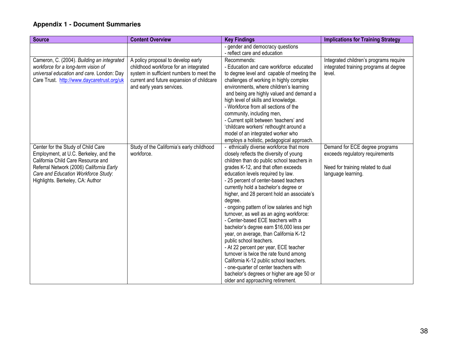| <b>Source</b>                                                                                                                                                                                                                            | <b>Content Overview</b>                                                                                                                                                                           | <b>Key Findings</b>                                                                                                                                                                                                                                                                                                                                                                                                                                                                                                                                                                                                                                                                                                                                                                                                                                                                                              | <b>Implications for Training Strategy</b>                                                                                    |
|------------------------------------------------------------------------------------------------------------------------------------------------------------------------------------------------------------------------------------------|---------------------------------------------------------------------------------------------------------------------------------------------------------------------------------------------------|------------------------------------------------------------------------------------------------------------------------------------------------------------------------------------------------------------------------------------------------------------------------------------------------------------------------------------------------------------------------------------------------------------------------------------------------------------------------------------------------------------------------------------------------------------------------------------------------------------------------------------------------------------------------------------------------------------------------------------------------------------------------------------------------------------------------------------------------------------------------------------------------------------------|------------------------------------------------------------------------------------------------------------------------------|
|                                                                                                                                                                                                                                          |                                                                                                                                                                                                   | - gender and democracy questions<br>- reflect care and education                                                                                                                                                                                                                                                                                                                                                                                                                                                                                                                                                                                                                                                                                                                                                                                                                                                 |                                                                                                                              |
| Cameron, C. (2004). Building an integrated<br>workforce for a long-term vision of<br>universal education and care. London: Day<br>Care Trust. http://www.daycaretrust.org/uk                                                             | A policy proposal to develop early<br>childhood workforce for an integrated<br>system in sufficient numbers to meet the<br>current and future expansion of childcare<br>and early years services. | Recommends:<br>- Education and care workforce educated<br>to degree level and capable of meeting the<br>challenges of working in highly complex<br>environments, where children's learning<br>and being are highly valued and demand a<br>high level of skills and knowledge.<br>- Workforce from all sections of the<br>community, including men,<br>- Current split between 'teachers' and<br>'childcare workers' rethought around a<br>model of an integrated worker who                                                                                                                                                                                                                                                                                                                                                                                                                                      | Integrated children's programs require<br>integrated training programs at degree<br>level.                                   |
| Center for the Study of Child Care<br>Employment, at U.C. Berkeley, and the<br>California Child Care Resource and<br>Referral Network (2006) California Early<br>Care and Education Workforce Study:<br>Highlights. Berkeley, CA: Author | Study of the California's early childhood<br>workforce.                                                                                                                                           | employs a holistic, pedagogical approach.<br>- ethnically diverse workforce that more<br>closely reflects the diversity of young<br>children than do public school teachers in<br>grades K-12, and that often exceeds<br>education levels required by law.<br>- 25 percent of center-based teachers<br>currently hold a bachelor's degree or<br>higher, and 28 percent hold an associate's<br>degree.<br>- ongoing pattern of low salaries and high<br>turnover, as well as an aging workforce:<br>- Center-based ECE teachers with a<br>bachelor's degree earn \$16,000 less per<br>year, on average, than California K-12<br>public school teachers.<br>- At 22 percent per year, ECE teacher<br>turnover is twice the rate found among<br>California K-12 public school teachers.<br>- one-quarter of center teachers with<br>bachelor's degrees or higher are age 50 or<br>older and approaching retirement. | Demand for ECE degree programs<br>exceeds regulatory requirements<br>Need for training related to dual<br>language learning. |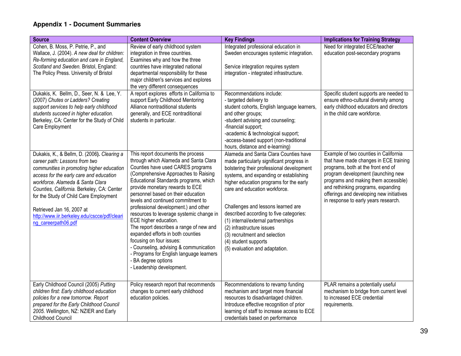| <b>Source</b>                                                                                                                                                                                                                                                                                                                                                                                        | <b>Content Overview</b>                                                                                                                                                                                                                                                                                                                                                                                                                                                                                                                                                                                                                                                            | <b>Key Findings</b>                                                                                                                                                                                                                                                                                                                                                                                                                                                                                  | <b>Implications for Training Strategy</b>                                                                                                                                                                                                                                                                                     |
|------------------------------------------------------------------------------------------------------------------------------------------------------------------------------------------------------------------------------------------------------------------------------------------------------------------------------------------------------------------------------------------------------|------------------------------------------------------------------------------------------------------------------------------------------------------------------------------------------------------------------------------------------------------------------------------------------------------------------------------------------------------------------------------------------------------------------------------------------------------------------------------------------------------------------------------------------------------------------------------------------------------------------------------------------------------------------------------------|------------------------------------------------------------------------------------------------------------------------------------------------------------------------------------------------------------------------------------------------------------------------------------------------------------------------------------------------------------------------------------------------------------------------------------------------------------------------------------------------------|-------------------------------------------------------------------------------------------------------------------------------------------------------------------------------------------------------------------------------------------------------------------------------------------------------------------------------|
| Cohen, B. Moss, P. Petrie, P., and<br>Wallace, J. (2004). A new deal for children:<br>Re-forming education and care in England,<br>Scotland and Sweden. Bristol, England:<br>The Policy Press. University of Bristol                                                                                                                                                                                 | Review of early childhood system<br>integration in three countries.<br>Examines why and how the three<br>countries have integrated national<br>departmental responsibility for these<br>major children's services and explores<br>the very different consequences                                                                                                                                                                                                                                                                                                                                                                                                                  | Integrated professional education in<br>Sweden encourages systemic integration.<br>Service integration requires system<br>integration - integrated infrastructure.                                                                                                                                                                                                                                                                                                                                   | Need for integrated ECE/teacher<br>education post-secondary programs                                                                                                                                                                                                                                                          |
| Dukakis, K. Bellm, D., Seer, N. & Lee, Y.<br>(2007) Chutes or Ladders? Creating<br>support services to help early childhood<br>students succeed in higher education.<br>Berkeley, CA: Center for the Study of Child<br>Care Employment                                                                                                                                                               | A report explores efforts in California to<br>support Early Childhood Mentoring<br>Alliance nontraditional students<br>generally, and ECE nontraditional<br>students in particular.                                                                                                                                                                                                                                                                                                                                                                                                                                                                                                | Recommendations include:<br>- targeted delivery to<br>student cohorts, English language learners,<br>and other groups;<br>-student advising and counseling;<br>-financial support;<br>-academic & technological support;<br>-access-based support (non-traditional<br>hours, distance and e-learning)                                                                                                                                                                                                | Specific student supports are needed to<br>ensure ethno-cultural diversity among<br>early childhood educators and directors<br>in the child care workforce.                                                                                                                                                                   |
| Dukakis, K., & Bellm, D. (2006). Clearing a<br>career path: Lessons from two<br>communities in promoting higher education<br>access for the early care and education<br>workforce. Alameda & Santa Clara<br>Counties, California. Berkeley, CA: Center<br>for the Study of Child Care Employment<br>Retrieved Jan 16, 2007 at<br>http://www.iir.berkeley.edu/cscce/pdf/cleari<br>ng_careerpath06.pdf | This report documents the process<br>through which Alameda and Santa Clara<br>Counties have used CARES programs<br>(Comprehensive Approaches to Raising<br>Educational Standards programs, which<br>provide monetary rewards to ECE<br>personnel based on their education<br>levels and continued commitment to<br>professional development.) and other<br>resources to leverage systemic change in<br>ECE higher education.<br>The report describes a range of new and<br>expanded efforts in both counties<br>focusing on four issues:<br>- Counseling, advising & communication<br>- Programs for English language learners<br>- BA degree options<br>- Leadership development. | Alameda and Santa Clara Counties have<br>made particularly significant progress in<br>bolstering their professional development<br>systems, and expanding or establishing<br>higher education programs for the early<br>care and education workforce.<br>Challenges and lessons learned are<br>described according to five categories:<br>(1) internal/external partnerships<br>(2) infrastructure issues<br>(3) recruitment and selection<br>(4) student supports<br>(5) evaluation and adaptation. | Example of two counties in California<br>that have made changes in ECE training<br>programs, both at the front end of<br>program development (launching new<br>programs and making them accessible)<br>and rethinking programs, expanding<br>offerings and developing new initiatives<br>in response to early years research. |
| Early Childhood Council (2005) Putting<br>children first: Early childhood education<br>policies for a new tomorrow. Report<br>prepared for the Early Childhood Council<br>2005. Wellington, NZ: NZIER and Early<br>Childhood Council                                                                                                                                                                 | Policy research report that recommends<br>changes to current early childhood<br>education policies.                                                                                                                                                                                                                                                                                                                                                                                                                                                                                                                                                                                | Recommendations to revamp funding<br>mechanism and target more financial<br>resources to disadvantaged children.<br>Introduce effective recognition of prior<br>learning of staff to increase access to ECE<br>credentials based on performance                                                                                                                                                                                                                                                      | PLAR remains a potentially useful<br>mechanism to bridge from current level<br>to increased ECE credential<br>requirements.                                                                                                                                                                                                   |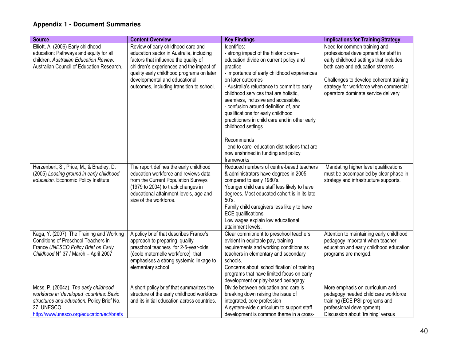| <b>Source</b>                              | <b>Content Overview</b>                                                      | <b>Key Findings</b>                                                                          | <b>Implications for Training Strategy</b>                                         |
|--------------------------------------------|------------------------------------------------------------------------------|----------------------------------------------------------------------------------------------|-----------------------------------------------------------------------------------|
| Elliott, A. (2006) Early childhood         | Review of early childhood care and                                           | Identifies:                                                                                  | Need for common training and                                                      |
| education: Pathways and equity for all     | education sector in Australia, including                                     | - strong impact of the historic care-                                                        | professional development for staff in                                             |
| children. Australian Education Review.     | factors that influence the quality of                                        | education divide on current policy and                                                       | early childhood settings that includes                                            |
| Australian Council of Education Research.  | children's experiences and the impact of                                     | practice                                                                                     | both care and education streams                                                   |
|                                            | quality early childhood programs on later<br>developmental and educational   | - importance of early childhood experiences<br>on later outcomes                             |                                                                                   |
|                                            | outcomes, including transition to school.                                    | - Australia's reluctance to commit to early                                                  | Challenges to develop coherent training<br>strategy for workforce when commercial |
|                                            |                                                                              | childhood services that are holistic,                                                        | operators dominate service delivery                                               |
|                                            |                                                                              | seamless, inclusive and accessible.                                                          |                                                                                   |
|                                            |                                                                              | - confusion around definition of, and                                                        |                                                                                   |
|                                            |                                                                              | qualifications for early childhood                                                           |                                                                                   |
|                                            |                                                                              | practitioners in child care and in other early                                               |                                                                                   |
|                                            |                                                                              | childhood settings                                                                           |                                                                                   |
|                                            |                                                                              | Recommends                                                                                   |                                                                                   |
|                                            |                                                                              | - end to care-education distinctions that are                                                |                                                                                   |
|                                            |                                                                              | now enshrined in funding and policy                                                          |                                                                                   |
|                                            |                                                                              | frameworks                                                                                   |                                                                                   |
| Herzenbert, S., Price, M., & Bradley, D.   | The report defines the early childhood                                       | Reduced numbers of centre-based teachers                                                     | Mandating higher level qualifications                                             |
| (2005) Loosing ground in early childhood   | education workforce and reviews data                                         | & administrators have degrees in 2005                                                        | must be accompanied by clear phase in                                             |
| education. Economic Policy Institute       | from the Current Population Surveys                                          | compared to early 1980's.                                                                    | strategy and infrastructure supports.                                             |
|                                            | (1979 to 2004) to track changes in<br>educational attainment levels, age and | Younger child care staff less likely to have<br>degrees. Most educated cohort is in its late |                                                                                   |
|                                            | size of the workforce.                                                       | 50's.                                                                                        |                                                                                   |
|                                            |                                                                              | Family child caregivers less likely to have                                                  |                                                                                   |
|                                            |                                                                              | ECE qualifications.                                                                          |                                                                                   |
|                                            |                                                                              | Low wages explain low educational                                                            |                                                                                   |
| Kaga, Y. (2007) The Training and Working   | A policy brief that describes France's                                       | attainment levels.<br>Clear commitment to preschool teachers                                 | Attention to maintaining early childhood                                          |
| Conditions of Preschool Teachers in        | approach to preparing quality                                                | evident in equitable pay, training                                                           | pedagogy important when teacher                                                   |
| France UNESCO Policy Brief on Early        | preschool teachers for 2-5-year-olds                                         | requirements and working conditions as                                                       | education and early childhood education                                           |
| Childhood N° 37 / March - April 2007       | (école maternelle workforce) that                                            | teachers in elementary and secondary                                                         | programs are merged.                                                              |
|                                            | emphasises a strong systemic linkage to                                      | schools.                                                                                     |                                                                                   |
|                                            | elementary school                                                            | Concerns about 'schoolification' of training                                                 |                                                                                   |
|                                            |                                                                              | programs that have limited focus on early                                                    |                                                                                   |
|                                            |                                                                              | development or play-based pedagagy                                                           |                                                                                   |
| Moss, P. (2004a). The early childhood      | A short policy brief that summarizes the                                     | Divide between education and care is                                                         | More emphasis on curriculum and                                                   |
| workforce in 'developed' countries: Basic  | structure of the early childhood workforce                                   | breaking down raising the issue of                                                           | pedagogy needed child care workforce                                              |
| structures and education. Policy Brief No. | and its initial education across countries.                                  | integrated, core profession                                                                  | training (ECE PSI programs and                                                    |
| 27. UNESCO.                                |                                                                              | A system-wide curriculum to support staff                                                    | professional development)                                                         |
| http://www/unesco.org/education/ecf/briefs |                                                                              | development is common theme in a cross-                                                      | Discussion about 'training' versus                                                |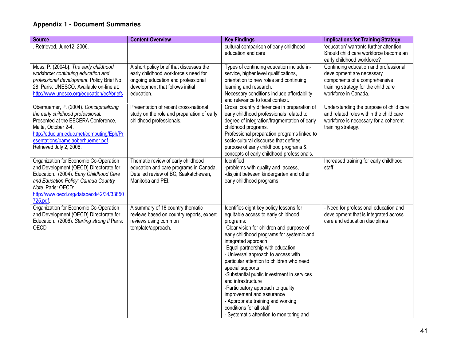| <b>Source</b>                                                                                                                                                                                                                                         | <b>Content Overview</b>                                                                                                                                                 | <b>Key Findings</b>                                                                                                                                                                                                                                                                                                                                                                                                                                                                                                                                                                                            | <b>Implications for Training Strategy</b>                                                                                                                           |
|-------------------------------------------------------------------------------------------------------------------------------------------------------------------------------------------------------------------------------------------------------|-------------------------------------------------------------------------------------------------------------------------------------------------------------------------|----------------------------------------------------------------------------------------------------------------------------------------------------------------------------------------------------------------------------------------------------------------------------------------------------------------------------------------------------------------------------------------------------------------------------------------------------------------------------------------------------------------------------------------------------------------------------------------------------------------|---------------------------------------------------------------------------------------------------------------------------------------------------------------------|
| Retrieved, June12, 2006.                                                                                                                                                                                                                              |                                                                                                                                                                         | cultural comparison of early childhood<br>education and care                                                                                                                                                                                                                                                                                                                                                                                                                                                                                                                                                   | 'education' warrants further attention.<br>Should child care workforce become an<br>early childhood workforce?                                                      |
| Moss, P. (2004b). The early childhood<br>workforce: continuing education and<br>professional development. Policy Brief No.<br>28. Paris: UNESCO. Available on-line at:<br>http://www.unesco.org/education/ecf/briefs                                  | A short policy brief that discusses the<br>early childhood workforce's need for<br>ongoing education and professional<br>development that follows initial<br>education. | Types of continuing education include in-<br>service, higher level qualifications,<br>orientation to new roles and continuing<br>learning and research.<br>Necessary conditions include affordability<br>and relevance to local context.                                                                                                                                                                                                                                                                                                                                                                       | Continuing education and professional<br>development are necessary<br>components of a comprehensive<br>training strategy for the child care<br>workforce in Canada. |
| Oberhuemer, P. (2004). Conceptualizing<br>the early childhood professional.<br>Presented at the EECERA Conference,<br>Malta, October 2-4.<br>http://educ.um.educ.met/computing/Eph/Pr<br>esentations/pamelaoberhuemer.pdf.<br>Retrieved July 2, 2006. | Presentation of recent cross-national<br>study on the role and preparation of early<br>childhood professionals.                                                         | Cross country differences in preparation of<br>early childhood professionals related to<br>degree of integration/fragmentation of early<br>childhood programs.<br>Professional preparation programs linked to<br>socio-cultural discourse that defines<br>purpose of early childhood programs &<br>concepts of early childhood professionals.                                                                                                                                                                                                                                                                  | Understanding the purpose of child care<br>and related roles within the child care<br>workforce is necessary for a coherent<br>training strategy.                   |
| Organization for Economic Co-Operation<br>and Development (OECD) Directorate for<br>Education. (2004). Early Childhood Care<br>and Education Policy: Canada Country<br>Note. Paris: OECD:<br>http://www.oecd.org/dataoecd/42/34/33850<br>725.pdf.     | Thematic review of early childhood<br>education and care programs in Canada.<br>Detailed review of BC, Saskatchewan,<br>Manitoba and PEI.                               | Identified<br>-problems with quality and access,<br>-disjoint between kindergarten and other<br>early childhood programs                                                                                                                                                                                                                                                                                                                                                                                                                                                                                       | Increased training for early childhood<br>staff                                                                                                                     |
| Organization for Economic Co-Operation<br>and Development (OECD) Directorate for<br>Education. (2006). Starting strong II Paris:<br><b>OECD</b>                                                                                                       | A summary of 18 country thematic<br>reviews based on country reports, expert<br>reviews using common<br>template/approach.                                              | Identifies eight key policy lessons for<br>equitable access to early childhood<br>programs:<br>-Clear vision for children and purpose of<br>early childhood programs for systemic and<br>integrated approach<br>-Equal partnership with education<br>- Universal approach to access with<br>particular attention to children who need<br>special supports<br>-Substantial public investment in services<br>and infrastructure<br>-Participatory approach to quality<br>improvement and assurance<br>- Appropriate training and working<br>conditions for all staff<br>- Systematic attention to monitoring and | - Need for professional education and<br>development that is integrated across<br>care and education disciplines                                                    |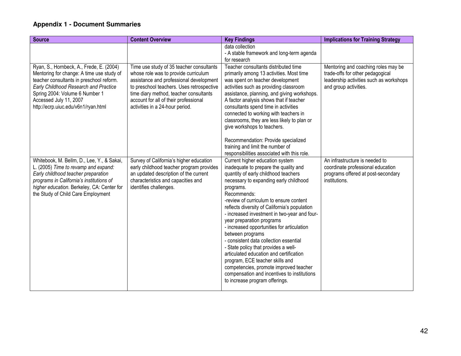| <b>Source</b>                                                                                                                                                                                                                                                                 | <b>Content Overview</b>                                                                                                                                                                                                                                                                        | <b>Key Findings</b>                                                                                                                                                                                                                                                                                                                                                                                                                                                                                                                                                                                                                                                                                                          | <b>Implications for Training Strategy</b>                                                                                                   |
|-------------------------------------------------------------------------------------------------------------------------------------------------------------------------------------------------------------------------------------------------------------------------------|------------------------------------------------------------------------------------------------------------------------------------------------------------------------------------------------------------------------------------------------------------------------------------------------|------------------------------------------------------------------------------------------------------------------------------------------------------------------------------------------------------------------------------------------------------------------------------------------------------------------------------------------------------------------------------------------------------------------------------------------------------------------------------------------------------------------------------------------------------------------------------------------------------------------------------------------------------------------------------------------------------------------------------|---------------------------------------------------------------------------------------------------------------------------------------------|
|                                                                                                                                                                                                                                                                               |                                                                                                                                                                                                                                                                                                | data collection<br>- A stable framework and long-term agenda<br>for research                                                                                                                                                                                                                                                                                                                                                                                                                                                                                                                                                                                                                                                 |                                                                                                                                             |
| Ryan, S., Hornbeck, A., Frede, E. (2004)<br>Mentoring for change: A time use study of<br>teacher consultants in preschool reform.<br>Early Childhood Research and Practice<br>Spring 2004: Volume 6 Number 1<br>Accessed July 11, 2007<br>http://ecrp.uiuc.edu/v6n1/ryan.html | Time use study of 35 teacher consultants<br>whose role was to provide curriculum<br>assistance and professional development<br>to preschool teachers. Uses retrospective<br>time diary method, teacher consultants<br>account for all of their professional<br>activities in a 24-hour period. | Teacher consultants distributed time<br>primarily among 13 activities. Most time<br>was spent on teacher development<br>activities such as providing classroom<br>assistance, planning, and giving workshops.<br>A factor analysis shows that if teacher<br>consultants spend time in activities<br>connected to working with teachers in<br>classrooms, they are less likely to plan or<br>give workshops to teachers.<br>Recommendation: Provide specialized<br>training and limit the number of<br>responsibilities associated with this role.                                                                                                                                                                            | Mentoring and coaching roles may be<br>trade-offs for other pedagogical<br>leadership activities such as workshops<br>and group activities. |
| Whitebook, M. Bellm, D., Lee, Y., & Sakai,<br>L. (2005) Time to revamp and expand:<br>Early childhood teacher preparation<br>programs in California's institutions of<br>higher education. Berkeley, CA: Center for<br>the Study of Child Care Employment                     | Survey of California's higher education<br>early childhood teacher program provides<br>an updated description of the current<br>characteristics and capacities and<br>identifies challenges.                                                                                                   | Current higher education system<br>inadequate to prepare the quality and<br>quantity of early childhood teachers<br>necessary to expanding early childhood<br>programs.<br>Recommends:<br>-review of curriculum to ensure content<br>reflects diversity of California's population<br>- increased investment in two-year and four-<br>year preparation programs<br>- increased opportunities for articulation<br>between programs<br>- consistent data collection essential<br>- State policy that provides a well-<br>articulated education and certification<br>program, ECE teacher skills and<br>competencies, promote improved teacher<br>compensation and incentives to institutions<br>to increase program offerings. | An infrastructure is needed to<br>coordinate professional education<br>programs offered at post-secondary<br>institutions.                  |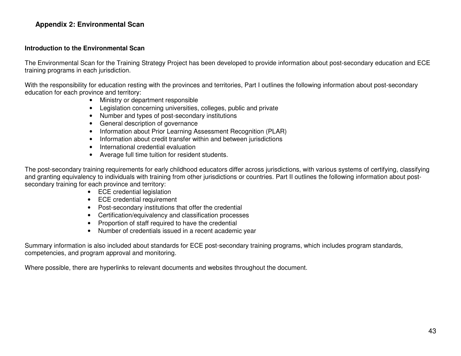#### **Appendix 2: Environmental Scan**

#### **Introduction to the Environmental Scan**

The Environmental Scan for the Training Strategy Project has been developed to provide information about post-secondary education and ECE training programs in each jurisdiction.

With the responsibility for education resting with the provinces and territories. Part I outlines the following information about post-secondary education for each province and territory:

- Ministry or department responsible
- Legislation concerning universities, colleges, public and private
- Number and types of post-secondary institutions
- General description of governance
- Information about Prior Learning Assessment Recognition (PLAR)
- Information about credit transfer within and between jurisdictions
- International credential evaluation
- Average full time tuition for resident students.

The post-secondary training requirements for early childhood educators differ across jurisdictions, with various systems of certifying, classifying and granting equivalency to individuals with training from other jurisdictions or countries. Part II outlines the following information about postsecondary training for each province and territory:

- ECE credential legislation
- ECE credential requirement
- Post-secondary institutions that offer the credential
- Certification/equivalency and classification processes
- Proportion of staff required to have the credential
- Number of credentials issued in a recent academic year

Summary information is also included about standards for ECE post-secondary training programs, which includes program standards, competencies, and program approval and monitoring.

Where possible, there are hyperlinks to relevant documents and websites throughout the document.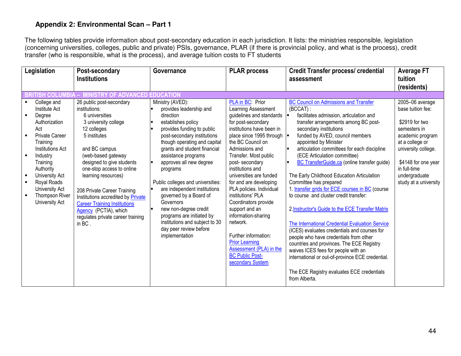The following tables provide information about post-secondary education in each jurisdiction. It lists: the ministries responsible, legislation (concerning universities, colleges, public and private) PSIs, governance, PLAR (if there is provincial policy, and what is the process), credit transfer (who is responsible, what is the process), and average tuition costs to FT students

| Legislation                                                                                                                                                                                                                                                | Post-secondary<br><b>Institutions</b>                                                                                                                                                                                                                                                                                                                                                                                          | Governance                                                                                                                                                                                                                                                                                                                                                                                                                                                                                                                | <b>PLAR process</b>                                                                                                                                                                                                                                                                                                                                                                                                                                                                                                                                                   | <b>Credit Transfer process/ credential</b><br>assessment                                                                                                                                                                                                                                                                                                                                                                                                                                                                                                                                                                                                                                                                                                                                                                                                                                                                                               | <b>Average FT</b><br>tuition                                                                                                                                                                                          |
|------------------------------------------------------------------------------------------------------------------------------------------------------------------------------------------------------------------------------------------------------------|--------------------------------------------------------------------------------------------------------------------------------------------------------------------------------------------------------------------------------------------------------------------------------------------------------------------------------------------------------------------------------------------------------------------------------|---------------------------------------------------------------------------------------------------------------------------------------------------------------------------------------------------------------------------------------------------------------------------------------------------------------------------------------------------------------------------------------------------------------------------------------------------------------------------------------------------------------------------|-----------------------------------------------------------------------------------------------------------------------------------------------------------------------------------------------------------------------------------------------------------------------------------------------------------------------------------------------------------------------------------------------------------------------------------------------------------------------------------------------------------------------------------------------------------------------|--------------------------------------------------------------------------------------------------------------------------------------------------------------------------------------------------------------------------------------------------------------------------------------------------------------------------------------------------------------------------------------------------------------------------------------------------------------------------------------------------------------------------------------------------------------------------------------------------------------------------------------------------------------------------------------------------------------------------------------------------------------------------------------------------------------------------------------------------------------------------------------------------------------------------------------------------------|-----------------------------------------------------------------------------------------------------------------------------------------------------------------------------------------------------------------------|
|                                                                                                                                                                                                                                                            |                                                                                                                                                                                                                                                                                                                                                                                                                                |                                                                                                                                                                                                                                                                                                                                                                                                                                                                                                                           |                                                                                                                                                                                                                                                                                                                                                                                                                                                                                                                                                                       |                                                                                                                                                                                                                                                                                                                                                                                                                                                                                                                                                                                                                                                                                                                                                                                                                                                                                                                                                        | (residents)                                                                                                                                                                                                           |
| <b>ITISH COLUMBIA</b>                                                                                                                                                                                                                                      | <b>IISTRY OF ADVANCED EDUCATION</b>                                                                                                                                                                                                                                                                                                                                                                                            |                                                                                                                                                                                                                                                                                                                                                                                                                                                                                                                           |                                                                                                                                                                                                                                                                                                                                                                                                                                                                                                                                                                       |                                                                                                                                                                                                                                                                                                                                                                                                                                                                                                                                                                                                                                                                                                                                                                                                                                                                                                                                                        |                                                                                                                                                                                                                       |
| College and<br>Institute Act<br>Degree<br>Authorization<br>Act<br>Private Career<br>Training<br><b>Institutions Act</b><br>Industry<br>Training<br>Authority<br><b>University Act</b><br>Royal Roads<br>University Act<br>Thompson River<br>University Act | 26 public post-secondary<br>institutions:<br>6 universities<br>3 university college<br>12 colleges<br>5 institutes<br>and BC campus<br>(web-based gateway<br>designed to give students<br>one-stop access to online<br>learning resources)<br>208 Private Career Training<br>Institutions accredited by Private<br><b>Career Training Institutions</b><br>Agency (PCTIA), which<br>regulates private career training<br>in BC. | Ministry (AVED):<br>provides leadership and<br>direction<br>establishes policy<br>provides funding to public<br>post-secondary institutions<br>though operating and capital<br>grants and student financial<br>assistance programs<br>approves all new degree<br>programs<br>Public colleges and universities:<br>are independent institutions<br>governed by a Board of<br>Governors<br>new non-degree credit<br>programs are initiated by<br>institutions and subject to 30<br>day peer review before<br>implementation | PLA in BC: Prior<br>Learning Assessment<br>guidelines and standards<br>for post-secondary<br>institutions have been in<br>place since 1995 through<br>the BC Council on<br>Admissions and<br>Transfer. Most public<br>post-secondary<br>institutions and<br>universities are funded<br>for and are developing<br>PLA policies. Individual<br>institutions' PLA<br>Coordinators provide<br>support and an<br>information-sharing<br>network.<br>Further information:<br><b>Prior Learning</b><br>Assessment (PLA) in the<br><b>BC Public Post-</b><br>secondary System | <b>BC Council on Admissions and Transfer</b><br>$(BCCAT)$ :<br>facilitates admission, articulation and<br>transfer arrangements among BC post-<br>secondary institutions<br>funded by AVED, council members<br>appointed by Minister<br>articulation committees for each discipline<br>(ECE Articulation committee)<br><b>BC TransferGuide.ca</b> (online transfer guide)<br>The Early Childhood Education Articulation<br>Committee has prepared<br>1. transfer grids for ECE courses in BC (course<br>to course and cluster credit transfer:<br>2. Instructor's Guide to the ECE Transfer Matrix<br>The International Credential Evaluation Service<br>(ICES) evaluates credentials and courses for<br>people who have credentials from other<br>countries and provinces. The ECE Registry<br>waives ICES fees for people with an<br>international or out-of-province ECE credential.<br>The ECE Registry evaluates ECE credentials<br>from Alberta. | 2005-06 average<br>base tuition fee:<br>\$2919 for two<br>semesters in<br>academic program<br>at a college or<br>university college.<br>\$4148 for one year<br>in full-time<br>undergraduate<br>study at a university |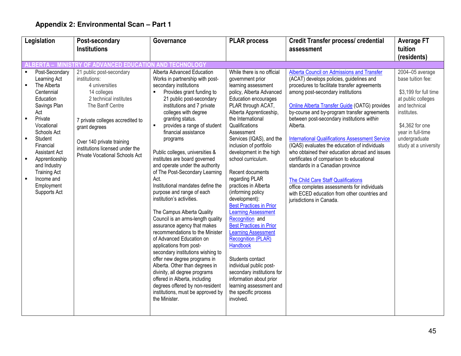| Legislation                                                                                                                                                                                                                                                                                                                                        | Post-secondary                                                                                                                                                                                                                                                                         | Governance                                                                                                                                                                                                                                                                                                                                                                                                                                                                                                                                                                                                                                                                                                                                                                                                                                                                                                                                                                                                                    | <b>PLAR process</b>                                                                                                                                                                                                                                                                                                                                                                                                                                                                                                                                                                                                                                                                                                                                                                                                   | <b>Credit Transfer process/ credential</b>                                                                                                                                                                                                                                                                                                                                                                                                                                                                                                                                                                                                                                                                                                              | <b>Average FT</b>                                                                                                                                                                                     |
|----------------------------------------------------------------------------------------------------------------------------------------------------------------------------------------------------------------------------------------------------------------------------------------------------------------------------------------------------|----------------------------------------------------------------------------------------------------------------------------------------------------------------------------------------------------------------------------------------------------------------------------------------|-------------------------------------------------------------------------------------------------------------------------------------------------------------------------------------------------------------------------------------------------------------------------------------------------------------------------------------------------------------------------------------------------------------------------------------------------------------------------------------------------------------------------------------------------------------------------------------------------------------------------------------------------------------------------------------------------------------------------------------------------------------------------------------------------------------------------------------------------------------------------------------------------------------------------------------------------------------------------------------------------------------------------------|-----------------------------------------------------------------------------------------------------------------------------------------------------------------------------------------------------------------------------------------------------------------------------------------------------------------------------------------------------------------------------------------------------------------------------------------------------------------------------------------------------------------------------------------------------------------------------------------------------------------------------------------------------------------------------------------------------------------------------------------------------------------------------------------------------------------------|---------------------------------------------------------------------------------------------------------------------------------------------------------------------------------------------------------------------------------------------------------------------------------------------------------------------------------------------------------------------------------------------------------------------------------------------------------------------------------------------------------------------------------------------------------------------------------------------------------------------------------------------------------------------------------------------------------------------------------------------------------|-------------------------------------------------------------------------------------------------------------------------------------------------------------------------------------------------------|
|                                                                                                                                                                                                                                                                                                                                                    | <b>Institutions</b>                                                                                                                                                                                                                                                                    |                                                                                                                                                                                                                                                                                                                                                                                                                                                                                                                                                                                                                                                                                                                                                                                                                                                                                                                                                                                                                               |                                                                                                                                                                                                                                                                                                                                                                                                                                                                                                                                                                                                                                                                                                                                                                                                                       | assessment                                                                                                                                                                                                                                                                                                                                                                                                                                                                                                                                                                                                                                                                                                                                              | tuition                                                                                                                                                                                               |
|                                                                                                                                                                                                                                                                                                                                                    |                                                                                                                                                                                                                                                                                        |                                                                                                                                                                                                                                                                                                                                                                                                                                                                                                                                                                                                                                                                                                                                                                                                                                                                                                                                                                                                                               |                                                                                                                                                                                                                                                                                                                                                                                                                                                                                                                                                                                                                                                                                                                                                                                                                       |                                                                                                                                                                                                                                                                                                                                                                                                                                                                                                                                                                                                                                                                                                                                                         | (residents)                                                                                                                                                                                           |
| LBERTA –                                                                                                                                                                                                                                                                                                                                           | MINISTRY OF ADVANCED EDUCATION AND TECHNOLOGY                                                                                                                                                                                                                                          |                                                                                                                                                                                                                                                                                                                                                                                                                                                                                                                                                                                                                                                                                                                                                                                                                                                                                                                                                                                                                               |                                                                                                                                                                                                                                                                                                                                                                                                                                                                                                                                                                                                                                                                                                                                                                                                                       |                                                                                                                                                                                                                                                                                                                                                                                                                                                                                                                                                                                                                                                                                                                                                         |                                                                                                                                                                                                       |
| Post-Secondary<br>Learning Act<br>The Alberta<br>Centennial<br>Education<br>Savings Plan<br>Act<br>Private<br>$\blacksquare$<br>Vocational<br>Schools Act<br>Student<br>$\blacksquare$<br>Financial<br><b>Assistant Act</b><br>Apprenticeship<br>$\blacksquare$<br>and Industry<br><b>Training Act</b><br>Income and<br>Employment<br>Supports Act | 21 public post-secondary<br>institutions:<br>4 universities<br>14 colleges<br>2 technical institutes<br>The Banff Centre<br>7 private colleges accredited to<br>grant degrees<br>Over 140 private training<br>institutions licensed under the<br><b>Private Vocational Schools Act</b> | Alberta Advanced Education<br>Works in partnership with post-<br>secondary institutions<br>Provides grant funding to<br>21 public post-secondary<br>institutions and 7 private<br>colleges with degree<br>granting status.<br>provides a range of student<br>$\blacksquare$<br>financial assistance<br>programs<br>Public colleges, universities &<br>institutes are board governed<br>and operate under the authority<br>of The Post-Secondary Learning<br>Act.<br>Institutional mandates define the<br>purpose and range of each<br>institution's activities.<br>The Campus Alberta Quality<br>Council is an arms-length quality<br>assurance agency that makes<br>recommendations to the Minister<br>of Advanced Education on<br>applications from post-<br>secondary institutions wishing to<br>offer new degree programs in<br>Alberta. Other than degrees in<br>divinity, all degree programs<br>offered in Alberta, including<br>degrees offered by non-resident<br>institutions, must be approved by<br>the Minister. | While there is no official<br>government prior<br>learning assessment<br>policy, Alberta Advanced<br><b>Education encourages</b><br>PLAR through ACAT,<br>Alberta Apprenticeship,<br>the International<br>Qualifications<br>Assessment<br>Services (IQAS), and the<br>inclusion of portfolio<br>development in the high<br>school curriculum.<br>Recent documents<br>regarding PLAR<br>practices in Alberta<br>(informing policy<br>development):<br><b>Best Practices in Prior</b><br><b>Learning Assessment</b><br>Recognition and<br><b>Best Practices in Prior</b><br><b>Learning Assessment</b><br><b>Recognition (PLAR)</b><br>Handbook<br>Students contact<br>individual public post-<br>secondary institutions for<br>information about prior<br>learning assessment and<br>the specific process<br>involved. | Alberta Council on Admissions and Transfer<br>(ACAT) develops policies, guidelines and<br>procedures to facilitate transfer agreements<br>among post-secondary institutions<br>Online Alberta Transfer Guide (OATG) provides<br>by-course and by-program transfer agreements<br>between post-secondary institutions within<br>Alberta.<br><b>International Qualifications Assessment Service</b><br>(IQAS) evaluates the education of individuals<br>who obtained their education abroad and issues<br>certificates of comparison to educational<br>standards in a Canadian province<br>The Child Care Staff Qualifications<br>office completes assessments for individuals<br>with ECED education from other countries and<br>jurisdictions in Canada. | 2004-05 average<br>base tuition fee:<br>\$3,199 for full time<br>at public colleges<br>and technical<br>institutes.<br>\$4,362 for one<br>vear in full-time<br>undergraduate<br>study at a university |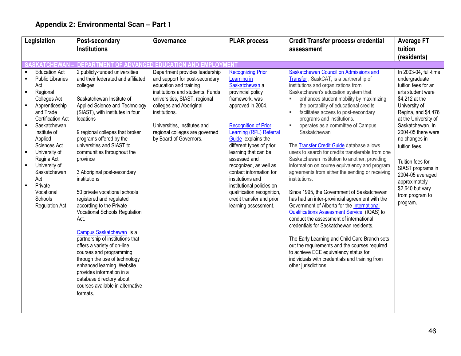| Legislation                                                                                                                                                                                                                                                                                                                                                                                                                                   | Post-secondary                                                                                                                                                                                                                                                                                                                                                                                                                                                                                                                                                                                                                                                                                                                                                                                                            | Governance                                                                                                                                                                                                                                                                                              | <b>PLAR process</b>                                                                                                                                                                                                                                                                                                                                                                                                                                                | <b>Credit Transfer process/ credential</b>                                                                                                                                                                                                                                                                                                                                                                                                                                                                                                                                                                                                                                                                                                                                                                                                                                                                                                                                                                                                                                                                                                                                                         | <b>Average FT</b>                                                                                                                                                                                                                                                                                                                                                                 |
|-----------------------------------------------------------------------------------------------------------------------------------------------------------------------------------------------------------------------------------------------------------------------------------------------------------------------------------------------------------------------------------------------------------------------------------------------|---------------------------------------------------------------------------------------------------------------------------------------------------------------------------------------------------------------------------------------------------------------------------------------------------------------------------------------------------------------------------------------------------------------------------------------------------------------------------------------------------------------------------------------------------------------------------------------------------------------------------------------------------------------------------------------------------------------------------------------------------------------------------------------------------------------------------|---------------------------------------------------------------------------------------------------------------------------------------------------------------------------------------------------------------------------------------------------------------------------------------------------------|--------------------------------------------------------------------------------------------------------------------------------------------------------------------------------------------------------------------------------------------------------------------------------------------------------------------------------------------------------------------------------------------------------------------------------------------------------------------|----------------------------------------------------------------------------------------------------------------------------------------------------------------------------------------------------------------------------------------------------------------------------------------------------------------------------------------------------------------------------------------------------------------------------------------------------------------------------------------------------------------------------------------------------------------------------------------------------------------------------------------------------------------------------------------------------------------------------------------------------------------------------------------------------------------------------------------------------------------------------------------------------------------------------------------------------------------------------------------------------------------------------------------------------------------------------------------------------------------------------------------------------------------------------------------------------|-----------------------------------------------------------------------------------------------------------------------------------------------------------------------------------------------------------------------------------------------------------------------------------------------------------------------------------------------------------------------------------|
|                                                                                                                                                                                                                                                                                                                                                                                                                                               | <b>Institutions</b>                                                                                                                                                                                                                                                                                                                                                                                                                                                                                                                                                                                                                                                                                                                                                                                                       |                                                                                                                                                                                                                                                                                                         |                                                                                                                                                                                                                                                                                                                                                                                                                                                                    | assessment                                                                                                                                                                                                                                                                                                                                                                                                                                                                                                                                                                                                                                                                                                                                                                                                                                                                                                                                                                                                                                                                                                                                                                                         | tuition                                                                                                                                                                                                                                                                                                                                                                           |
|                                                                                                                                                                                                                                                                                                                                                                                                                                               |                                                                                                                                                                                                                                                                                                                                                                                                                                                                                                                                                                                                                                                                                                                                                                                                                           |                                                                                                                                                                                                                                                                                                         |                                                                                                                                                                                                                                                                                                                                                                                                                                                                    |                                                                                                                                                                                                                                                                                                                                                                                                                                                                                                                                                                                                                                                                                                                                                                                                                                                                                                                                                                                                                                                                                                                                                                                                    | (residents)                                                                                                                                                                                                                                                                                                                                                                       |
| <b>ASKATCHEWAN -</b>                                                                                                                                                                                                                                                                                                                                                                                                                          |                                                                                                                                                                                                                                                                                                                                                                                                                                                                                                                                                                                                                                                                                                                                                                                                                           | DEPARTMENT OF ADVANCED EDUCATION AND EMPLOYMENT                                                                                                                                                                                                                                                         |                                                                                                                                                                                                                                                                                                                                                                                                                                                                    |                                                                                                                                                                                                                                                                                                                                                                                                                                                                                                                                                                                                                                                                                                                                                                                                                                                                                                                                                                                                                                                                                                                                                                                                    |                                                                                                                                                                                                                                                                                                                                                                                   |
| <b>Education Act</b><br><b>Public Libraries</b><br>$\blacksquare$<br>Act<br>Regional<br>$\blacksquare$<br><b>Colleges Act</b><br>Apprenticeship<br>and Trade<br><b>Certification Act</b><br>Saskatchewan<br>$\blacksquare$<br>Institute of<br>Applied<br>Sciences Act<br>University of<br>$\blacksquare$<br>Regina Act<br>University of<br>Saskatchewan<br>Act<br>Private<br>$\blacksquare$<br>Vocational<br>Schools<br><b>Regulation Act</b> | 2 publicly-funded universities<br>and their federated and affiliated<br>colleges;<br>Saskatchewan Institute of<br>Applied Science and Technology<br>(SIAST), with institutes in four<br>locations<br>9 regional colleges that broker<br>programs offered by the<br>universities and SIAST to<br>communities throughout the<br>province<br>3 Aboriginal post-secondary<br>institutions<br>50 private vocational schools<br>registered and regulated<br>according to the Private<br>Vocational Schools Regulation<br>Act.<br>Campus Saskatchewan is a<br>partnership of institutions that<br>offers a variety of on-line<br>courses and programming<br>through the use of technology<br>enhanced learning. Website<br>provides information in a<br>database directory about<br>courses available in alternative<br>formats. | Department provides leadership<br>and support for post-secondary<br>education and training<br>institutions and students. Funds<br>universities, SIAST, regional<br>colleges and Aboriginal<br>institutions.<br>Universities, Institutes and<br>regional colleges are governed<br>by Board of Governors. | <b>Recognizing Prior</b><br>Learning in<br>Saskatchewan a<br>provincial policy<br>framework, was<br>approved in 2004.<br><b>Recognition of Prior</b><br>Learning (RPL) Referral<br>Guide explains the<br>different types of prior<br>learning that can be<br>assessed and<br>recognized, as well as<br>contact information for<br>institutions and<br>institutional policies on<br>qualification recognition,<br>credit transfer and prior<br>learning assessment. | Saskatchewan Council on Admissions and<br>Transfer, SaskCAT, is a partnership of<br>institutions and organizations from<br>Saskatchewan's education system that:<br>enhances student mobility by maximizing<br>the portability of educational credits<br>facilitates access to post-secondary<br>$\blacksquare$<br>programs and institutions.<br>operates as a committee of Campus<br>Saskatchewan<br>The <b>Transfer Credit Guide</b> database allows<br>users to search for credits transferable from one<br>Saskatchewan institution to another, providing<br>information on course equivalency and program<br>agreements from either the sending or receiving<br>institutions.<br>Since 1995, the Government of Saskatchewan<br>has had an inter-provincial agreement with the<br>Government of Alberta for the International<br><b>Qualifications Assessment Service (IQAS) to</b><br>conduct the assessment of international<br>credentials for Saskatchewan residents.<br>The Early Learning and Child Care Branch sets<br>out the requirements and the courses required<br>to achieve ECE equivalency status for<br>individuals with credentials and training from<br>other jurisdictions. | In 2003-04, full-time<br>undergraduate<br>tuition fees for an<br>arts student were<br>\$4,212 at the<br>University of<br>Regina, and \$4,476<br>at the University of<br>Saskatchewan. In<br>2004-05 there were<br>no changes in<br>tuition fees.<br>Tuition fees for<br>SIAST programs in<br>2004-05 averaged<br>approximately<br>\$2,640 but vary<br>from program to<br>program. |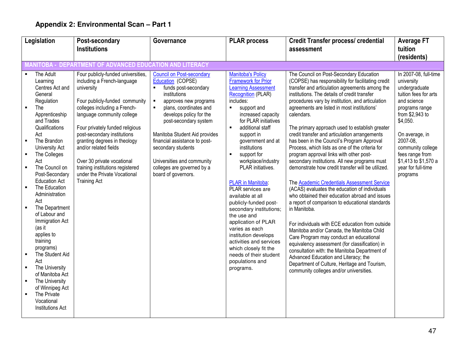|                                                                                                                                                                                                                                                                                                                                                                                                                                                                                                                                                                                                                                                                                                                                                                                                                                                                                                                                                                                                                                                                                                                       |                                                                                                                                                                                                                                                                                                                                                                                                   | <b>PLAR process</b>                                                                                                                                                                                                                                                                                                                                                                                                                                                                                                                                                                                                                                                                    | <b>Credit Transfer process/ credential</b>                                                                                                                                                                                                                                                                                                                                                                                                                                                                                                                                                                                                                                                                                                                                                                                                                                                                                                                                                                                                                                                                                                                                                                                                                                   | <b>Average FT</b>                                                                                                                                                                                                                                                             |
|-----------------------------------------------------------------------------------------------------------------------------------------------------------------------------------------------------------------------------------------------------------------------------------------------------------------------------------------------------------------------------------------------------------------------------------------------------------------------------------------------------------------------------------------------------------------------------------------------------------------------------------------------------------------------------------------------------------------------------------------------------------------------------------------------------------------------------------------------------------------------------------------------------------------------------------------------------------------------------------------------------------------------------------------------------------------------------------------------------------------------|---------------------------------------------------------------------------------------------------------------------------------------------------------------------------------------------------------------------------------------------------------------------------------------------------------------------------------------------------------------------------------------------------|----------------------------------------------------------------------------------------------------------------------------------------------------------------------------------------------------------------------------------------------------------------------------------------------------------------------------------------------------------------------------------------------------------------------------------------------------------------------------------------------------------------------------------------------------------------------------------------------------------------------------------------------------------------------------------------|------------------------------------------------------------------------------------------------------------------------------------------------------------------------------------------------------------------------------------------------------------------------------------------------------------------------------------------------------------------------------------------------------------------------------------------------------------------------------------------------------------------------------------------------------------------------------------------------------------------------------------------------------------------------------------------------------------------------------------------------------------------------------------------------------------------------------------------------------------------------------------------------------------------------------------------------------------------------------------------------------------------------------------------------------------------------------------------------------------------------------------------------------------------------------------------------------------------------------------------------------------------------------|-------------------------------------------------------------------------------------------------------------------------------------------------------------------------------------------------------------------------------------------------------------------------------|
| <b>Institutions</b>                                                                                                                                                                                                                                                                                                                                                                                                                                                                                                                                                                                                                                                                                                                                                                                                                                                                                                                                                                                                                                                                                                   |                                                                                                                                                                                                                                                                                                                                                                                                   |                                                                                                                                                                                                                                                                                                                                                                                                                                                                                                                                                                                                                                                                                        | assessment                                                                                                                                                                                                                                                                                                                                                                                                                                                                                                                                                                                                                                                                                                                                                                                                                                                                                                                                                                                                                                                                                                                                                                                                                                                                   | tuition                                                                                                                                                                                                                                                                       |
|                                                                                                                                                                                                                                                                                                                                                                                                                                                                                                                                                                                                                                                                                                                                                                                                                                                                                                                                                                                                                                                                                                                       |                                                                                                                                                                                                                                                                                                                                                                                                   |                                                                                                                                                                                                                                                                                                                                                                                                                                                                                                                                                                                                                                                                                        |                                                                                                                                                                                                                                                                                                                                                                                                                                                                                                                                                                                                                                                                                                                                                                                                                                                                                                                                                                                                                                                                                                                                                                                                                                                                              | (residents)                                                                                                                                                                                                                                                                   |
|                                                                                                                                                                                                                                                                                                                                                                                                                                                                                                                                                                                                                                                                                                                                                                                                                                                                                                                                                                                                                                                                                                                       | <b>MANITOBA - DEPARTMENT OF ADVANCED EDUCATION AND LITERACY</b>                                                                                                                                                                                                                                                                                                                                   |                                                                                                                                                                                                                                                                                                                                                                                                                                                                                                                                                                                                                                                                                        |                                                                                                                                                                                                                                                                                                                                                                                                                                                                                                                                                                                                                                                                                                                                                                                                                                                                                                                                                                                                                                                                                                                                                                                                                                                                              |                                                                                                                                                                                                                                                                               |
| The Adult<br>Four publicly-funded universities,<br>including a French-language<br>Learning<br>Centres Act and<br>university<br>General<br>Four publicly-funded community<br>Regulation<br>colleges including a French-<br>$\blacksquare$<br>The<br>language community college<br>Apprenticeship<br>and Trades<br>Qualifications<br>Four privately funded religious<br>post-secondary institutions<br>Act<br>The Brandon<br>granting degrees in theology<br>$\blacksquare$<br>and/or related fields<br>University Act<br>$\blacksquare$<br>The Colleges<br>Over 30 private vocational<br>Act<br>The Council on<br>training institutions registered<br>$\blacksquare$<br>under the Private Vocational<br>Post-Secondary<br><b>Education Act</b><br><b>Training Act</b><br>The Education<br>$\blacksquare$<br>Administration<br>Act<br>The Department<br>of Labour and<br>Immigration Act<br>(as it<br>applies to<br>training<br>programs)<br>The Student Aid<br>Act<br>The University<br>$\blacksquare$<br>of Manitoba Act<br>The University<br>of Winnipeg Act<br>The Private<br>Vocational<br><b>Institutions Act</b> | <b>Council on Post-secondary</b><br>Education (COPSE)<br>funds post-secondary<br>institutions<br>$\blacksquare$<br>approves new programs<br>plans, coordinates and<br>develops policy for the<br>post-secondary system<br>Manitoba Student Aid provides<br>financial assistance to post-<br>secondary students<br>Universities and community<br>colleges are governed by a<br>board of governors. | <b>Manitoba's Policy</b><br><b>Framework for Prior</b><br><b>Learning Assessment</b><br><b>Recognition (PLAR)</b><br>includes:<br>support and<br>۰.<br>increased capacity<br>for PLAR initiatives<br>additional staff<br>$\blacksquare$<br>support in<br>government and at<br>institutions<br>support for<br>$\blacksquare$<br>workplace/industry<br>PLAR initiatives.<br>PLAR in Manitoba:<br>PLAR services are<br>available at all<br>publicly-funded post-<br>secondary institutions;<br>the use and<br>application of PLAR<br>varies as each<br>institution develops<br>activities and services<br>which closely fit the<br>needs of their student<br>populations and<br>programs. | The Council on Post-Secondary Education<br>(COPSE) has responsibility for facilitating credit<br>transfer and articulation agreements among the<br>institutions. The details of credit transfer<br>procedures vary by institution, and articulation<br>agreements are listed in most institutions'<br>calendars.<br>The primary approach used to establish greater<br>credit transfer and articulation arrangements<br>has been in the Council's Program Approval<br>Process, which lists as one of the criteria for<br>program approval links with other post-<br>secondary institutions. All new programs must<br>demonstrate how credit transfer will be utilized.<br>The Academic Credentials Assessment Service<br>(ACAS) evaluates the education of individuals<br>who obtained their education abroad and issues<br>a report of comparison to educational standards<br>in Manitoba.<br>For individuals with ECE education from outside<br>Manitoba and/or Canada, the Manitoba Child<br>Care Program may conduct an educational<br>equivalency assessment (for classification) in<br>consultation with: the Manitoba Department of<br>Advanced Education and Literacy; the<br>Department of Culture, Heritage and Tourism,<br>community colleges and/or universities. | In 2007-08, full-time<br>university<br>undergraduate<br>tuition fees for arts<br>and science<br>programs range<br>from \$2,943 to<br>\$4,050.<br>On average, in<br>2007-08.<br>community college<br>fees range from<br>\$1,413 to \$1,570 a<br>year for full-time<br>programs |
|                                                                                                                                                                                                                                                                                                                                                                                                                                                                                                                                                                                                                                                                                                                                                                                                                                                                                                                                                                                                                                                                                                                       |                                                                                                                                                                                                                                                                                                                                                                                                   |                                                                                                                                                                                                                                                                                                                                                                                                                                                                                                                                                                                                                                                                                        |                                                                                                                                                                                                                                                                                                                                                                                                                                                                                                                                                                                                                                                                                                                                                                                                                                                                                                                                                                                                                                                                                                                                                                                                                                                                              |                                                                                                                                                                                                                                                                               |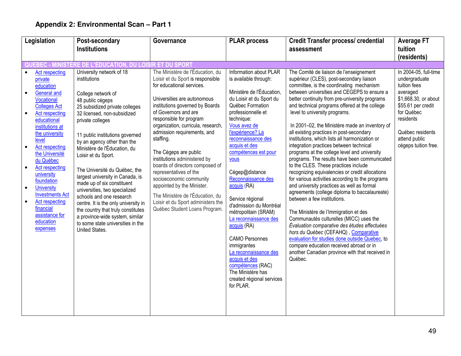| Legislation                                                                                                                                                                                                                                                                                                                                                                                                                                                                                                                                                                                 | Post-secondary                                                                                                                                                                                                                                                                                                                                                                                                                                                                                                    | Governance                                                                                                                                                                                                                                                                                                                                                                                                                                                                                                                                                                                          | <b>PLAR process</b>                                                                                                                                                                                                                                                                                                                                                                                                                                                                                                                                                                                                     | <b>Credit Transfer process/ credential</b>                                                                                                                                                                                                                                                                                                                                                                                                                                                                                                                                                                                                                                                                                                                                                                                                                                                                                                                                                                                                                                                                                                                                                                                        | <b>Average FT</b>                                                                                                                                                                                        |
|---------------------------------------------------------------------------------------------------------------------------------------------------------------------------------------------------------------------------------------------------------------------------------------------------------------------------------------------------------------------------------------------------------------------------------------------------------------------------------------------------------------------------------------------------------------------------------------------|-------------------------------------------------------------------------------------------------------------------------------------------------------------------------------------------------------------------------------------------------------------------------------------------------------------------------------------------------------------------------------------------------------------------------------------------------------------------------------------------------------------------|-----------------------------------------------------------------------------------------------------------------------------------------------------------------------------------------------------------------------------------------------------------------------------------------------------------------------------------------------------------------------------------------------------------------------------------------------------------------------------------------------------------------------------------------------------------------------------------------------------|-------------------------------------------------------------------------------------------------------------------------------------------------------------------------------------------------------------------------------------------------------------------------------------------------------------------------------------------------------------------------------------------------------------------------------------------------------------------------------------------------------------------------------------------------------------------------------------------------------------------------|-----------------------------------------------------------------------------------------------------------------------------------------------------------------------------------------------------------------------------------------------------------------------------------------------------------------------------------------------------------------------------------------------------------------------------------------------------------------------------------------------------------------------------------------------------------------------------------------------------------------------------------------------------------------------------------------------------------------------------------------------------------------------------------------------------------------------------------------------------------------------------------------------------------------------------------------------------------------------------------------------------------------------------------------------------------------------------------------------------------------------------------------------------------------------------------------------------------------------------------|----------------------------------------------------------------------------------------------------------------------------------------------------------------------------------------------------------|
| <b>Institutions</b>                                                                                                                                                                                                                                                                                                                                                                                                                                                                                                                                                                         |                                                                                                                                                                                                                                                                                                                                                                                                                                                                                                                   |                                                                                                                                                                                                                                                                                                                                                                                                                                                                                                                                                                                                     |                                                                                                                                                                                                                                                                                                                                                                                                                                                                                                                                                                                                                         | assessment                                                                                                                                                                                                                                                                                                                                                                                                                                                                                                                                                                                                                                                                                                                                                                                                                                                                                                                                                                                                                                                                                                                                                                                                                        | tuition                                                                                                                                                                                                  |
|                                                                                                                                                                                                                                                                                                                                                                                                                                                                                                                                                                                             |                                                                                                                                                                                                                                                                                                                                                                                                                                                                                                                   |                                                                                                                                                                                                                                                                                                                                                                                                                                                                                                                                                                                                     |                                                                                                                                                                                                                                                                                                                                                                                                                                                                                                                                                                                                                         |                                                                                                                                                                                                                                                                                                                                                                                                                                                                                                                                                                                                                                                                                                                                                                                                                                                                                                                                                                                                                                                                                                                                                                                                                                   | (residents)                                                                                                                                                                                              |
| QUEBEC - MINISTÈRE DE L'ÉDUCATION, DU LOISIR ET DU SPORT                                                                                                                                                                                                                                                                                                                                                                                                                                                                                                                                    |                                                                                                                                                                                                                                                                                                                                                                                                                                                                                                                   |                                                                                                                                                                                                                                                                                                                                                                                                                                                                                                                                                                                                     |                                                                                                                                                                                                                                                                                                                                                                                                                                                                                                                                                                                                                         |                                                                                                                                                                                                                                                                                                                                                                                                                                                                                                                                                                                                                                                                                                                                                                                                                                                                                                                                                                                                                                                                                                                                                                                                                                   |                                                                                                                                                                                                          |
| <b>Act respecting</b><br>$\bullet$<br>institutions<br>private<br>education<br><b>General and</b><br>College network of<br>Vocational<br>48 public cégeps<br><b>Colleges Act</b><br>Act respecting<br>educational<br>private colleges<br>institutions at<br>the university<br>level<br><b>Act respecting</b><br>$\bullet$<br>the Université<br>Loisir et du Sport.<br>du Québec<br>Act respecting<br>university<br>foundation<br><b>University</b><br>$\bullet$<br><b>Investments Act</b><br><b>Act respecting</b><br>financial<br>assistance for<br>education<br>expenses<br>United States. | University network of 18<br>25 subsidized private colleges<br>32 licensed, non-subsidized<br>11 public institutions governed<br>by an agency other than the<br>Ministère de l'Éducation, du<br>The Université du Québec, the<br>largest university in Canada, is<br>made up of six constituent<br>universities, two specialized<br>schools and one research<br>centre. It is the only university in<br>the country that truly constitutes<br>a province-wide system, similar<br>to some state universities in the | The Ministère de l'Éducation, du<br>Loisir et du Sport is responsible<br>for educational services.<br>Universities are autonomous<br>institutions governed by Boards<br>of Governors and are<br>responsible for program<br>organization, curricula, research,<br>admission requirements, and<br>staffing.<br>The Cégeps are public<br>institutions administered by<br>boards of directors composed of<br>representatives of the<br>socioeconomic community<br>appointed by the Minister.<br>The Ministère de l'Éducation, du<br>Loisir et du Sport administers the<br>Québec Student Loans Program. | Information about PLAR<br>is available through:<br>Ministère de l'Éducation,<br>du Loisir et du Sport du<br>Québec Formation<br>professionnelle et<br>technique:<br>Vous avez de<br>l'expérience? La<br>reconnaissance des<br>acquis et des<br>compétences est pour<br>vous<br>Cégep@distance<br>Reconnaissance des<br>acquis (RA)<br>Service régional<br>d'admission du Montréal<br>métropolitain (SRAM)<br>La reconnaissance des<br>acquis (RA)<br><b>CAMO Personnes</b><br>immigrantes<br>La reconnaissance des<br>acquis et des<br>compétences (RAC)<br>The Ministère has<br>created régional services<br>for PLAR. | The Comité de liaison de l'enseignement<br>supérieur (CLES), post-secondary liaison<br>committee, is the coordinating mechanism<br>between universities and CEGEPS to ensure a<br>better continuity from pre-university programs<br>and technical programs offered at the college<br>level to university programs.<br>In 2001-02, the Ministère made an inventory of<br>all existing practices in post-secondary<br>institutions, which lists all harmonization or<br>integration practices between technical<br>programs at the college level and university<br>programs. The results have been communicated<br>to the CLES. These practices include<br>recognizing equivalencies or credit allocations<br>for various activities according to the programs<br>and university practices as well as formal<br>agreements (college diploma to baccalaureate)<br>between a few institutions.<br>The Ministère de l'Immigration et des<br>Communautés culturelles (MICC) uses the<br>Évaluation comparative des études effectuées<br>hors du Québec (CEFAHQ), Comparative<br>evaluation for studies done outside Quebec, to<br>compare education received abroad or in<br>another Canadian province with that received in<br>Québec. | In 2004-05, full-time<br>undergraduate<br>tuition fees<br>averaged<br>\$1,668.30, or about<br>\$55.61 per credit<br>for Québec<br>residents<br>Québec residents<br>attend public<br>cégeps tuition free. |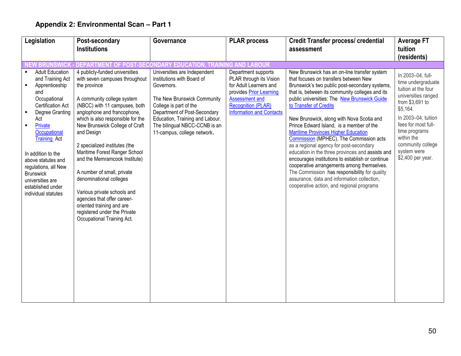| Legislation                                                                                                                                                                                                                                                                                                                                                                                               | Post-secondary                                                                                                                                                                                                                                                                                                                                                                                                                                                                                                                                                                           | Governance                                                                                                                                                                                                                                                           | <b>PLAR process</b>                                                                                                                                                                   | <b>Credit Transfer process/ credential</b>                                                                                                                                                                                                                                                                                                                                                                                                                                                                                                                                                                                                                                                                                                                                                          | <b>Average FT</b>                                                                                                                                                                                                                                          |
|-----------------------------------------------------------------------------------------------------------------------------------------------------------------------------------------------------------------------------------------------------------------------------------------------------------------------------------------------------------------------------------------------------------|------------------------------------------------------------------------------------------------------------------------------------------------------------------------------------------------------------------------------------------------------------------------------------------------------------------------------------------------------------------------------------------------------------------------------------------------------------------------------------------------------------------------------------------------------------------------------------------|----------------------------------------------------------------------------------------------------------------------------------------------------------------------------------------------------------------------------------------------------------------------|---------------------------------------------------------------------------------------------------------------------------------------------------------------------------------------|-----------------------------------------------------------------------------------------------------------------------------------------------------------------------------------------------------------------------------------------------------------------------------------------------------------------------------------------------------------------------------------------------------------------------------------------------------------------------------------------------------------------------------------------------------------------------------------------------------------------------------------------------------------------------------------------------------------------------------------------------------------------------------------------------------|------------------------------------------------------------------------------------------------------------------------------------------------------------------------------------------------------------------------------------------------------------|
|                                                                                                                                                                                                                                                                                                                                                                                                           | <b>Institutions</b>                                                                                                                                                                                                                                                                                                                                                                                                                                                                                                                                                                      |                                                                                                                                                                                                                                                                      |                                                                                                                                                                                       | assessment                                                                                                                                                                                                                                                                                                                                                                                                                                                                                                                                                                                                                                                                                                                                                                                          | tuition                                                                                                                                                                                                                                                    |
|                                                                                                                                                                                                                                                                                                                                                                                                           |                                                                                                                                                                                                                                                                                                                                                                                                                                                                                                                                                                                          |                                                                                                                                                                                                                                                                      |                                                                                                                                                                                       |                                                                                                                                                                                                                                                                                                                                                                                                                                                                                                                                                                                                                                                                                                                                                                                                     | (residents)                                                                                                                                                                                                                                                |
|                                                                                                                                                                                                                                                                                                                                                                                                           | IEW BRUNSWICK - DEPARTMENT OF POST-SECONDARY EDUCATION.                                                                                                                                                                                                                                                                                                                                                                                                                                                                                                                                  | . TRAIN                                                                                                                                                                                                                                                              | <b>IG AND LABOUR</b>                                                                                                                                                                  |                                                                                                                                                                                                                                                                                                                                                                                                                                                                                                                                                                                                                                                                                                                                                                                                     |                                                                                                                                                                                                                                                            |
| <b>Adult Education</b><br>and Training Act<br>Apprenticeship<br>$\blacksquare$<br>and<br>Occupational<br><b>Certification Act</b><br>Degree Granting<br>$\blacksquare$<br>Act<br>Private<br>$\blacksquare$<br>Occupational<br><b>Training Act</b><br>In addition to the<br>above statutes and<br>regulations, all New<br><b>Brunswick</b><br>universities are<br>established under<br>individual statutes | 4 publicly-funded universities<br>with seven campuses throughout<br>the province<br>A community college system<br>(NBCC) with 11 campuses, both<br>anglophone and francophone,<br>which is also responsible for the<br>New Brunswick College of Craft<br>and Design<br>2 specialized institutes (the<br>Maritime Forest Ranger School<br>and the Memramcook Institute)<br>A number of small, private<br>denominational colleges<br>Various private schools and<br>agencies that offer career-<br>oriented training and are<br>registered under the Private<br>Occupational Training Act. | Universities are Independent<br>institutions with Board of<br>Governors.<br>The New Brunswick Community<br>College is part of the<br>Department of Post-Secondary<br>Education, Training and Labour.<br>The bilingual NBCC-CCNB is an<br>11-campus, college network. | Department supports<br>PLAR through its Vision<br>for Adult Learners and<br>provides Prior Learning<br>Assessment and<br><b>Recognition (PLAR)</b><br><b>Information and Contacts</b> | New Brunswick has an on-line transfer system<br>that focuses on transfers between New<br>Brunswick's two public post-secondary systems<br>that is, between its community colleges and its<br>public universities: The New Brunswick Guide<br>to Transfer of Credits<br>New Brunswick, along with Nova Scotia and<br>Prince Edward Island, is a member of the<br><b>Maritime Provinces Higher Education</b><br>Commission (MPHEC). The Commission acts<br>as a regional agency for post-secondary<br>education in the three provinces and assists and<br>encourages institutions to establish or continue<br>cooperative arrangements among themselves.<br>The Commission has responsibility for quality<br>assurance, data and information collection,<br>cooperative action, and regional programs | In 2003-04, full-<br>time undergraduate<br>tuition at the four<br>universities ranged<br>from \$3,691 to<br>\$5,164.<br>In 2003-04, tuition<br>fees for most full-<br>time programs<br>within the<br>community college<br>system were<br>\$2,400 per year. |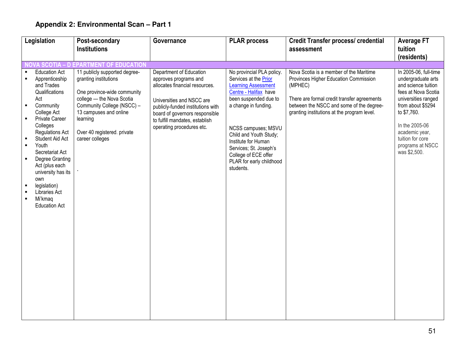| Legislation                                                                                                                                                                                                                                                                                                                                                                                                         | Post-secondary                                                                                                                                                                                                                           | Governance                                                                                                                                                                                                                                            | <b>PLAR</b> process                                                                                                                                                                                                                                                                                                           | <b>Credit Transfer process/ credential</b>                                                                                                                                                                                            | <b>Average FT</b>                                                                                                                                                                                                                                |
|---------------------------------------------------------------------------------------------------------------------------------------------------------------------------------------------------------------------------------------------------------------------------------------------------------------------------------------------------------------------------------------------------------------------|------------------------------------------------------------------------------------------------------------------------------------------------------------------------------------------------------------------------------------------|-------------------------------------------------------------------------------------------------------------------------------------------------------------------------------------------------------------------------------------------------------|-------------------------------------------------------------------------------------------------------------------------------------------------------------------------------------------------------------------------------------------------------------------------------------------------------------------------------|---------------------------------------------------------------------------------------------------------------------------------------------------------------------------------------------------------------------------------------|--------------------------------------------------------------------------------------------------------------------------------------------------------------------------------------------------------------------------------------------------|
|                                                                                                                                                                                                                                                                                                                                                                                                                     | <b>Institutions</b>                                                                                                                                                                                                                      |                                                                                                                                                                                                                                                       |                                                                                                                                                                                                                                                                                                                               | assessment                                                                                                                                                                                                                            | tuition<br>(residents)                                                                                                                                                                                                                           |
|                                                                                                                                                                                                                                                                                                                                                                                                                     | <b>OVA SCOTIA - D EPARTMENT OF EDUCATION</b>                                                                                                                                                                                             |                                                                                                                                                                                                                                                       |                                                                                                                                                                                                                                                                                                                               |                                                                                                                                                                                                                                       |                                                                                                                                                                                                                                                  |
| <b>Education Act</b><br>Apprenticeship<br>and Trades<br>Qualifications<br>Act<br>Community<br>$\blacksquare$<br>College Act<br><b>Private Career</b><br>Colleges<br><b>Regulations Act</b><br>Student Aid Act<br>Youth<br>Secretariat Act<br>Degree Granting<br>$\blacksquare$<br>Act (plus each<br>university has its<br>own<br>legislation)<br>$\blacksquare$<br>Libraries Act<br>Mi'kmaq<br><b>Education Act</b> | 11 publicly supported degree-<br>granting institutions<br>One province-wide community<br>college - the Nova Scotia<br>Community College (NSCC) -<br>13 campuses and online<br>learning<br>Over 40 registered. private<br>career colleges | Department of Education<br>approves programs and<br>allocates financial resources.<br>Universities and NSCC are<br>publicly-funded institutions with<br>board of governors responsible<br>to fulfill mandates, establish<br>operating procedures etc. | No provincial PLA policy.<br>Services at the Prior<br><b>Learning Assessment</b><br>Centre - Halifax have<br>been suspended due to<br>a change in funding.<br>NCSS campuses; MSVU<br>Child and Youth Study;<br>Institute for Human<br>Services; St. Joseph's<br>College of ECE offer<br>PLAR for early childhood<br>students. | Nova Scotia is a member of the Maritime<br>Provinces Higher Education Commission<br>(MPHEC)<br>There are formal credit transfer agreements<br>between the NSCC and some of the degree-<br>granting institutions at the program level. | In 2005-06, full-time<br>undergraduate arts<br>and science tuition<br>fees at Nova Scotia<br>universities ranged<br>from about \$5294<br>to \$7,760.<br>In the 2005-06<br>academic year,<br>tuition for core<br>programs at NSCC<br>was \$2,500. |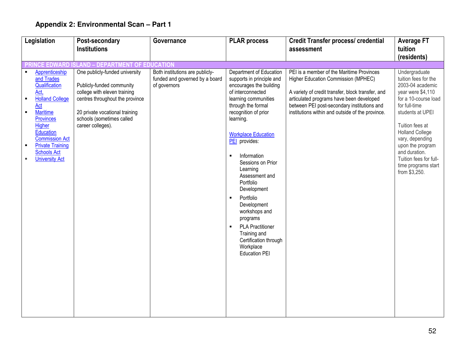| Legislation                                                                                                                                                                                                                                                                    | Post-secondary                                                                                                                                                                                                     | Governance                                                                        | <b>PLAR process</b>                                                                                                                                                                                                                                                                                                                                                                                                                                                                                                                        | <b>Credit Transfer process/ credential</b>                                                                                                                                                                                                                                           | <b>Average FT</b>                                                                                                                                                                                                                                                                                                  |
|--------------------------------------------------------------------------------------------------------------------------------------------------------------------------------------------------------------------------------------------------------------------------------|--------------------------------------------------------------------------------------------------------------------------------------------------------------------------------------------------------------------|-----------------------------------------------------------------------------------|--------------------------------------------------------------------------------------------------------------------------------------------------------------------------------------------------------------------------------------------------------------------------------------------------------------------------------------------------------------------------------------------------------------------------------------------------------------------------------------------------------------------------------------------|--------------------------------------------------------------------------------------------------------------------------------------------------------------------------------------------------------------------------------------------------------------------------------------|--------------------------------------------------------------------------------------------------------------------------------------------------------------------------------------------------------------------------------------------------------------------------------------------------------------------|
|                                                                                                                                                                                                                                                                                | <b>Institutions</b>                                                                                                                                                                                                |                                                                                   |                                                                                                                                                                                                                                                                                                                                                                                                                                                                                                                                            | assessment                                                                                                                                                                                                                                                                           | tuition                                                                                                                                                                                                                                                                                                            |
|                                                                                                                                                                                                                                                                                |                                                                                                                                                                                                                    |                                                                                   |                                                                                                                                                                                                                                                                                                                                                                                                                                                                                                                                            |                                                                                                                                                                                                                                                                                      | (residents)                                                                                                                                                                                                                                                                                                        |
|                                                                                                                                                                                                                                                                                | ICE EDWARD ISLAND - DEPARTMENT OF EDUCATION                                                                                                                                                                        |                                                                                   |                                                                                                                                                                                                                                                                                                                                                                                                                                                                                                                                            |                                                                                                                                                                                                                                                                                      |                                                                                                                                                                                                                                                                                                                    |
| Apprenticeship<br>and Trades<br>Qualification<br>Act,<br><b>Holland College</b><br>$\blacksquare$<br><b>Act</b><br><b>Maritime</b><br>Provinces<br>Higher<br>Education<br><b>Commission Act</b><br><b>Private Training</b><br><b>Schools Act</b><br><b>University Act</b><br>٠ | One publicly-funded university<br>Publicly-funded community<br>college with eleven training<br>centres throughout the province<br>20 private vocational training<br>schools (sometimes called<br>career colleges). | Both institutions are publicly-<br>funded and governed by a board<br>of governors | Department of Education<br>supports in principle and<br>encourages the building<br>of interconnected<br>learning communities<br>through the formal<br>recognition of prior<br>learning.<br><b>Workplace Education</b><br>PEI provides:<br>Information<br>Sessions on Prior<br>Learning<br>Assessment and<br>Portfolio<br>Development<br>Portfolio<br>$\blacksquare$<br>Development<br>workshops and<br>programs<br><b>PLA Practitioner</b><br>$\blacksquare$<br>Training and<br>Certification through<br>Workplace<br><b>Education PEI</b> | PEI is a member of the Maritime Provinces<br>Higher Education Commission (MPHEC)<br>A variety of credit transfer, block transfer, and<br>articulated programs have been developed<br>between PEI post-secondary institutions and<br>institutions within and outside of the province. | Undergraduate<br>tuition fees for the<br>2003-04 academic<br>year were \$4,110<br>for a 10-course load<br>for full-time<br>students at UPEI<br>Tuition fees at<br><b>Holland College</b><br>vary, depending<br>upon the program<br>and duration.<br>Tuition fees for full-<br>time programs start<br>from \$3,250. |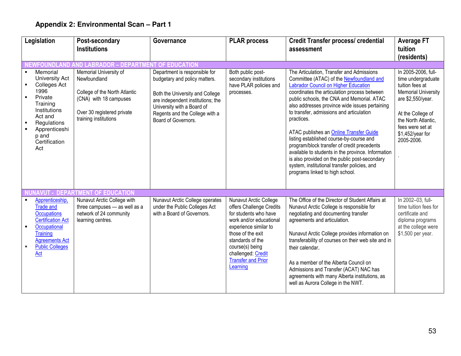|                                                | Legislation                                                                                                                                                                 | Post-secondary                                                                                                                                                                               | Governance                                                                                                                                                                                                                                                 | <b>PLAR process</b>                                                                                                                                                                                                                                                                                                          | <b>Credit Transfer process/ credential</b>                                                                                                                                                                                                                                                                                                                                                                                                                                  | <b>Average FT</b>                                                                                                                                                               |
|------------------------------------------------|-----------------------------------------------------------------------------------------------------------------------------------------------------------------------------|----------------------------------------------------------------------------------------------------------------------------------------------------------------------------------------------|------------------------------------------------------------------------------------------------------------------------------------------------------------------------------------------------------------------------------------------------------------|------------------------------------------------------------------------------------------------------------------------------------------------------------------------------------------------------------------------------------------------------------------------------------------------------------------------------|-----------------------------------------------------------------------------------------------------------------------------------------------------------------------------------------------------------------------------------------------------------------------------------------------------------------------------------------------------------------------------------------------------------------------------------------------------------------------------|---------------------------------------------------------------------------------------------------------------------------------------------------------------------------------|
|                                                |                                                                                                                                                                             | <b>Institutions</b>                                                                                                                                                                          |                                                                                                                                                                                                                                                            |                                                                                                                                                                                                                                                                                                                              | assessment                                                                                                                                                                                                                                                                                                                                                                                                                                                                  | tuition                                                                                                                                                                         |
|                                                |                                                                                                                                                                             |                                                                                                                                                                                              |                                                                                                                                                                                                                                                            |                                                                                                                                                                                                                                                                                                                              |                                                                                                                                                                                                                                                                                                                                                                                                                                                                             | (residents)                                                                                                                                                                     |
|                                                | Memorial<br>University Act<br><b>Colleges Act</b><br>1996<br>Private<br>Training<br>Institutions<br>Act and<br>Regulations                                                  | <b>NEWFOUNDLAND AND LABRADOR</b><br>Memorial University of<br>Newfoundland<br>College of the North Atlantic<br>(CNA) with 18 campuses<br>Over 30 registered private<br>training institutions | - DEPARTMENT OF EDUCATION<br>Department is responsible for<br>budgetary and policy matters.<br>Both the University and College<br>are independent institutions; the<br>University with a Board of<br>Regents and the College with a<br>Board of Governors. | Both public post-<br>secondary institutions<br>have PLAR policies and<br>processes.                                                                                                                                                                                                                                          | The Articulation, Transfer and Admissions<br>Committee (ATAC) of the Newfoundland and<br><b>Labrador Council on Higher Education</b><br>coordinates the articulation process between<br>public schools, the CNA and Memorial. ATAC<br>also addresses province wide issues pertaining<br>to transfer, admissions and articulation<br>practices.                                                                                                                              | In 2005-2006, full-<br>time undergraduate<br>tuition fees at<br><b>Memorial University</b><br>are \$2,550/year.<br>At the College of<br>the North Atlantic,<br>fees were set at |
| Apprenticeshi<br>p and<br>Certification<br>Act |                                                                                                                                                                             |                                                                                                                                                                                              |                                                                                                                                                                                                                                                            | ATAC publishes an Online Transfer Guide<br>listing established course-by-course and<br>program/block transfer of credit precedents<br>available to students in the province. Information<br>is also provided on the public post-secondary<br>system, institutional transfer policies, and<br>programs linked to high school. | \$1,452/year for<br>2005-2006.                                                                                                                                                                                                                                                                                                                                                                                                                                              |                                                                                                                                                                                 |
|                                                | Apprenticeship,<br><b>Trade and</b><br><b>Occupations</b><br><b>Certification Act</b><br>Occupational<br>Training<br><b>Agreements Act</b><br><b>Public Colleges</b><br>Act | <b>NAVUT - DEPARTMENT OF EDUCATION</b><br>Nunavut Arctic College with<br>three campuses - as well as a<br>network of 24 community<br>learning centres.                                       | Nunavut Arctic College operates<br>under the Public Colleges Act<br>with a Board of Governors.                                                                                                                                                             | Nunavut Arctic College<br>offers Challenge Credits<br>for students who have<br>work and/or educational<br>experience similar to<br>those of the exit<br>standards of the<br>course(s) being<br>challenged: Credit<br><b>Transfer and Prior</b><br>Learning                                                                   | The Office of the Director of Student Affairs at<br>Nunavut Arctic College is responsible for<br>negotiating and documenting transfer<br>agreements and articulation.<br>Nunavut Arctic College provides information on<br>transferability of courses on their web site and in<br>their calendar.<br>As a member of the Alberta Council on<br>Admissions and Transfer (ACAT) NAC has<br>agreements with many Alberta institutions, as<br>well as Aurora College in the NWT. | In 2002-03, full-<br>time tuition fees for<br>certificate and<br>diploma programs<br>at the college were<br>\$1,500 per year.                                                   |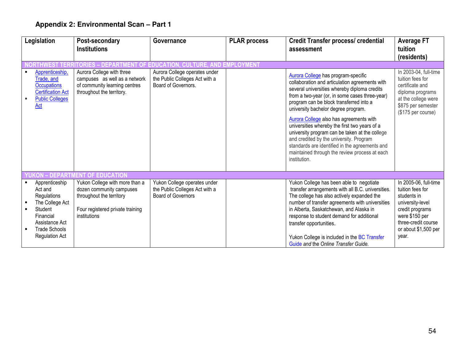| Legislation                                                                                                                                            | Post-secondary                                                                                                                             | Governance                                                                                  | <b>PLAR process</b>         | <b>Credit Transfer process/ credential</b>                                                                                                                                                                                                                                                                                                                                                                                                                                                                                                                                            | <b>Average FT</b>                                                                                                                                                         |
|--------------------------------------------------------------------------------------------------------------------------------------------------------|--------------------------------------------------------------------------------------------------------------------------------------------|---------------------------------------------------------------------------------------------|-----------------------------|---------------------------------------------------------------------------------------------------------------------------------------------------------------------------------------------------------------------------------------------------------------------------------------------------------------------------------------------------------------------------------------------------------------------------------------------------------------------------------------------------------------------------------------------------------------------------------------|---------------------------------------------------------------------------------------------------------------------------------------------------------------------------|
|                                                                                                                                                        | <b>Institutions</b>                                                                                                                        |                                                                                             |                             | assessment                                                                                                                                                                                                                                                                                                                                                                                                                                                                                                                                                                            | tuition                                                                                                                                                                   |
|                                                                                                                                                        |                                                                                                                                            |                                                                                             |                             |                                                                                                                                                                                                                                                                                                                                                                                                                                                                                                                                                                                       | (residents)                                                                                                                                                               |
|                                                                                                                                                        | DEPARTMENT                                                                                                                                 | <b>OF FDUCA</b>                                                                             | <b>TURE. AND EMPLOYMENT</b> |                                                                                                                                                                                                                                                                                                                                                                                                                                                                                                                                                                                       |                                                                                                                                                                           |
| Apprenticeship,<br>Trade, and<br><b>Occupations</b><br><b>Certification Act</b><br><b>Public Colleges</b><br>Act                                       | Aurora College with three<br>campuses as well as a network<br>of community learning centres<br>throughout the territory.                   | Aurora College operates under<br>the Public Colleges Act with a<br>Board of Governors.      |                             | Aurora College has program-specific<br>collaboration and articulation agreements with<br>several universities whereby diploma credits<br>from a two-year (or, in some cases three-year)<br>program can be block transferred into a<br>university bachelor degree program.<br>Aurora College also has agreements with<br>universities whereby the first two years of a<br>university program can be taken at the college<br>and credited by the university. Program<br>standards are identified in the agreements and<br>maintained through the review process at each<br>institution. | In 2003-04, full-time<br>tuition fees for<br>certificate and<br>diploma programs<br>at the college were<br>\$875 per semester<br>(\$175 per course)                       |
| <b>ON - DEPARTMENT</b>                                                                                                                                 | <b>OF EDUCATION</b>                                                                                                                        |                                                                                             |                             |                                                                                                                                                                                                                                                                                                                                                                                                                                                                                                                                                                                       |                                                                                                                                                                           |
| Apprenticeship<br>Act and<br>Regulations<br>The College Act<br>Student<br>Financial<br>Assistance Act<br><b>Trade Schools</b><br><b>Regulation Act</b> | Yukon College with more than a<br>dozen community campuses<br>throughout the territory<br>Four registered private training<br>institutions | Yukon College operates under<br>the Public Colleges Act with a<br><b>Board of Governors</b> |                             | Yukon College has been able to negotiate<br>transfer arrangements with all B.C. universities.<br>The college has also actively expanded the<br>number of transfer agreements with universities<br>in Alberta, Saskatchewan, and Alaska in<br>response to student demand for additional<br>transfer opportunities.<br>Yukon College is included in the BC Transfer<br>Guide and the Online Transfer Guide.                                                                                                                                                                             | In 2005-06, full-time<br>tuition fees for<br>students in<br>university-level<br>credit programs<br>were \$150 per<br>three-credit course<br>or about \$1,500 per<br>year. |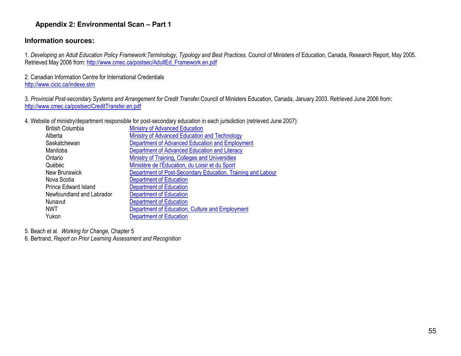#### **Information sources:**

1. Developing an Adult Education Policy Framework:Terminology, Typology and Best Practices. Council of Ministers of Education, Canada, Research Report, May 2005. Retrieved May 2006 from: http://www.cmec.ca/postsec/AdultEd\_Framework.en.pdf

2. Canadian Information Centre for International Credentials http://www.cicic.ca/indexe.stm

3. Provincial Post-secondary Systems and Arrangement for Credit Transfer.Council of Ministers Education, Canada, January 2003. Retrieved June 2006 from: http://www.cmec.ca/postsec/CreditTransfer.en.pdf

4. Website of ministry/department responsible for post-secondary education in each jurisdiction (retrieved June 2007):

| <b>Ministry of Advanced Education</b>                       |
|-------------------------------------------------------------|
| Ministry of Advanced Education and Technology               |
| Department of Advanced Education and Employment             |
| Department of Advanced Education and Literacy               |
| Ministry of Training, Colleges and Universities             |
| Ministère de l'Éducation, du Loisir et du Sport             |
| Department of Post-Secondary Education, Training and Labour |
| <b>Department of Education</b>                              |
| <b>Department of Education</b>                              |
| <b>Department of Education</b>                              |
| <b>Department of Education</b>                              |
| Department of Education, Culture and Employment             |
| <b>Department of Education</b>                              |
|                                                             |

5. Beach et al. Working for Change, Chapter 5

6. Bertrand, Report on Prior Learning Assessment and Recognition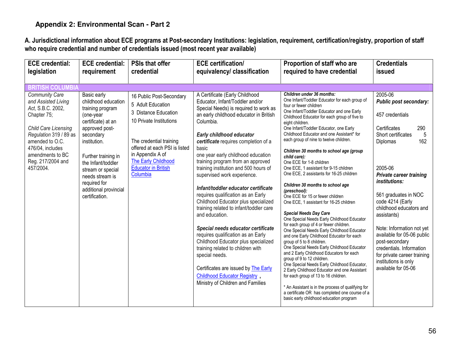A. Jurisdictional information about ECE programs at Post-secondary Institutions: legislation, requirement, certification/registry, proportion of staff<br>who require credential and number of credentials issued (most recent ye

| <b>ECE</b> credential:<br>legislation                                                                                                                                                                                                  | <b>ECE</b> credential:<br>requirement                                                                                                                                                                                                                                                    | <b>PSIs that offer</b><br>credential                                                                                                                                                                                                              | <b>ECE</b> certification/<br>equivalency/ classification                                                                                                                                                                                                                                                                                                                                                                                                                                                                                                                                                                                                                                                                                                                                                                                                                  | Proportion of staff who are<br>required to have credential                                                                                                                                                                                                                                                                                                                                                                                                                                                                                                                                                                                                                                                                                                                                                                                                                                                                                                                                                                                                                                                                                                                                                                                                                                                                               | <b>Credentials</b><br><b>issued</b>                                                                                                                                                                                                                                                                                                                                                                                                                                  |
|----------------------------------------------------------------------------------------------------------------------------------------------------------------------------------------------------------------------------------------|------------------------------------------------------------------------------------------------------------------------------------------------------------------------------------------------------------------------------------------------------------------------------------------|---------------------------------------------------------------------------------------------------------------------------------------------------------------------------------------------------------------------------------------------------|---------------------------------------------------------------------------------------------------------------------------------------------------------------------------------------------------------------------------------------------------------------------------------------------------------------------------------------------------------------------------------------------------------------------------------------------------------------------------------------------------------------------------------------------------------------------------------------------------------------------------------------------------------------------------------------------------------------------------------------------------------------------------------------------------------------------------------------------------------------------------|------------------------------------------------------------------------------------------------------------------------------------------------------------------------------------------------------------------------------------------------------------------------------------------------------------------------------------------------------------------------------------------------------------------------------------------------------------------------------------------------------------------------------------------------------------------------------------------------------------------------------------------------------------------------------------------------------------------------------------------------------------------------------------------------------------------------------------------------------------------------------------------------------------------------------------------------------------------------------------------------------------------------------------------------------------------------------------------------------------------------------------------------------------------------------------------------------------------------------------------------------------------------------------------------------------------------------------------|----------------------------------------------------------------------------------------------------------------------------------------------------------------------------------------------------------------------------------------------------------------------------------------------------------------------------------------------------------------------------------------------------------------------------------------------------------------------|
| <b>BRITISH COLUMBIA</b>                                                                                                                                                                                                                |                                                                                                                                                                                                                                                                                          |                                                                                                                                                                                                                                                   |                                                                                                                                                                                                                                                                                                                                                                                                                                                                                                                                                                                                                                                                                                                                                                                                                                                                           |                                                                                                                                                                                                                                                                                                                                                                                                                                                                                                                                                                                                                                                                                                                                                                                                                                                                                                                                                                                                                                                                                                                                                                                                                                                                                                                                          |                                                                                                                                                                                                                                                                                                                                                                                                                                                                      |
| <b>Community Care</b><br>and Assisted Living<br>Act, S.B.C. 2002,<br>Chapter 75;<br><b>Child Care Licensing</b><br>Regulation 319 / 89 as<br>amended to O.C.<br>476/04, includes<br>amendments to BC<br>Reg. 217/2004 and<br>457/2004. | Basic early<br>childhood education<br>training program<br>(one-year<br>certificate) at an<br>approved post-<br>secondary<br>institution.<br>Further training in<br>the Infant/toddler<br>stream or special<br>needs stream is<br>required for<br>additional provincial<br>certification. | 16 Public Post-Secondary<br>5 Adult Education<br>3 Distance Education<br>10 Private Institutions<br>The credential training<br>offered at each PSI is listed<br>in Appendix A of<br>The Early Childhood<br><b>Educator in British</b><br>Columbia | A Certificate (Early Childhood<br>Educator, Infant/Toddler and/or<br>Special Needs) is required to work as<br>an early childhood educator in British<br>Columbia.<br>Early childhood educator<br>certificate requires completion of a<br>basic<br>one year early childhood education<br>training program from an approved<br>training institution and 500 hours of<br>supervised work experience.<br>Infant/toddler educator certificate<br>requires qualification as an Early<br>Childhood Educator plus specialized<br>training related to infant/toddler care<br>and education.<br>Special needs educator certificate<br>requires qualification as an Early<br>Childhood Educator plus specialized<br>training related to children with<br>special needs.<br>Certificates are issued by The Early<br>Childhood Educator Registry,<br>Ministry of Children and Families | Children under 36 months:<br>One Infant/Toddler Educator for each group of<br>four or fewer children<br>One Infant/Toddler Educator and one Early<br>Childhood Educator for each group of five to<br>eight children.<br>One Infant/Toddler Educator, one Early<br>Childhood Educator and one Assistant* for<br>each group of nine to twelve children.<br>Children 30 months to school age (group<br>child care):<br>One ECE for 1-8 children<br>One ECE, 1 assistant for 9-15 children<br>One ECE, 2 assistants for 16-25 children<br>Children 30 months to school age<br>(preschool):<br>One ECE for 15 or fewer children<br>One ECE. 1 assistant for 16-25 children<br><b>Special Needs Day Care</b><br>One Special Needs Early Childhood Educator<br>for each group of 4 or fewer children.<br>One Special Needs Early Childhood Educator<br>and one Early Childhood Educator for each<br>group of 5 to 8 children.<br>One Special Needs Early Childhood Educator<br>and 2 Early Childhood Educators for each<br>group of 9 to 12 children.<br>One Special Needs Early Childhood Educator,<br>2 Early Childhood Educator and one Assistant<br>for each group of 13 to 16 children.<br>* An Assistant is in the process of qualifying for<br>a certificate OR has completed one course of a<br>basic early childhood education program | 2005-06<br>Public post secondary:<br>457 credentials<br>Certificates<br>290<br>Short certificates<br>5<br>162<br>Diplomas<br>2005-06<br>Private career training<br><i>institutions:</i><br>561 graduates in NOC<br>code 4214 (Early<br>childhood educators and<br>assistants)<br>Note: Information not yet<br>available for 05-06 public<br>post-secondary<br>credentials. Information<br>for private career training<br>institutions is only<br>available for 05-06 |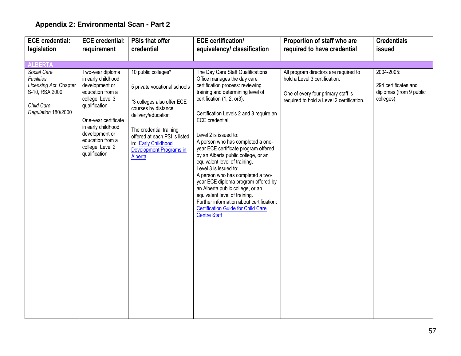| <b>ECE</b> credential:                                                                                     | <b>ECE credential:</b>                                                                                                                                                                                                                     | <b>PSIs that offer</b>                                                                                                                                                                                                                                                | <b>ECE</b> certification/                                                                                                                                                                                                                                                                                                                                                                                                                                                                                                                                                                                                                                                                                     | Proportion of staff who are                                                                                                                               | <b>Credentials</b>                                                         |
|------------------------------------------------------------------------------------------------------------|--------------------------------------------------------------------------------------------------------------------------------------------------------------------------------------------------------------------------------------------|-----------------------------------------------------------------------------------------------------------------------------------------------------------------------------------------------------------------------------------------------------------------------|---------------------------------------------------------------------------------------------------------------------------------------------------------------------------------------------------------------------------------------------------------------------------------------------------------------------------------------------------------------------------------------------------------------------------------------------------------------------------------------------------------------------------------------------------------------------------------------------------------------------------------------------------------------------------------------------------------------|-----------------------------------------------------------------------------------------------------------------------------------------------------------|----------------------------------------------------------------------------|
| legislation                                                                                                | requirement                                                                                                                                                                                                                                | credential                                                                                                                                                                                                                                                            | equivalency/ classification                                                                                                                                                                                                                                                                                                                                                                                                                                                                                                                                                                                                                                                                                   | required to have credential                                                                                                                               | issued                                                                     |
|                                                                                                            |                                                                                                                                                                                                                                            |                                                                                                                                                                                                                                                                       |                                                                                                                                                                                                                                                                                                                                                                                                                                                                                                                                                                                                                                                                                                               |                                                                                                                                                           |                                                                            |
| <b>ALBERTA</b>                                                                                             |                                                                                                                                                                                                                                            |                                                                                                                                                                                                                                                                       |                                                                                                                                                                                                                                                                                                                                                                                                                                                                                                                                                                                                                                                                                                               |                                                                                                                                                           |                                                                            |
| Social Care<br>Facilities<br>Licensing Act. Chapter<br>S-10, RSA 2000<br>Child Care<br>Regulation 180/2000 | Two-year diploma<br>in early childhood<br>development or<br>education from a<br>college: Level 3<br>qualification<br>One-year certificate<br>in early childhood<br>development or<br>education from a<br>college: Level 2<br>qualification | 10 public colleges*<br>5 private vocational schools<br>*3 colleges also offer ECE<br>courses by distance<br>delivery/education<br>The credential training<br>offered at each PSI is listed<br>in: Early Childhood<br><b>Development Programs in</b><br><b>Alberta</b> | The Day Care Staff Qualifications<br>Office manages the day care<br>certification process: reviewing<br>training and determining level of<br>certification (1, 2, or3).<br>Certification Levels 2 and 3 require an<br>ECE credential:<br>Level 2 is issued to:<br>A person who has completed a one-<br>year ECE certificate program offered<br>by an Alberta public college, or an<br>equivalent level of training.<br>Level 3 is issued to:<br>A person who has completed a two-<br>year ECE diploma program offered by<br>an Alberta public college, or an<br>equivalent level of training.<br>Further information about certification:<br><b>Certification Guide for Child Care</b><br><b>Centre Staff</b> | All program directors are required to<br>hold a Level 3 certification.<br>One of every four primary staff is<br>required to hold a Level 2 certification. | 2004-2005:<br>294 certificates and<br>diplomas (from 9 public<br>colleges) |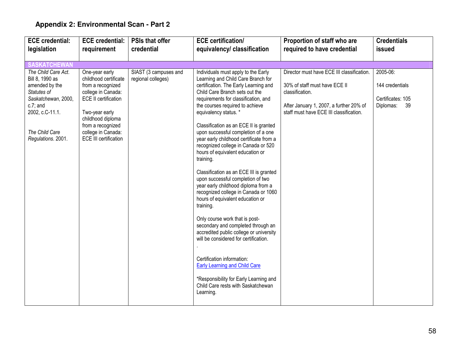| <b>ECE</b> credential:                                                                                                                                                   | <b>ECE credential:</b>                                                                                                                                                                                                              | <b>PSIs that offer</b>                      | <b>ECE</b> certification/                                                                                                                                                                                                                                                                                                                                                                                                                                                                                                                                                                                                                                                                                                                                                                                                                                                                                                                                                                                                   | Proportion of staff who are                                                                                                                                                          | <b>Credentials</b>                                                  |
|--------------------------------------------------------------------------------------------------------------------------------------------------------------------------|-------------------------------------------------------------------------------------------------------------------------------------------------------------------------------------------------------------------------------------|---------------------------------------------|-----------------------------------------------------------------------------------------------------------------------------------------------------------------------------------------------------------------------------------------------------------------------------------------------------------------------------------------------------------------------------------------------------------------------------------------------------------------------------------------------------------------------------------------------------------------------------------------------------------------------------------------------------------------------------------------------------------------------------------------------------------------------------------------------------------------------------------------------------------------------------------------------------------------------------------------------------------------------------------------------------------------------------|--------------------------------------------------------------------------------------------------------------------------------------------------------------------------------------|---------------------------------------------------------------------|
| legislation                                                                                                                                                              | requirement                                                                                                                                                                                                                         | credential                                  | equivalency/ classification                                                                                                                                                                                                                                                                                                                                                                                                                                                                                                                                                                                                                                                                                                                                                                                                                                                                                                                                                                                                 | required to have credential                                                                                                                                                          | issued                                                              |
|                                                                                                                                                                          |                                                                                                                                                                                                                                     |                                             |                                                                                                                                                                                                                                                                                                                                                                                                                                                                                                                                                                                                                                                                                                                                                                                                                                                                                                                                                                                                                             |                                                                                                                                                                                      |                                                                     |
| <b>SASKATCHEWAN</b>                                                                                                                                                      |                                                                                                                                                                                                                                     |                                             |                                                                                                                                                                                                                                                                                                                                                                                                                                                                                                                                                                                                                                                                                                                                                                                                                                                                                                                                                                                                                             |                                                                                                                                                                                      |                                                                     |
| The Child Care Act.<br>Bill 8, 1990 as<br>amended by the<br>Statutes of<br>Saskatchewan, 2000,<br>$c.7$ ; and<br>2002, c.C-11.1.<br>The Child Care<br>Regulations. 2001. | One-year early<br>childhood certificate<br>from a recognized<br>college in Canada:<br><b>ECE II certification</b><br>Two-year early<br>childhood diploma<br>from a recognized<br>college in Canada:<br><b>ECE III certification</b> | SIAST (3 campuses and<br>regional colleges) | Individuals must apply to the Early<br>Learning and Child Care Branch for<br>certification. The Early Learning and<br>Child Care Branch sets out the<br>requirements for classification, and<br>the courses required to achieve<br>equivalency status. *<br>Classification as an ECE II is granted<br>upon successful completion of a one<br>year early childhood certificate from a<br>recognized college in Canada or 520<br>hours of equivalent education or<br>training.<br>Classification as an ECE III is granted<br>upon successful completion of two<br>year early childhood diploma from a<br>recognized college in Canada or 1060<br>hours of equivalent education or<br>training.<br>Only course work that is post-<br>secondary and completed through an<br>accredited public college or university<br>will be considered for certification.<br>Certification information:<br><b>Early Learning and Child Care</b><br>*Responsibility for Early Learning and<br>Child Care rests with Saskatchewan<br>Learning. | Director must have ECE III classification.<br>30% of staff must have ECE II<br>classification.<br>After January 1, 2007, a further 20% of<br>staff must have ECE III classification. | 2005-06:<br>144 credentials<br>Certificates: 105<br>Diplomas:<br>39 |
|                                                                                                                                                                          |                                                                                                                                                                                                                                     |                                             |                                                                                                                                                                                                                                                                                                                                                                                                                                                                                                                                                                                                                                                                                                                                                                                                                                                                                                                                                                                                                             |                                                                                                                                                                                      |                                                                     |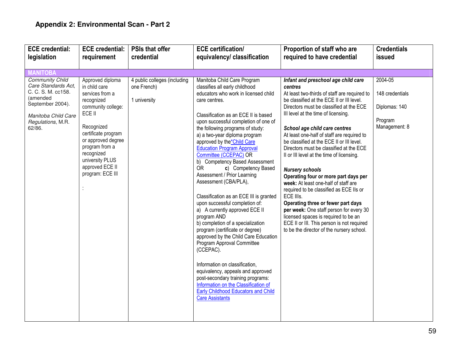| <b>ECE</b> credential:                                                                                                                                    | <b>ECE credential:</b>                                                                                                                                                                                                                                  | <b>PSIs that offer</b>                                      | <b>ECE</b> certification/                                                                                                                                                                                                                                                                                                                                                                                                                                                                                                                                                                                                                                                                                                                                                                                                                                                                                                                                                                                                  | Proportion of staff who are                                                                                                                                                                                                                                                                                                                                                                                                                                                                                                                                                                                                                                                                                                                                                                                                             | <b>Credentials</b>                                                      |
|-----------------------------------------------------------------------------------------------------------------------------------------------------------|---------------------------------------------------------------------------------------------------------------------------------------------------------------------------------------------------------------------------------------------------------|-------------------------------------------------------------|----------------------------------------------------------------------------------------------------------------------------------------------------------------------------------------------------------------------------------------------------------------------------------------------------------------------------------------------------------------------------------------------------------------------------------------------------------------------------------------------------------------------------------------------------------------------------------------------------------------------------------------------------------------------------------------------------------------------------------------------------------------------------------------------------------------------------------------------------------------------------------------------------------------------------------------------------------------------------------------------------------------------------|-----------------------------------------------------------------------------------------------------------------------------------------------------------------------------------------------------------------------------------------------------------------------------------------------------------------------------------------------------------------------------------------------------------------------------------------------------------------------------------------------------------------------------------------------------------------------------------------------------------------------------------------------------------------------------------------------------------------------------------------------------------------------------------------------------------------------------------------|-------------------------------------------------------------------------|
| legislation                                                                                                                                               | requirement                                                                                                                                                                                                                                             | credential                                                  | equivalency/ classification                                                                                                                                                                                                                                                                                                                                                                                                                                                                                                                                                                                                                                                                                                                                                                                                                                                                                                                                                                                                | required to have credential                                                                                                                                                                                                                                                                                                                                                                                                                                                                                                                                                                                                                                                                                                                                                                                                             | issued                                                                  |
|                                                                                                                                                           |                                                                                                                                                                                                                                                         |                                                             |                                                                                                                                                                                                                                                                                                                                                                                                                                                                                                                                                                                                                                                                                                                                                                                                                                                                                                                                                                                                                            |                                                                                                                                                                                                                                                                                                                                                                                                                                                                                                                                                                                                                                                                                                                                                                                                                                         |                                                                         |
| <b>MANITOBA</b>                                                                                                                                           |                                                                                                                                                                                                                                                         |                                                             |                                                                                                                                                                                                                                                                                                                                                                                                                                                                                                                                                                                                                                                                                                                                                                                                                                                                                                                                                                                                                            |                                                                                                                                                                                                                                                                                                                                                                                                                                                                                                                                                                                                                                                                                                                                                                                                                                         |                                                                         |
| <b>Community Child</b><br>Care Standards Act,<br>C. C. S. M. cc158.<br>(amended<br>September 2004).<br>Manitoba Child Care<br>Regulations, M.R.<br>62/86. | Approved diploma<br>in child care<br>services from a<br>recognized<br>community college:<br>ECE II<br>Recognized<br>certificate program<br>or approved degree<br>program from a<br>recognized<br>university PLUS<br>approved ECE II<br>program: ECE III | 4 public colleges (including<br>one French)<br>1 university | Manitoba Child Care Program<br>classifies all early childhood<br>educators who work in licensed child<br>care centres.<br>Classification as an ECE II is based<br>upon successful completion of one of<br>the following programs of study:<br>a) a two-year diploma program<br>approved by the*Child Care<br><b>Education Program Approval</b><br>Committee (CCEPAC) OR<br>b) Competency Based Assessment<br><b>OR</b><br>c) Competency Based<br>Assessment / Prior Learning<br>Assessment (CBA/PLA),<br>Classification as an ECE III is granted<br>upon successful completion of:<br>a) A currently approved ECE II<br>program AND<br>b) completion of a specialization<br>program (certificate or degree)<br>approved by the Child Care Education<br>Program Approval Committee<br>(CCEPAC).<br>Information on classification,<br>equivalency, appeals and approved<br>post-secondary training programs:<br>Information on the Classification of<br><b>Early Childhood Educators and Child</b><br><b>Care Assistants</b> | Infant and preschool age child care<br>centres<br>At least two-thirds of staff are required to<br>be classified at the ECE II or III level.<br>Directors must be classified at the ECE<br>III level at the time of licensing.<br>School age child care centres<br>At least one-half of staff are required to<br>be classified at the ECE II or III level.<br>Directors must be classified at the ECE<br>II or III level at the time of licensing.<br><b>Nursery schools</b><br>Operating four or more part days per<br>week: At least one-half of staff are<br>required to be classified as ECE IIs or<br>ECE IIIs.<br>Operating three or fewer part days<br>per week: One staff person for every 30<br>licensed spaces is required to be an<br>ECE II or III. This person is not required<br>to be the director of the nursery school. | 2004-05<br>148 credentials<br>Diplomas: 140<br>Program<br>Management: 8 |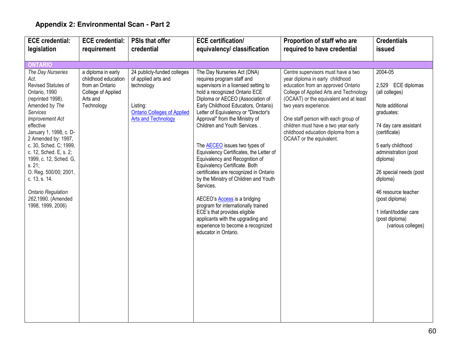| <b>ECE</b> credential:                                                                                                                                                                                                                                                                                                                                                                                                 | <b>ECE credential:</b>                                                                                       | <b>PSIs that offer</b>                                                                                                                           | <b>ECE certification/</b>                                                                                                                                                                                                                                                                                                                                                                                                                                                                                                                                                                                                                                                                                                                                                             | Proportion of staff who are                                                                                                                                                                                                                                                                                                                                              | <b>Credentials</b>                                                                                                                                                                                                                                                                                                                  |
|------------------------------------------------------------------------------------------------------------------------------------------------------------------------------------------------------------------------------------------------------------------------------------------------------------------------------------------------------------------------------------------------------------------------|--------------------------------------------------------------------------------------------------------------|--------------------------------------------------------------------------------------------------------------------------------------------------|---------------------------------------------------------------------------------------------------------------------------------------------------------------------------------------------------------------------------------------------------------------------------------------------------------------------------------------------------------------------------------------------------------------------------------------------------------------------------------------------------------------------------------------------------------------------------------------------------------------------------------------------------------------------------------------------------------------------------------------------------------------------------------------|--------------------------------------------------------------------------------------------------------------------------------------------------------------------------------------------------------------------------------------------------------------------------------------------------------------------------------------------------------------------------|-------------------------------------------------------------------------------------------------------------------------------------------------------------------------------------------------------------------------------------------------------------------------------------------------------------------------------------|
| legislation                                                                                                                                                                                                                                                                                                                                                                                                            | requirement                                                                                                  | credential                                                                                                                                       | equivalency/ classification                                                                                                                                                                                                                                                                                                                                                                                                                                                                                                                                                                                                                                                                                                                                                           | required to have credential                                                                                                                                                                                                                                                                                                                                              | issued                                                                                                                                                                                                                                                                                                                              |
|                                                                                                                                                                                                                                                                                                                                                                                                                        |                                                                                                              |                                                                                                                                                  |                                                                                                                                                                                                                                                                                                                                                                                                                                                                                                                                                                                                                                                                                                                                                                                       |                                                                                                                                                                                                                                                                                                                                                                          |                                                                                                                                                                                                                                                                                                                                     |
| <b>ONTARIO</b>                                                                                                                                                                                                                                                                                                                                                                                                         |                                                                                                              |                                                                                                                                                  |                                                                                                                                                                                                                                                                                                                                                                                                                                                                                                                                                                                                                                                                                                                                                                                       |                                                                                                                                                                                                                                                                                                                                                                          |                                                                                                                                                                                                                                                                                                                                     |
| The Day Nurseries<br>Act.<br>Revised Statutes of<br>Ontario, 1990<br>(reprinted 1998).<br>Amended by The<br>Services<br><b>Improvement Act</b><br>effective<br>January 1, 1998, c. D-<br>2 Amended by: 1997,<br>c. 30, Sched. C; 1999,<br>c. 12, Sched. E, s. 2;<br>1999, c. 12, Sched. G,<br>s. 21;<br>O. Reg. 500/00; 2001,<br>c. 13, s. 14.<br><b>Ontario Regulation</b><br>262,1990. (Amended<br>1998, 1999, 2006) | a diploma in early<br>childhood education<br>from an Ontario<br>College of Applied<br>Arts and<br>Technology | 24 publicly-funded colleges<br>of applied arts and<br>technology<br>Listing:<br><b>Ontario Colleges of Applied</b><br><b>Arts and Technology</b> | The Day Nurseries Act (DNA)<br>requires program staff and<br>supervisors in a licensed setting to<br>hold a recognized Ontario ECE<br>Diploma or AECEO (Association of<br>Early Childhood Educators, Ontario)<br>Letter of Equivalency or "Director's<br>Approval" from the Ministry of<br>Children and Youth Services<br>The AECEO issues two types of<br>Equivalency Certificates, the Letter of<br>Equivalency and Recognition of<br>Equivalency Certificate. Both<br>certificates are recognized in Ontario<br>by the Ministry of Children and Youth<br>Services.<br>AECEO's <b>Access</b> is a bridging<br>program for internationally trained<br>ECE's that provides eligible<br>applicants with the upgrading and<br>experience to become a recognized<br>educator in Ontario. | Centre supervisors must have a two<br>year diploma in early childhood<br>education from an approved Ontario<br>College of Applied Arts and Technology<br>(OCAAT) or the equivalent and at least<br>two years experience.<br>One staff person with each group of<br>children must have a two year early<br>childhood education diploma from a<br>OCAAT or the equivalent. | 2004-05<br>2,529 ECE diplomas<br>(all colleges)<br>Note additional<br>graduates:<br>74 day care assistant<br>(certificate)<br>5 early childhood<br>administration (post<br>diploma)<br>26 special needs (post<br>diploma)<br>46 resource teacher<br>(post diploma)<br>1 Infant/toddler care<br>(post diploma)<br>(various colleges) |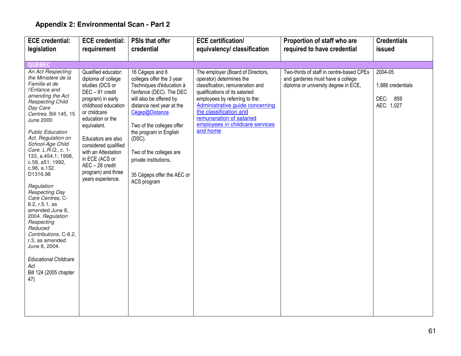| <b>ECE</b> credential:                                                                                                                                                                                                                                                                                                                                                                                                                                                                                                                                                                                                                  | <b>ECE credential:</b>                                                                                                                                                                                                                                                                                                            | <b>PSIs that offer</b>                                                                                                                                                                                                                                                                                                                            | <b>ECE certification/</b>                                                                                                                                                                                                                                                                                     | Proportion of staff who are                                                                                           | <b>Credentials</b>                                     |
|-----------------------------------------------------------------------------------------------------------------------------------------------------------------------------------------------------------------------------------------------------------------------------------------------------------------------------------------------------------------------------------------------------------------------------------------------------------------------------------------------------------------------------------------------------------------------------------------------------------------------------------------|-----------------------------------------------------------------------------------------------------------------------------------------------------------------------------------------------------------------------------------------------------------------------------------------------------------------------------------|---------------------------------------------------------------------------------------------------------------------------------------------------------------------------------------------------------------------------------------------------------------------------------------------------------------------------------------------------|---------------------------------------------------------------------------------------------------------------------------------------------------------------------------------------------------------------------------------------------------------------------------------------------------------------|-----------------------------------------------------------------------------------------------------------------------|--------------------------------------------------------|
| legislation                                                                                                                                                                                                                                                                                                                                                                                                                                                                                                                                                                                                                             | requirement                                                                                                                                                                                                                                                                                                                       | credential                                                                                                                                                                                                                                                                                                                                        | equivalency/ classification                                                                                                                                                                                                                                                                                   | required to have credential                                                                                           | issued                                                 |
|                                                                                                                                                                                                                                                                                                                                                                                                                                                                                                                                                                                                                                         |                                                                                                                                                                                                                                                                                                                                   |                                                                                                                                                                                                                                                                                                                                                   |                                                                                                                                                                                                                                                                                                               |                                                                                                                       |                                                        |
| <b>QUEBEC</b>                                                                                                                                                                                                                                                                                                                                                                                                                                                                                                                                                                                                                           |                                                                                                                                                                                                                                                                                                                                   |                                                                                                                                                                                                                                                                                                                                                   |                                                                                                                                                                                                                                                                                                               |                                                                                                                       |                                                        |
| An Act Respecting<br>the Ministère de la<br>Famille et de<br>l'Enfance and<br>amending the Act<br><b>Respecting Child</b><br>Day Care<br>Centres. Bill 145, 15<br><b>June 2000</b><br><b>Public Education</b><br>Act. Regulation on<br>School-Age Child<br>Care. L.R.Q., c. 1-<br>133, a.454.1; 1998,<br>c.58, a51; 1992,<br>c.96, a.132.<br>D1316.98<br>Regulation<br><b>Respecting Day</b><br>Care Centres, C-<br>8.2, r.5.1, as<br>amended June 8,<br>2004. Regulation<br>Respecting<br>Reduced<br>Contributions. C-8.2,<br>r.3, as amended<br>June 8, 2004.<br><b>Educational Childcare</b><br>Act<br>Bill 124 (2005 chapter<br>47) | Qualified educator:<br>diploma of college<br>studies (DCS or<br>DEC-91 credit<br>program) in early<br>childhood education<br>or childcare<br>education or the<br>equivalent.<br>Educators are also<br>considered qualified<br>with an Attestation<br>in ECE (ACS or<br>AEC - 28 credit<br>program) and three<br>years experience. | 16 Cégeps and 6<br>colleges offer the 3 year<br>Techniques d'éducation à<br>l'enfance (DEC). The DEC<br>will also be offered by<br>distance next year at the<br>Cégep@Distance.<br>Two of the colleges offer<br>the program in English<br>(DSC).<br>Two of the colleges are<br>private institutions.<br>35 Cégeps offer the AEC or<br>ACS program | The employer (Board of Directors,<br>operator) determines the<br>classification, remuneration and<br>qualifications of its salaried<br>employees by referring to the:<br>Administrative guide concerning<br>the classification and<br>remuneration of salaried<br>employees in childcare services<br>and home | Two-thirds of staff in centre-based CPEs<br>and garderies must have a college<br>diploma or university degree in ECE, | 2004-05<br>1,886 credentials<br>DEC: 859<br>AEC: 1,027 |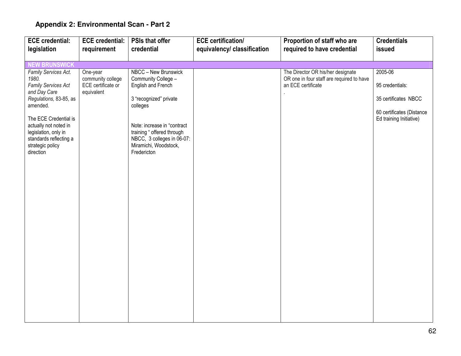| <b>ECE</b> credential:                                                                      | <b>ECE credential:</b>           | <b>PSIs that offer</b>                                                                                           | <b>ECE certification/</b>   | Proportion of staff who are                                                    | <b>Credentials</b>                                   |
|---------------------------------------------------------------------------------------------|----------------------------------|------------------------------------------------------------------------------------------------------------------|-----------------------------|--------------------------------------------------------------------------------|------------------------------------------------------|
| legislation                                                                                 | requirement                      | credential                                                                                                       | equivalency/ classification | required to have credential                                                    | issued                                               |
|                                                                                             |                                  |                                                                                                                  |                             |                                                                                |                                                      |
| <b>NEW BRUNSWICK</b>                                                                        |                                  |                                                                                                                  |                             |                                                                                |                                                      |
| Family Services Act.<br>1980.                                                               | One-year<br>community college    | NBCC - New Brunswick<br>Community College -                                                                      |                             | The Director OR his/her designate<br>OR one in four staff are required to have | 2005-06                                              |
| Family Services Act<br>and Day Care                                                         | ECE certificate or<br>equivalent | English and French                                                                                               |                             | an ECE certificate                                                             | 95 credentials:                                      |
| Regulations, 83-85, as<br>amended.                                                          |                                  | 3 "recognized" private<br>colleges                                                                               |                             |                                                                                | 35 certificates NBCC                                 |
| The ECE Credential is                                                                       |                                  |                                                                                                                  |                             |                                                                                | 60 certificates (Distance<br>Ed training Initiative) |
| actually not noted in<br>legislation, only in<br>standards reflecting a<br>strategic policy |                                  | Note: increase in "contract<br>training " offered through<br>NBCC, 3 colleges in 06-07:<br>Miramichi, Woodstock, |                             |                                                                                |                                                      |
| direction                                                                                   |                                  | Fredericton                                                                                                      |                             |                                                                                |                                                      |
|                                                                                             |                                  |                                                                                                                  |                             |                                                                                |                                                      |
|                                                                                             |                                  |                                                                                                                  |                             |                                                                                |                                                      |
|                                                                                             |                                  |                                                                                                                  |                             |                                                                                |                                                      |
|                                                                                             |                                  |                                                                                                                  |                             |                                                                                |                                                      |
|                                                                                             |                                  |                                                                                                                  |                             |                                                                                |                                                      |
|                                                                                             |                                  |                                                                                                                  |                             |                                                                                |                                                      |
|                                                                                             |                                  |                                                                                                                  |                             |                                                                                |                                                      |
|                                                                                             |                                  |                                                                                                                  |                             |                                                                                |                                                      |
|                                                                                             |                                  |                                                                                                                  |                             |                                                                                |                                                      |
|                                                                                             |                                  |                                                                                                                  |                             |                                                                                |                                                      |
|                                                                                             |                                  |                                                                                                                  |                             |                                                                                |                                                      |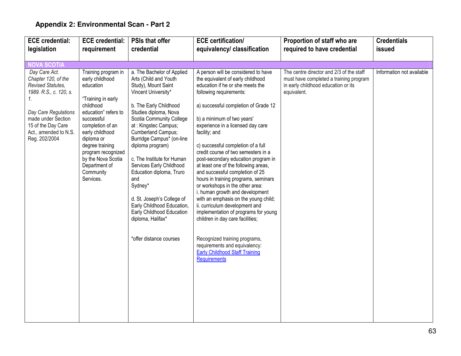| <b>ECE</b> credential:                                                                                                                                                                                  | <b>ECE</b> credential:                                                                                                                                                                                                                                                                      | <b>PSIs that offer</b>                                                                                                                                                                                                                                                                                                                                                                                                                                                                                                            | <b>ECE</b> certification/                                                                                                                                                                                                                                                                                                                                                                                                                                                                                                                                                                                                                                                                                                                                                                                                                                                | Proportion of staff who are                                                                                                              | <b>Credentials</b>        |
|---------------------------------------------------------------------------------------------------------------------------------------------------------------------------------------------------------|---------------------------------------------------------------------------------------------------------------------------------------------------------------------------------------------------------------------------------------------------------------------------------------------|-----------------------------------------------------------------------------------------------------------------------------------------------------------------------------------------------------------------------------------------------------------------------------------------------------------------------------------------------------------------------------------------------------------------------------------------------------------------------------------------------------------------------------------|--------------------------------------------------------------------------------------------------------------------------------------------------------------------------------------------------------------------------------------------------------------------------------------------------------------------------------------------------------------------------------------------------------------------------------------------------------------------------------------------------------------------------------------------------------------------------------------------------------------------------------------------------------------------------------------------------------------------------------------------------------------------------------------------------------------------------------------------------------------------------|------------------------------------------------------------------------------------------------------------------------------------------|---------------------------|
| legislation                                                                                                                                                                                             | requirement                                                                                                                                                                                                                                                                                 | credential                                                                                                                                                                                                                                                                                                                                                                                                                                                                                                                        | equivalency/ classification                                                                                                                                                                                                                                                                                                                                                                                                                                                                                                                                                                                                                                                                                                                                                                                                                                              | required to have credential                                                                                                              | issued                    |
|                                                                                                                                                                                                         |                                                                                                                                                                                                                                                                                             |                                                                                                                                                                                                                                                                                                                                                                                                                                                                                                                                   |                                                                                                                                                                                                                                                                                                                                                                                                                                                                                                                                                                                                                                                                                                                                                                                                                                                                          |                                                                                                                                          |                           |
| <b>NOVA SCOTIA</b>                                                                                                                                                                                      |                                                                                                                                                                                                                                                                                             |                                                                                                                                                                                                                                                                                                                                                                                                                                                                                                                                   |                                                                                                                                                                                                                                                                                                                                                                                                                                                                                                                                                                                                                                                                                                                                                                                                                                                                          |                                                                                                                                          |                           |
| Day Care Act.<br>Chapter 120, of the<br>Revised Statutes,<br>1989. R.S., c. 120, s.<br>1.<br>Day Care Regulations<br>made under Section<br>15 of the Day Care<br>Act., amended to N.S.<br>Reg. 202/2004 | Training program in<br>early childhood<br>education<br>"Training in early<br>childhood<br>education" refers to<br>successful<br>completion of an<br>early childhood<br>diploma or<br>degree training<br>program recognized<br>by the Nova Scotia<br>Department of<br>Community<br>Services. | a. The Bachelor of Applied<br>Arts (Child and Youth<br>Study), Mount Saint<br>Vincent University*<br>b. The Early Childhood<br>Studies diploma, Nova<br>Scotia Community College<br>at : Kingstec Campus;<br>Cumberland Campus;<br>Burridge Campus* (on-line<br>diploma program)<br>c. The Institute for Human<br>Services Early Childhood<br>Education diploma, Truro<br>and<br>Sydney*<br>d. St. Joseph's College of<br>Early Childhood Education,<br>Early Childhood Education<br>diploma, Halifax*<br>*offer distance courses | A person will be considered to have<br>the equivalent of early childhood<br>education if he or she meets the<br>following requirements:<br>a) successful completion of Grade 12<br>b) a minimum of two years'<br>experience in a licensed day care<br>facility; and<br>c) successful completion of a full<br>credit course of two semesters in a<br>post-secondary education program in<br>at least one of the following areas,<br>and successful completion of 25<br>hours in training programs, seminars<br>or workshops in the other area:<br>i. human growth and development<br>with an emphasis on the young child;<br>ii. curriculum development and<br>implementation of programs for young<br>children in day care facilities;<br>Recognized training programs,<br>requirements and equivalency:<br><b>Early Childhood Staff Training</b><br><b>Requirements</b> | The centre director and 2/3 of the staff<br>must have completed a training program<br>in early childhood education or its<br>equivalent. | Information not available |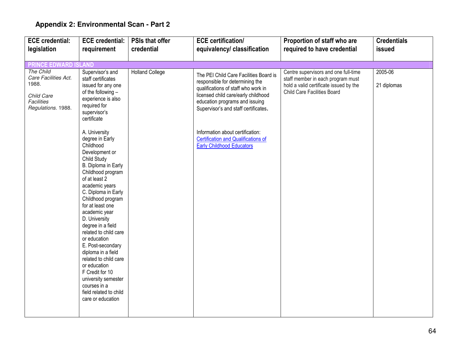| <b>ECE</b> credential:                                                                              | <b>ECE credential:</b>                                                                                                                                                                                                                                                                                                                                                                                                                                                                                                     | <b>PSIs that offer</b> | <b>ECE certification/</b>                                                                                                                                                                                                         | Proportion of staff who are                                                                                                                        | <b>Credentials</b>     |
|-----------------------------------------------------------------------------------------------------|----------------------------------------------------------------------------------------------------------------------------------------------------------------------------------------------------------------------------------------------------------------------------------------------------------------------------------------------------------------------------------------------------------------------------------------------------------------------------------------------------------------------------|------------------------|-----------------------------------------------------------------------------------------------------------------------------------------------------------------------------------------------------------------------------------|----------------------------------------------------------------------------------------------------------------------------------------------------|------------------------|
| legislation                                                                                         | requirement                                                                                                                                                                                                                                                                                                                                                                                                                                                                                                                | credential             | equivalency/ classification                                                                                                                                                                                                       | required to have credential                                                                                                                        | issued                 |
|                                                                                                     |                                                                                                                                                                                                                                                                                                                                                                                                                                                                                                                            |                        |                                                                                                                                                                                                                                   |                                                                                                                                                    |                        |
| <b>PRINCE EDWARD ISLAND</b>                                                                         |                                                                                                                                                                                                                                                                                                                                                                                                                                                                                                                            |                        |                                                                                                                                                                                                                                   |                                                                                                                                                    |                        |
| The Child<br>Care Facilities Act.<br>1988.<br>Child Care<br><b>Facilities</b><br>Regulations. 1988. | Supervisor's and<br>staff certificates<br>issued for any one<br>of the following -<br>experience is also<br>required for<br>supervisor's<br>certificate                                                                                                                                                                                                                                                                                                                                                                    | <b>Holland College</b> | The PEI Child Care Facilities Board is<br>responsible for determining the<br>qualifications of staff who work in<br>licensed child care/early childhood<br>education programs and issuing<br>Supervisor's and staff certificates. | Centre supervisors and one full-time<br>staff member in each program must<br>hold a valid certificate issued by the<br>Child Care Facilities Board | 2005-06<br>21 diplomas |
|                                                                                                     | A. University<br>degree in Early<br>Childhood<br>Development or<br>Child Study<br>B. Diploma in Early<br>Childhood program<br>of at least 2<br>academic years<br>C. Diploma in Early<br>Childhood program<br>for at least one<br>academic year<br>D. University<br>degree in a field<br>related to child care<br>or education<br>E. Post-secondary<br>diploma in a field<br>related to child care<br>or education<br>F Credit for 10<br>university semester<br>courses in a<br>field related to child<br>care or education |                        | Information about certification:<br><b>Certification and Qualifications of</b><br><b>Early Childhood Educators</b>                                                                                                                |                                                                                                                                                    |                        |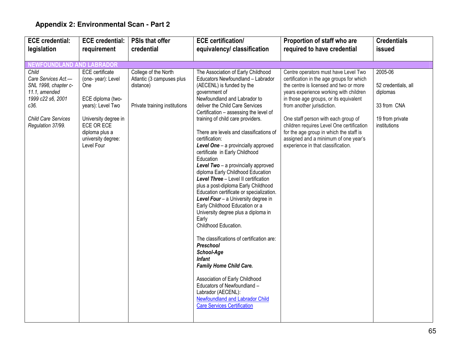| <b>ECE</b> credential:                                                                                                                                             | <b>ECE credential:</b>                                                                                                                                                                   | <b>PSIs that offer</b>                                                                          | <b>ECE</b> certification/                                                                                                                                                                                                                                                                                                                                                                                                                                                                                                                                                                                                                                                                                                                                                                                                                                                                                                                                                                                                                                              | Proportion of staff who are                                                                                                                                                                                                                                                                                                                                                                                                                                | <b>Credentials</b>                                                                           |
|--------------------------------------------------------------------------------------------------------------------------------------------------------------------|------------------------------------------------------------------------------------------------------------------------------------------------------------------------------------------|-------------------------------------------------------------------------------------------------|------------------------------------------------------------------------------------------------------------------------------------------------------------------------------------------------------------------------------------------------------------------------------------------------------------------------------------------------------------------------------------------------------------------------------------------------------------------------------------------------------------------------------------------------------------------------------------------------------------------------------------------------------------------------------------------------------------------------------------------------------------------------------------------------------------------------------------------------------------------------------------------------------------------------------------------------------------------------------------------------------------------------------------------------------------------------|------------------------------------------------------------------------------------------------------------------------------------------------------------------------------------------------------------------------------------------------------------------------------------------------------------------------------------------------------------------------------------------------------------------------------------------------------------|----------------------------------------------------------------------------------------------|
| legislation                                                                                                                                                        | requirement                                                                                                                                                                              | credential                                                                                      | equivalency/ classification                                                                                                                                                                                                                                                                                                                                                                                                                                                                                                                                                                                                                                                                                                                                                                                                                                                                                                                                                                                                                                            | required to have credential                                                                                                                                                                                                                                                                                                                                                                                                                                | issued                                                                                       |
|                                                                                                                                                                    |                                                                                                                                                                                          |                                                                                                 |                                                                                                                                                                                                                                                                                                                                                                                                                                                                                                                                                                                                                                                                                                                                                                                                                                                                                                                                                                                                                                                                        |                                                                                                                                                                                                                                                                                                                                                                                                                                                            |                                                                                              |
| <b>NEWFOUNDLAND AND LABRADOR</b>                                                                                                                                   |                                                                                                                                                                                          |                                                                                                 |                                                                                                                                                                                                                                                                                                                                                                                                                                                                                                                                                                                                                                                                                                                                                                                                                                                                                                                                                                                                                                                                        |                                                                                                                                                                                                                                                                                                                                                                                                                                                            |                                                                                              |
| $Chil\overline{d}$<br>Care Services Act.-<br>SNL 1998, chapter c-<br>11.1, amended<br>1999 c22 s6, 2001<br>c36.<br><b>Child Care Services</b><br>Regulation 37/99. | <b>ECE</b> certificate<br>(one-year): Level<br>One<br>ECE diploma (two-<br>years): Level Two<br>University degree in<br>ECE OR ECE<br>diploma plus a<br>university degree:<br>Level Four | College of the North<br>Atlantic (3 campuses plus<br>distance)<br>Private training institutions | The Association of Early Childhood<br>Educators Newfoundland - Labrador<br>(AECENL) is funded by the<br>government of<br>Newfoundland and Labrador to<br>deliver the Child Care Services<br>Certification - assessing the level of<br>training of child care providers.<br>There are levels and classifications of<br>certification:<br>Level One - a provincially approved<br>certificate in Early Childhood<br>Education<br>Level Two - a provincially approved<br>diploma Early Childhood Education<br>Level Three - Level II certification<br>plus a post-diploma Early Childhood<br>Education certificate or specialization.<br>Level Four - a University degree in<br>Early Childhood Education or a<br>University degree plus a diploma in<br>Early<br>Childhood Education.<br>The classifications of certification are:<br>Preschool<br>School-Age<br>Infant<br><b>Family Home Child Care.</b><br>Association of Early Childhood<br>Educators of Newfoundland -<br>Labrador (AECENL):<br>Newfoundland and Labrador Child<br><b>Care Services Certification</b> | Centre operators must have Level Two<br>certification in the age groups for which<br>the centre is licensed and two or more<br>years experience working with children<br>in those age groups, or its equivalent<br>from another jurisdiction.<br>One staff person with each group of<br>children requires Level One certification<br>for the age group in which the staff is<br>assigned and a minimum of one year's<br>experience in that classification. | 2005-06<br>52 credentials, all<br>diplomas<br>33 from CNA<br>19 from private<br>institutions |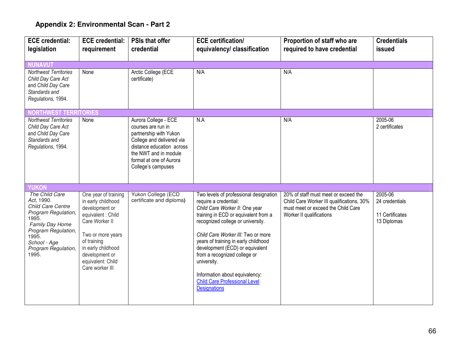| <b>ECE</b> credential:                         | <b>ECE credential:</b>                     | <b>PSIs that offer</b>                         | <b>ECE</b> certification/                                       | Proportion of staff who are                                                       | <b>Credentials</b>        |
|------------------------------------------------|--------------------------------------------|------------------------------------------------|-----------------------------------------------------------------|-----------------------------------------------------------------------------------|---------------------------|
| legislation                                    | requirement                                | credential                                     | equivalency/ classification                                     | required to have credential                                                       | issued                    |
|                                                |                                            |                                                |                                                                 |                                                                                   |                           |
| <b>NUNAVUT</b><br><b>Northwest Territories</b> | None                                       | Arctic College (ECE                            | N/A                                                             | N/A                                                                               |                           |
| Child Day Care Act                             |                                            | certificate)                                   |                                                                 |                                                                                   |                           |
| and Child Day Care                             |                                            |                                                |                                                                 |                                                                                   |                           |
| Standards and                                  |                                            |                                                |                                                                 |                                                                                   |                           |
| Regulations, 1994.                             |                                            |                                                |                                                                 |                                                                                   |                           |
| <b>NORTHWEST TERI</b>                          | RITORIES                                   |                                                |                                                                 |                                                                                   |                           |
| <b>Northwest Territories</b>                   | None                                       | Aurora College - ECE                           | N.A                                                             | N/A                                                                               | 2005-06                   |
| Child Day Care Act<br>and Child Day Care       |                                            | courses are run in<br>partnership with Yukon   |                                                                 |                                                                                   | 2 certificates            |
| Standards and                                  |                                            | College and delivered via                      |                                                                 |                                                                                   |                           |
| Regulations, 1994.                             |                                            | distance education across                      |                                                                 |                                                                                   |                           |
|                                                |                                            | the NWT and in module                          |                                                                 |                                                                                   |                           |
|                                                |                                            | format at one of Aurora<br>College's campuses  |                                                                 |                                                                                   |                           |
|                                                |                                            |                                                |                                                                 |                                                                                   |                           |
|                                                |                                            |                                                |                                                                 |                                                                                   |                           |
| <b>YUKON</b>                                   |                                            |                                                |                                                                 |                                                                                   |                           |
| The Child Care<br>Act, 1990.                   | One year of training<br>in early childhood | Yukon College (ECD<br>certificate and diploma) | Two levels of professional designation<br>require a credential: | 20% of staff must meet or exceed the<br>Child Care Worker III qualifications, 30% | 2005-06<br>24 credentials |
| Child Care Centre                              | development or                             |                                                | Child Care Worker II: One year                                  | must meet or exceed the Child Care                                                |                           |
| Program Regulation,<br>1995.                   | equivalent : Child                         |                                                | training in ECD or equivalent from a                            | Worker II qualifications                                                          | 11 Certificates           |
| Family Day Home                                | Care Worker II                             |                                                | recognized college or university.                               |                                                                                   | 13 Diplomas               |
| Program Regulation,                            | Two or more years                          |                                                | Child Care Worker III: Two or more                              |                                                                                   |                           |
| 1995.<br>School - Age                          | of training                                |                                                | years of training in early childhood                            |                                                                                   |                           |
| Program Regulation,                            | in early childhood                         |                                                | development (ECD) or equivalent                                 |                                                                                   |                           |
| 1995.                                          | development or                             |                                                | from a recognized college or                                    |                                                                                   |                           |
|                                                | equivalent: Child<br>Care worker III       |                                                | university.                                                     |                                                                                   |                           |
|                                                |                                            |                                                | Information about equivalency:                                  |                                                                                   |                           |
|                                                |                                            |                                                | <b>Child Care Professional Level</b>                            |                                                                                   |                           |
|                                                |                                            |                                                | <b>Designations</b>                                             |                                                                                   |                           |
|                                                |                                            |                                                |                                                                 |                                                                                   |                           |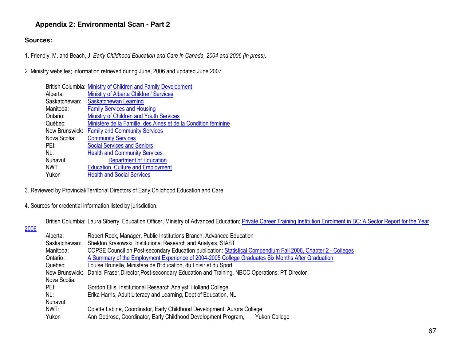#### **Sources:**

1. Friendly, M. and Beach, J. Early Childhood Education and Care in Canada, 2004 and 2006 (in press).

2. Ministry websites; information retrieved during June, 2006 and updated June 2007.

|                | British Columbia: Ministry of Children and Family Development  |
|----------------|----------------------------------------------------------------|
| Alberta:       | <b>Ministry of Alberta Children' Services</b>                  |
| Saskatchewan:  | Saskatchewan Learning                                          |
| Manitoba:      | <b>Family Services and Housing</b>                             |
| Ontario:       | Ministry of Children and Youth Services                        |
| Québec:        | Ministère de la Famille, des Aines et de la Condition féminine |
| New Brunswick: | <b>Family and Community Services</b>                           |
| Nova Scotia:   | <b>Community Services</b>                                      |
| PEI:           | <b>Social Services and Seniors</b>                             |
| NL:            | <b>Health and Community Services</b>                           |
| Nunavut:       | <b>Department of Education</b>                                 |
| NWT            | <b>Education, Culture and Employment</b>                       |
| Yukon          | <b>Health and Social Services</b>                              |

3. Reviewed by Provincial/Territorial Directors of Early Childhood Education and Care

4. Sources for credential information listed by jurisdiction.

British Columbia: Laura Siberry, Education Officer, Ministry of Advanced Education; Private Career Training Institution Enrolment in BC: A Sector Report for the Year

### 2006

| Alberta:      | Robert Rock, Manager, Public Institutions Branch, Advanced Education                                          |
|---------------|---------------------------------------------------------------------------------------------------------------|
| Saskatchewan: | Sheldon Krasowski, Institutional Research and Analysis, SIAST                                                 |
| Manitoba:     | COPSE Council on Post-secondary Education publication: Statistical Compendium Fall 2006, Chapter 2 - Colleges |
| Ontario:      | A Summary of the Employment Experience of 2004-2005 College Graduates Six Months After Graduation             |
| Québec:       | Louise Brunelle, Ministère de l'Éducation, du Loisir et du Sport                                              |
|               | New Brunswick: Daniel Fraser, Director, Post-secondary Education and Training, NBCC Operations; PT Director   |
| Nova Scotia:  |                                                                                                               |
| PEI:          | Gordon Ellis, Institutional Research Analyst, Holland College                                                 |
| NL:           | Erika Harris, Adult Literacy and Learning, Dept of Education, NL                                              |
| Nunavut:      |                                                                                                               |
| NWT:          | Colette Labine, Coordinator, Early Childhood Development, Aurora College                                      |
| Yukon         | Ann Gedrose, Coordinator, Early Childhood Development Program,<br><b>Yukon College</b>                        |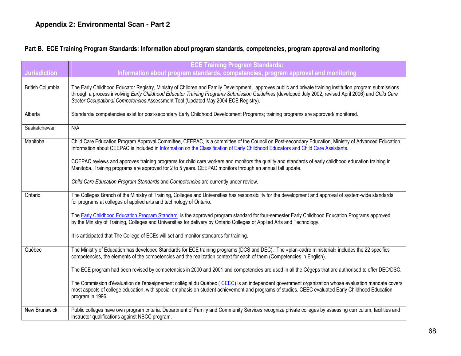#### Part B. ECE Training Program Standards: Information about program standards, competencies, program approval and monitoring

|                         | <b>ECE Training Program Standards:</b>                                                                                                                                                                                                                                                                                                                                                                 |
|-------------------------|--------------------------------------------------------------------------------------------------------------------------------------------------------------------------------------------------------------------------------------------------------------------------------------------------------------------------------------------------------------------------------------------------------|
| <b>Jurisdiction</b>     | Information about program standards, competencies, program approval and monitoring                                                                                                                                                                                                                                                                                                                     |
| <b>British Columbia</b> | The Early Childhood Educator Registry, Ministry of Children and Family Development, approves public and private training institution program submissions<br>through a process involving Early Childhood Educator Training Programs Submission Guidelines (developed July 2002, revised April 2006) and Child Care<br>Sector Occupational Competencies Assessment Tool (Updated May 2004 ECE Registry). |
| Alberta                 | Standards/competencies exist for post-secondary Early Childhood Development Programs; training programs are approved/monitored.                                                                                                                                                                                                                                                                        |
| Saskatchewan            | N/A                                                                                                                                                                                                                                                                                                                                                                                                    |
| Manitoba                | Child Care Education Program Approval Committee, CEEPAC, is a committee of the Council on Post-secondary Education, Ministry of Advanced Education.<br>Information about CEEPAC is included in Information on the Classification of Early Childhood Educators and Child Care Assistants.                                                                                                               |
|                         | CCEPAC reviews and approves training programs for child care workers and monitors the quality and standards of early childhood education training in<br>Manitoba. Training programs are approved for 2 to 5 years. CEEPAC monitors through an annual fall update.                                                                                                                                      |
|                         | Child Care Education Program Standards and Competencies are currently under review.                                                                                                                                                                                                                                                                                                                    |
| Ontario                 | The Colleges Branch of the Ministry of Training, Colleges and Universities has responsibility for the development and approval of system-wide standards<br>for programs at colleges of applied arts and technology of Ontario.                                                                                                                                                                         |
|                         | The Early Childhood Education Program Standard is the approved program standard for four-semester Early Childhood Education Programs approved<br>by the Ministry of Training, Colleges and Universities for delivery by Ontario Colleges of Applied Arts and Technology.                                                                                                                               |
|                         | It is anticipated that The College of ECEs will set and monitor standards for training.                                                                                                                                                                                                                                                                                                                |
| Québec                  | The Ministry of Education has developed Standards for ECE training programs (DCS and DEC). The «plan-cadre ministerial» includes the 22 specifics<br>competencies, the elements of the competencies and the realization context for each of them (Competencies in English).                                                                                                                            |
|                         | The ECE program had been revised by competencies in 2000 and 2001 and competencies are used in all the Cégeps that are authorised to offer DEC/DSC.                                                                                                                                                                                                                                                    |
|                         | The Commission d'évaluation de l'enseignement collégial du Québec (CEEC) is an independent government organization whose evaluation mandate covers<br>most aspects of college education, with special emphasis on student achievement and programs of studies. CEEC evaluated Early Childhood Education<br>program in 1996.                                                                            |
| New Brunswick           | Public colleges have own program criteria. Department of Family and Community Services recognize private colleges by assessing curriculum, facilities and<br>instructor qualifications against NBCC program.                                                                                                                                                                                           |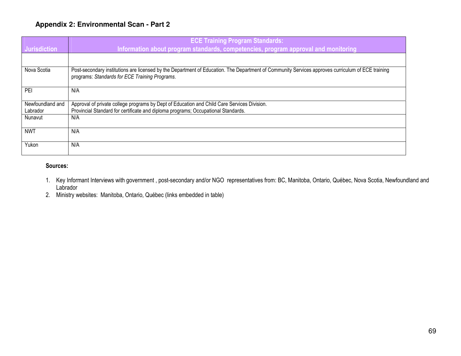### **Appendix 2: Environmental Scan - Part 2**

| <b>Jurisdiction</b>                     | <b>ECE Training Program Standards:</b><br>Information about program standards, competencies, program approval and monitoring                                                                        |
|-----------------------------------------|-----------------------------------------------------------------------------------------------------------------------------------------------------------------------------------------------------|
|                                         |                                                                                                                                                                                                     |
| Nova Scotia                             | Post-secondary institutions are licensed by the Department of Education. The Department of Community Services approves curriculum of ECE training<br>programs: Standards for ECE Training Programs. |
| PEI                                     | N/A                                                                                                                                                                                                 |
| Newfoundland and<br>Labrador<br>Nunavut | Approval of private college programs by Dept of Education and Child Care Services Division.<br>Provincial Standard for certificate and diploma programs; Occupational Standards.<br>N/A             |
| <b>NWT</b>                              | N/A                                                                                                                                                                                                 |
| Yukon                                   | N/A                                                                                                                                                                                                 |

#### Sources:

- 1. Key Informant Interviews with government , post-secondary and/or NGO representatives from: BC, Manitoba, Ontario, Québec, Nova Scotia, Newfoundland and Labrador
- 2. Ministry websites: Manitoba, Ontario, Québec (links embedded in table)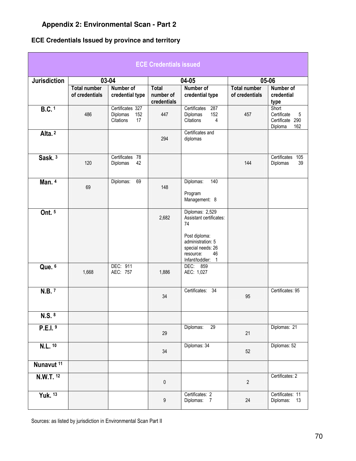# **Appendix 2: Environmental Scan - Part 2**

# **ECE Credentials Issued by province and territory**

| <b>ECE Credentials issued</b> |                                       |                                                        |                                          |                                                                                                                                                     |                                       |                                                                |  |  |
|-------------------------------|---------------------------------------|--------------------------------------------------------|------------------------------------------|-----------------------------------------------------------------------------------------------------------------------------------------------------|---------------------------------------|----------------------------------------------------------------|--|--|
| <b>Jurisdiction</b>           | 03-04                                 |                                                        | 04-05                                    |                                                                                                                                                     | 05-06                                 |                                                                |  |  |
|                               | <b>Total number</b><br>of credentials | Number of<br>credential type                           | <b>Total</b><br>number of<br>credentials | Number of<br>credential type                                                                                                                        | <b>Total number</b><br>of credentials | Number of<br>credential<br>type                                |  |  |
| <b>B.C.</b> <sup>1</sup>      | 486                                   | Certificates 327<br>Diplomas<br>152<br>Citations<br>17 | 447                                      | 287<br>Certificates<br>Diplomas<br>152<br>Citations<br>4                                                                                            | 457                                   | Short<br>Certificate<br>5<br>Certificate 290<br>162<br>Diploma |  |  |
| Alta. <sup>2</sup>            |                                       |                                                        | 294                                      | Certificates and<br>diplomas                                                                                                                        |                                       |                                                                |  |  |
| Sask. <sup>3</sup>            | 120                                   | Certificates 78<br>42<br>Diplomas                      |                                          |                                                                                                                                                     | 144                                   | Certificates<br>105<br>39<br>Diplomas                          |  |  |
| Man. $4$                      | 69                                    | 69<br>Diplomas:                                        | 148                                      | 140<br>Diplomas:<br>Program<br>Management: 8                                                                                                        |                                       |                                                                |  |  |
| Ont. 5                        |                                       |                                                        | 2,682                                    | Diplomas: 2,529<br>Assistant certificates:<br>74<br>Post diploma:<br>administration: 5<br>special needs: 26<br>46<br>resource:<br>Infant/toddler: 1 |                                       |                                                                |  |  |
| Que. 6                        | 1,668                                 | DEC: 911<br>AEC: 757                                   | 1,886                                    | DEC: 859<br>AEC: 1,027                                                                                                                              |                                       |                                                                |  |  |
| N.B.7                         |                                       |                                                        | 34                                       | Certificates: 34                                                                                                                                    | 95                                    | Certificates: 95                                               |  |  |
| N.S. 8                        |                                       |                                                        |                                          |                                                                                                                                                     |                                       |                                                                |  |  |
| P.E.I.9                       |                                       |                                                        | 29                                       | Diplomas:<br>$\overline{29}$                                                                                                                        | 21                                    | Diplomas: 21                                                   |  |  |
| N.L. 10                       |                                       |                                                        | 34                                       | Diplomas: 34                                                                                                                                        | 52                                    | Diplomas: 52                                                   |  |  |
| Nunavut <sup>11</sup>         |                                       |                                                        |                                          |                                                                                                                                                     |                                       |                                                                |  |  |
| N.W.T. 12                     |                                       |                                                        | $\pmb{0}$                                |                                                                                                                                                     | $\overline{2}$                        | Certificates: 2                                                |  |  |
| Yuk. 13                       |                                       |                                                        | $\boldsymbol{9}$                         | Certificates: 2<br>Diplomas: 7                                                                                                                      | 24                                    | Certificates: 11<br>Diplomas:<br>13                            |  |  |

Sources: as listed by jurisdiction in Environmental Scan Part II